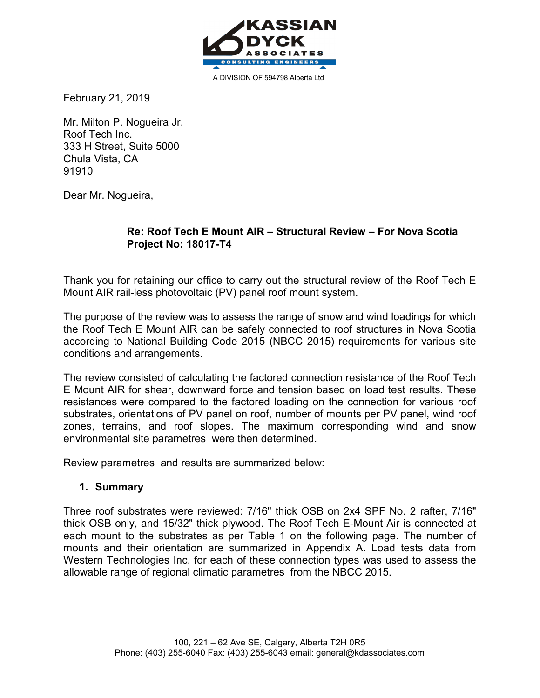

A DIVISION OF 594798 Alberta Ltd

February 21, 2019

Mr. Milton P. Nogueira Jr. Roof Tech Inc. 333 H Street, Suite 5000 Chula Vista, CA 91910

Dear Mr. Nogueira,

### **Re: Roof Tech E Mount AIR – Structural Review – For Nova Scotia Project No: 18017-T4**

Thank you for retaining our office to carry out the structural review of the Roof Tech E Mount AIR rail-less photovoltaic (PV) panel roof mount system.

The purpose of the review was to assess the range of snow and wind loadings for which the Roof Tech E Mount AIR can be safely connected to roof structures in Nova Scotia according to National Building Code 2015 (NBCC 2015) requirements for various site conditions and arrangements.

The review consisted of calculating the factored connection resistance of the Roof Tech E Mount AIR for shear, downward force and tension based on load test results. These resistances were compared to the factored loading on the connection for various roof substrates, orientations of PV panel on roof, number of mounts per PV panel, wind roof zones, terrains, and roof slopes. The maximum corresponding wind and snow environmental site parametres were then determined.

Review parametres and results are summarized below:

### **1. Summary**

Three roof substrates were reviewed: 7/16" thick OSB on 2x4 SPF No. 2 rafter, 7/16" thick OSB only, and 15/32" thick plywood. The Roof Tech E-Mount Air is connected at each mount to the substrates as per Table 1 on the following page. The number of mounts and their orientation are summarized in Appendix A. Load tests data from Western Technologies Inc. for each of these connection types was used to assess the allowable range of regional climatic parametres from the NBCC 2015.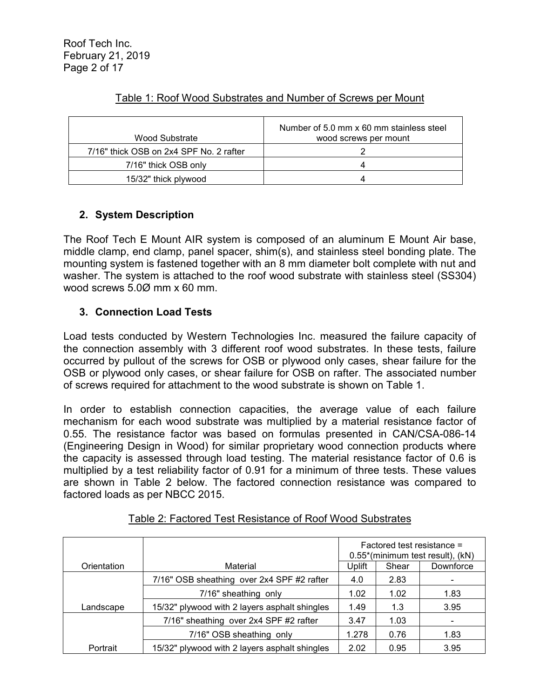| Wood Substrate                          | Number of 5.0 mm x 60 mm stainless steel<br>wood screws per mount |
|-----------------------------------------|-------------------------------------------------------------------|
| 7/16" thick OSB on 2x4 SPF No. 2 rafter |                                                                   |
| 7/16" thick OSB only                    |                                                                   |
| 15/32" thick plywood                    |                                                                   |

# Table 1: Roof Wood Substrates and Number of Screws per Mount

# **2. System Description**

The Roof Tech E Mount AIR system is composed of an aluminum E Mount Air base, middle clamp, end clamp, panel spacer, shim(s), and stainless steel bonding plate. The mounting system is fastened together with an 8 mm diameter bolt complete with nut and washer. The system is attached to the roof wood substrate with stainless steel (SS304) wood screws 5.0Ø mm x 60 mm.

# **3. Connection Load Tests**

Load tests conducted by Western Technologies Inc. measured the failure capacity of the connection assembly with 3 different roof wood substrates. In these tests, failure occurred by pullout of the screws for OSB or plywood only cases, shear failure for the OSB or plywood only cases, or shear failure for OSB on rafter. The associated number of screws required for attachment to the wood substrate is shown on Table 1.

In order to establish connection capacities, the average value of each failure mechanism for each wood substrate was multiplied by a material resistance factor of 0.55. The resistance factor was based on formulas presented in CAN/CSA-086-14 (Engineering Design in Wood) for similar proprietary wood connection products where the capacity is assessed through load testing. The material resistance factor of 0.6 is multiplied by a test reliability factor of 0.91 for a minimum of three tests. These values are shown in Table 2 below. The factored connection resistance was compared to factored loads as per NBCC 2015.

|             |                                               | Factored test resistance =<br>0.55*(minimum test result), (kN) |       |           |  |  |  |
|-------------|-----------------------------------------------|----------------------------------------------------------------|-------|-----------|--|--|--|
| Orientation | Material                                      | Uplift                                                         | Shear | Downforce |  |  |  |
|             | 7/16" OSB sheathing over 2x4 SPF #2 rafter    | 4.0                                                            | 2.83  |           |  |  |  |
|             | 7/16" sheathing only                          | 1.02                                                           | 1.02  | 1.83      |  |  |  |
| Landscape   | 15/32" plywood with 2 layers asphalt shingles | 1.49                                                           | 1.3   | 3.95      |  |  |  |
|             | 7/16" sheathing over 2x4 SPF #2 rafter        | 3.47                                                           | 1.03  |           |  |  |  |
|             | 7/16" OSB sheathing only                      | 1.278                                                          | 0.76  | 1.83      |  |  |  |
| Portrait    | 15/32" plywood with 2 layers asphalt shingles | 2.02                                                           | 0.95  | 3.95      |  |  |  |

| Table 2: Factored Test Resistance of Roof Wood Substrates |
|-----------------------------------------------------------|
|                                                           |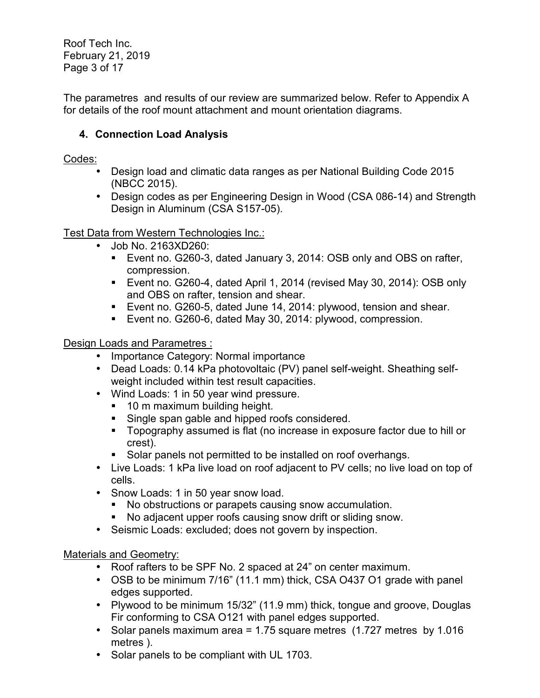Roof Tech Inc. February 21, 2019 Page 3 of 17

The parametres and results of our review are summarized below. Refer to Appendix A for details of the roof mount attachment and mount orientation diagrams.

# **4. Connection Load Analysis**

# Codes:

- Design load and climatic data ranges as per National Building Code 2015 (NBCC 2015).
- Design codes as per Engineering Design in Wood (CSA 086-14) and Strength Design in Aluminum (CSA S157-05).

Test Data from Western Technologies Inc.:

- Job No. 2163XD260:
	- Event no. G260-3, dated January 3, 2014: OSB only and OBS on rafter, compression.
	- Event no. G260-4, dated April 1, 2014 (revised May 30, 2014): OSB only and OBS on rafter, tension and shear.
	- Event no. G260-5, dated June 14, 2014: plywood, tension and shear.
	- Event no. G260-6, dated May 30, 2014: plywood, compression.

# Design Loads and Parametres :

- Importance Category: Normal importance
- Dead Loads: 0.14 kPa photovoltaic (PV) panel self-weight. Sheathing selfweight included within test result capacities.
- Wind Loads: 1 in 50 year wind pressure.
	- **10 m maximum building height.**
	- **Single span gable and hipped roofs considered.**
	- **Topography assumed is flat (no increase in exposure factor due to hill or** crest).
	- Solar panels not permitted to be installed on roof overhangs.
- Live Loads: 1 kPa live load on roof adjacent to PV cells; no live load on top of cells.
- Snow Loads: 1 in 50 year snow load.
	- No obstructions or parapets causing snow accumulation.
	- No adjacent upper roofs causing snow drift or sliding snow.
- Seismic Loads: excluded; does not govern by inspection.

# Materials and Geometry:

- Roof rafters to be SPF No. 2 spaced at 24" on center maximum.
- OSB to be minimum 7/16" (11.1 mm) thick, CSA 0437 O1 grade with panel edges supported.
- Plywood to be minimum 15/32" (11.9 mm) thick, tongue and groove, Douglas Fir conforming to CSA O121 with panel edges supported.
- Solar panels maximum area = 1.75 square metres (1.727 metres by 1.016 metres ).
- Solar panels to be compliant with UL 1703.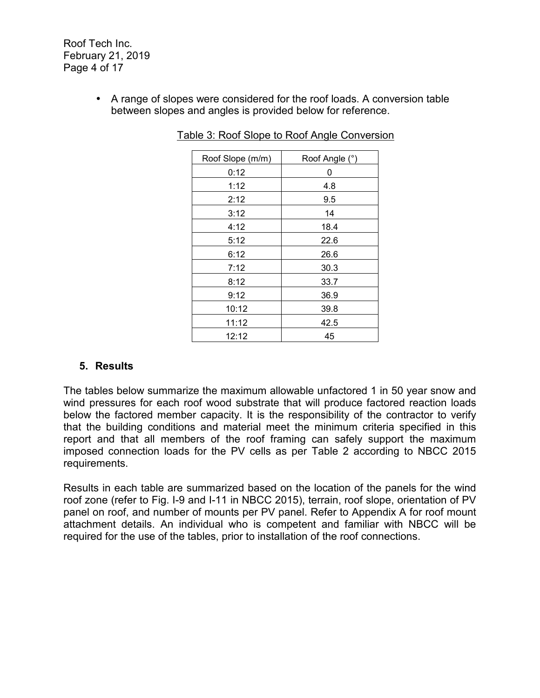Roof Tech Inc. February 21, 2019 Page 4 of 17

> • A range of slopes were considered for the roof loads. A conversion table between slopes and angles is provided below for reference.

| Roof Slope (m/m) | Roof Angle (°) |
|------------------|----------------|
| 0:12             | 0              |
| 1:12             | 4.8            |
| 2:12             | 9.5            |
| 3:12             | 14             |
| 4:12             | 18.4           |
| 5:12             | 22.6           |
| 6:12             | 26.6           |
| 7:12             | 30.3           |
| 8:12             | 33.7           |
| 9:12             | 36.9           |
| 10:12            | 39.8           |
| 11:12            | 42.5           |
| 12:12            | 45             |

Table 3: Roof Slope to Roof Angle Conversion

### **5. Results**

The tables below summarize the maximum allowable unfactored 1 in 50 year snow and wind pressures for each roof wood substrate that will produce factored reaction loads below the factored member capacity. It is the responsibility of the contractor to verify that the building conditions and material meet the minimum criteria specified in this report and that all members of the roof framing can safely support the maximum imposed connection loads for the PV cells as per Table 2 according to NBCC 2015 requirements.

Results in each table are summarized based on the location of the panels for the wind roof zone (refer to Fig. I-9 and I-11 in NBCC 2015), terrain, roof slope, orientation of PV panel on roof, and number of mounts per PV panel. Refer to Appendix A for roof mount attachment details. An individual who is competent and familiar with NBCC will be required for the use of the tables, prior to installation of the roof connections.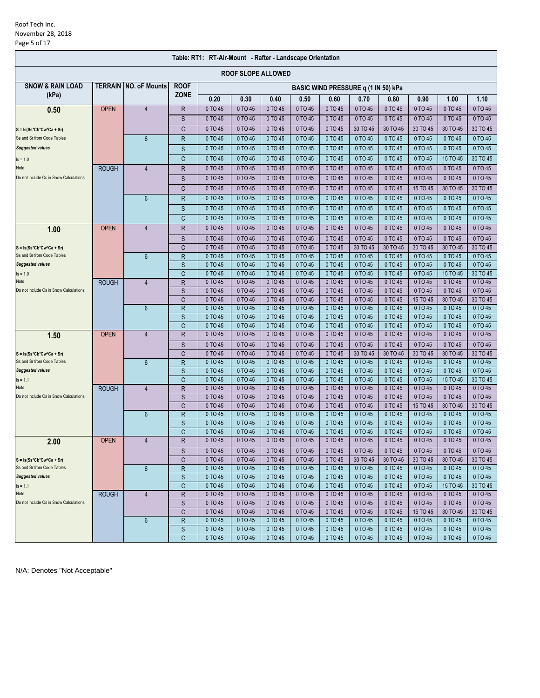### Roof Tech Inc. November 28, 2018 Page 5 of 17

| Table: RT1: RT-Air-Mount - Rafter - Landscape Orientation |              |                              |              |                      |                           |                    |                    |                                     |                    |                    |                     |                     |                     |
|-----------------------------------------------------------|--------------|------------------------------|--------------|----------------------|---------------------------|--------------------|--------------------|-------------------------------------|--------------------|--------------------|---------------------|---------------------|---------------------|
|                                                           |              |                              |              |                      | <b>ROOF SLOPE ALLOWED</b> |                    |                    |                                     |                    |                    |                     |                     |                     |
| <b>SNOW &amp; RAIN LOAD</b>                               |              | <b>TERRAIN NO. oF Mounts</b> | <b>ROOF</b>  |                      |                           |                    |                    | BASIC WIND PRESSURE q (1 IN 50) kPa |                    |                    |                     |                     |                     |
| (kPa)                                                     |              |                              | <b>ZONE</b>  | 0.20                 | 0.30                      | 0.40               | 0.50               | 0.60                                | 0.70               | 0.80               | 0.90                | 1.00                | 1.10                |
| 0.50                                                      | <b>OPEN</b>  | $\overline{4}$               | $\mathsf R$  | 0 TO 45              | 0 TO 45                   | 0 TO 45            | 0 TO 45            | 0 TO 45                             | 0 TO 45            | 0 TO 45            | 0 TO 45             | 0 TO 45             | 0 TO 45             |
|                                                           |              |                              | S            | 0 TO 45              | 0 TO 45                   | 0 TO 45            | 0 TO 45            | 0 TO 45                             | 0 TO 45            | 0 TO 45            | 0 TO 45             | 0 TO 45             | 0 TO 45             |
| $S = Is(Ss*Cb*Cw*Ca + Sr)$                                |              |                              | C            | 0 TO 45              | 0 TO 45                   | 0 TO 45            | 0 TO 45            | 0 TO 45                             | 30 TO 45           | 30 TO 45           | 30 TO 45            | 30 TO 45            | 30 TO 45            |
| Ss and Sr from Code Tables                                |              | $6\phantom{1}$               | $\mathsf{R}$ | 0 TO 45              | 0 TO 45                   | 0 TO 45            | 0 TO 45            | 0 TO 45                             | 0 TO 45            | 0 TO 45            | 0 TO 45             | 0 TO 45             | 0 TO 45             |
| <b>Suggested values</b>                                   |              |                              | S            | 0 TO 45              | 0 TO 45                   | 0 TO 45            | 0 TO 45            | 0 TO 45                             | 0 TO 45            | 0 TO 45            | 0 TO 45             | 0 TO 45             | 0 TO 45             |
| $Is = 1.0$                                                |              |                              | C            | 0 TO 45              | 0 TO 45                   | 0 TO 45            | 0 TO 45            | 0 TO 45                             | 0 TO 45            | 0 TO 45            | 0 TO 45             | 15 TO 45            | 30 TO 45            |
| Note:                                                     | <b>ROUGH</b> | $\overline{4}$               | R            | 0 TO 45              | 0 TO 45                   | 0 TO 45            | 0 TO 45            | 0 TO 45                             | 0 TO 45            | 0 TO 45            | 0 TO 45             | 0 TO 45             | 0 TO 45             |
| Do not include Cs in Snow Calculations                    |              |                              | S            | 0 TO 45              | 0 TO 45                   | 0 TO 45            | 0 TO 45            | 0 TO 45                             | 0 TO 45            | 0 TO 45            | 0 TO 45             | 0 TO 45             | 0 TO 45             |
|                                                           |              |                              | C            | 0 TO 45              | 0 TO 45                   | 0 TO 45            | 0 TO 45            | 0 TO 45                             | 0 TO 45            | 0 TO 45            | 15 TO 45            | 30 TO 45            | 30 TO 45            |
|                                                           |              |                              |              |                      |                           |                    |                    |                                     |                    |                    |                     |                     |                     |
|                                                           |              | $6\phantom{1}$               | $\mathsf{R}$ | 0 TO 45              | 0 TO 45                   | 0 TO 45            | 0 TO 45            | 0 TO 45                             | 0 TO 45            | 0 TO 45            | 0 TO 45             | 0 TO 45             | 0 TO 45             |
|                                                           |              |                              | S            | 0 TO 45              | 0 TO 45                   | 0 TO 45            | 0 TO 45            | 0 TO 45                             | 0 TO 45            | 0 TO 45            | 0 TO 45             | 0 TO 45             | 0 TO 45             |
|                                                           |              |                              | C            | 0 TO 45              | 0 TO 45                   | 0 TO 45            | 0 TO 45            | 0 TO 45                             | 0 TO 45            | 0 TO 45            | 0 TO 45             | 0 TO 45             | 0 TO 45             |
| 1.00                                                      | <b>OPEN</b>  | $\overline{4}$               | $\mathsf R$  | 0 TO 45              | 0 TO 45                   | 0 TO 45            | 0 TO 45            | 0 TO 45                             | 0 TO 45            | 0 TO 45            | 0 TO 45             | 0 TO 45             | 0 TO 45             |
|                                                           |              |                              | S            | 0 TO 45              | 0 TO 45                   | 0 TO 45            | 0 TO 45            | 0 TO 45                             | 0 TO 45            | 0 TO 45            | 0 TO 45             | 0 TO 45             | 0 TO 45             |
| $S = Is(Ss*Cb*Cw*Ca + Sr)$                                |              |                              | C            | 0 TO 45              | 0 TO 45                   | 0 TO 45            | 0 TO 45            | 0 TO 45                             | 30 TO 45           | 30 TO 45           | 30 TO 45            | 30 TO 45            | 30 TO 45            |
| Ss and Sr from Code Tables                                |              | $6\phantom{1}$               | $\mathsf{R}$ | 0 TO 45              | 0 TO 45                   | 0 TO 45            | 0 TO 45            | 0 TO 45                             | 0 TO 45            | 0 TO 45            | 0 TO 45             | 0 TO 45             | 0 TO 45             |
| <b>Suggested values</b>                                   |              |                              | S            | 0 TO 45              | 0 TO 45                   | 0 TO 45            | 0 TO 45            | 0 TO 45                             | 0 TO 45            | 0 TO 45            | 0 TO 45             | 0 TO 45             | 0 TO 45             |
| $Is = 1.0$                                                |              |                              | C            | 0 TO 45              | 0 TO 45                   | 0 TO 45            | 0 TO 45            | 0 TO 45                             | 0 TO 45            | 0 TO 45            | 0 TO 45             | 15 TO 45            | 30 TO 45            |
| Note:<br>Do not include Cs in Snow Calculations           | <b>ROUGH</b> | $\overline{4}$               | $\mathsf R$  | 0 TO 45              | 0 TO 45                   | 0 TO 45            | 0 TO 45            | 0 TO 45                             | 0 TO 45            | 0 TO 45            | 0 TO 45             | 0 TO 45             | 0 TO 45             |
|                                                           |              |                              | S            | 0 TO 45              | 0 TO 45                   | 0 TO 45            | 0 TO 45            | 0 TO 45<br>0 TO 45                  | 0 TO 45            | 0 TO 45            | 0 TO 45             | 0 TO 45             | 0 TO 45             |
|                                                           |              | $6\phantom{1}$               | C<br>R       | 0 TO 45<br>0 TO 45   | 0 TO 45<br>0 TO 45        | 0 TO 45<br>0 TO 45 | 0 TO 45<br>0 TO 45 | 0 TO 45                             | 0 TO 45<br>0 TO 45 | 0 TO 45<br>0 TO 45 | 15 TO 45<br>0 TO 45 | 30 TO 45<br>0 TO 45 | 30 TO 45<br>0 TO 45 |
|                                                           |              |                              | S            | 0 TO 45              | 0 TO 45                   | 0 TO 45            | 0 TO 45            | 0 TO 45                             | 0 TO 45            | 0 TO 45            | 0 TO 45             | 0 TO 45             | 0 TO 45             |
|                                                           |              |                              | C            | 0 TO 45              | 0 TO 45                   | 0 TO 45            | 0 TO 45            | 0 TO 45                             | 0 TO 45            | 0 TO 45            | 0 TO 45             | 0 TO 45             | 0 TO 45             |
| 1.50                                                      | <b>OPEN</b>  | $\overline{4}$               | R            | 0 TO 45              | 0 TO 45                   | 0 TO 45            | 0 TO 45            | 0 TO 45                             | 0 TO 45            | 0 TO 45            | 0 TO 45             | 0 TO 45             | 0 TO 45             |
|                                                           |              |                              | S            | 0 TO 45              | 0 TO 45                   | 0 TO 45            | 0 TO 45            | 0 TO 45                             | 0 TO 45            | 0 TO 45            | 0 TO 45             | 0 TO 45             | 0 TO 45             |
| $S = Is(Ss*Cb*Cw*Ca + Sr)$                                |              |                              | C            | 0 TO 45              | 0 TO 45                   | 0 TO 45            | 0 TO 45            | 0 TO 45                             | 30 TO 45           | 30 TO 45           | 30 TO 45            | 30 TO 45            | 30 TO 45            |
| Ss and Sr from Code Tables                                |              | $6\phantom{1}$               | $\mathsf{R}$ | 0 TO 45              | 0 TO 45                   | 0 TO 45            | 0 TO 45            | 0 TO 45                             | 0 TO 45            | 0 TO 45            | 0 TO 45             | 0 TO 45             | 0 TO 45             |
| <b>Suggested values</b>                                   |              |                              | S            | 0 TO 45              | 0 TO 45                   | 0 TO 45            | 0 TO 45            | 0 TO 45                             | 0 TO 45            | 0 TO 45            | 0 TO 45             | 0 TO 45             | 0 TO 45             |
| $Is = 1.1$                                                |              |                              | C            | 0 TO 45              | 0 TO 45                   | 0 TO 45            | 0 TO 45            | 0 TO 45                             | 0 TO 45            | 0 TO 45            | 0 TO 45             | 15 TO 45            | 30 TO 45            |
| Note:                                                     | <b>ROUGH</b> | $\overline{4}$               | $\mathsf R$  | 0 TO 45              | 0 TO 45                   | 0 TO 45            | 0 TO 45            | 0 TO 45                             | 0 TO 45            | 0 TO 45            | 0 TO 45             | 0 TO 45             | 0 TO 45             |
| Do not include Cs in Snow Calculations                    |              |                              | S            | 0 TO 45              | 0 TO 45                   | 0 TO 45            | 0 TO 45            | 0 TO 45                             | 0 TO 45            | 0 TO 45            | 0 TO 45             | 0 TO 45             | 0 TO 45             |
|                                                           |              |                              | C            | 0 TO 45              | 0 TO 45                   | 0 TO 45            | 0 TO 45            | 0 TO 45                             | 0 TO 45            | 0 TO 45            | 15 TO 45            | 30 TO 45            | 30 TO 45            |
|                                                           |              | $6\phantom{1}$               | $\mathsf{R}$ | 0 TO 45              | 0 TO 45                   | 0 TO 45            | 0 TO 45            | 0 TO 45                             | 0 TO 45            | 0 TO 45            | 0 TO 45             | 0 TO 45             | 0 TO 45             |
|                                                           |              |                              | $\mathsf S$  | 0 TO 45              | 0 TO 45                   | 0 TO 45            | 0 TO 45            | 0 TO 45                             | 0 TO 45            | 0 TO 45            | 0 TO 45             | 0 TO 45             | 0 TO 45             |
|                                                           |              |                              | C            | 0 TO 45              | 0 TO 45                   | 0 TO 45            | 0 TO 45            | 0 TO 45                             | 0 TO 45            | 0 TO 45            | 0 TO 45             | 0 TO 45             | 0 TO 45             |
| 2.00                                                      | <b>OPEN</b>  | $\overline{4}$               | R            | 0 TO 45              | 0 TO 45                   | 0 TO 45            | 0 TO 45            | 0 TO 45                             | 0 TO 45            | 0 TO 45            | 0 TO 45             | 0 TO 45             | 0 TO 45             |
|                                                           |              |                              | S            | 0 TO 45              | 0 TO 45                   | 0 TO 45            | 0 TO 45            | 0 TO 45                             | 0 TO 45            | 0 TO 45            | 0 TO 45             | 0 TO 45             | 0 TO 45             |
| $S = Is(Ss*Cb*Cw*Ca + Sr)$                                |              |                              | C            | 0 TO 45              | 0 TO 45                   | 0 TO 45            | 0 TO 45            | 0 TO 45                             | 30 TO 45           | 30 TO 45           | 30 TO 45            | 30 TO 45            | 30 TO 45            |
| Ss and Sr from Code Tables                                |              | 6                            | R            | 0 TO 45              | 0 TO 45                   | 0 TO 45            | 0 TO 45            | 0 TO 45                             | 0 TO 45            | 0 TO 45            | 0 TO 45             | 0 TO 45             | 0 TO 45             |
| <b>Suggested values</b>                                   |              |                              | S            | 0 TO 45              | 0 TO 45                   | 0 TO 45            | 0 TO 45            | 0 TO 45                             | 0 TO 45            | 0 TO 45            | 0 TO 45             | 0 TO 45             | 0 TO 45             |
| $Is = 1.1$<br>Note:                                       |              |                              | C            | 0 TO 45              | 0 TO 45                   | 0 TO 45            | 0 TO 45            | 0 TO 45                             | 0 TO 45<br>0 TO 45 | 0 TO 45            | 0 TO 45             | 15 TO 45            | 30 TO 45            |
| Do not include Cs in Snow Calculations                    | <b>ROUGH</b> | 4                            | $\mathsf{R}$ | $0$ TO 45<br>0 TO 45 | 0 TO 45<br>0 TO 45        | 0 TO 45<br>0 TO 45 | 0 TO 45<br>0 TO 45 | 0 TO 45<br>0 TO 45                  | 0 TO 45            | 0 TO 45<br>0 TO 45 | 0 TO 45<br>0 TO 45  | 0 TO 45<br>0 TO 45  | 0 TO 45<br>0 TO 45  |
|                                                           |              |                              | S<br>C       | 0 TO 45              | 0 TO 45                   | 0 TO 45            | 0 TO 45            | 0 TO 45                             | 0 TO 45            | 0 TO 45            | 15 TO 45            | 30 TO 45            | 30 TO 45            |
|                                                           |              | 6                            | R            | 0 TO 45              | 0 TO 45                   | 0 TO 45            | 0 TO 45            | 0 TO 45                             | 0 TO 45            | 0 TO 45            | 0 TO 45             | 0 TO 45             | 0 TO 45             |
|                                                           |              |                              | S            | 0 TO 45              | 0 TO 45                   | 0 TO 45            | 0 TO 45            | 0 TO 45                             | 0 TO 45            | 0 TO 45            | 0 TO 45             | 0 TO 45             | 0 TO 45             |
|                                                           |              |                              | C            | 0 TO 45              | 0 TO 45                   | 0 TO 45            | 0 TO 45            | 0 TO 45                             | 0 TO 45            | 0 TO 45            | 0 TO 45             | 0 TO 45             | 0 TO 45             |
|                                                           |              |                              |              |                      |                           |                    |                    |                                     |                    |                    |                     |                     |                     |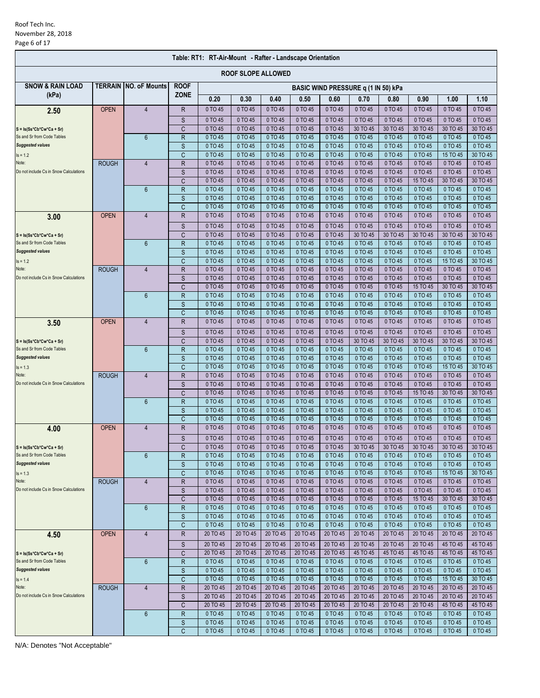| Table: RT1: RT-Air-Mount - Rafter - Landscape Orientation |                |                      |                |                    |                    |                    |                    |                                     |                    |                    |                     |                     |                     |
|-----------------------------------------------------------|----------------|----------------------|----------------|--------------------|--------------------|--------------------|--------------------|-------------------------------------|--------------------|--------------------|---------------------|---------------------|---------------------|
| <b>ROOF SLOPE ALLOWED</b>                                 |                |                      |                |                    |                    |                    |                    |                                     |                    |                    |                     |                     |                     |
| <b>SNOW &amp; RAIN LOAD</b>                               | <b>TERRAIN</b> | <b>NO. oF Mounts</b> | <b>ROOF</b>    |                    |                    |                    |                    | BASIC WIND PRESSURE q (1 IN 50) kPa |                    |                    |                     |                     |                     |
| (kPa)                                                     |                |                      | <b>ZONE</b>    | 0.20               | 0.30               | 0.40               | 0.50               | 0.60                                | 0.70               | 0.80               | 0.90                | 1.00                | 1.10                |
| 2.50                                                      | <b>OPEN</b>    | $\overline{4}$       | R              | 0 TO 45            | 0 TO 45            | 0 TO 45            | 0 TO 45            | 0 TO 45                             | 0 TO 45            | 0 TO 45            | 0 TO 45             | 0 TO 45             | 0 TO 45             |
|                                                           |                |                      | S              | 0 TO 45            | 0 TO 45            | 0 TO 45            | 0 TO 45            | 0 TO 45                             | 0 TO 45            | 0 TO 45            | 0 TO 45             | 0 TO 45             | 0 TO 45             |
| $S = Is(Ss*Cb*Cw*Ca + Sr)$                                |                |                      | C              | 0 TO 45            | 0 TO 45            | 0 TO 45            | 0 TO 45            | 0 TO 45                             | 30 TO 45           | 30 TO 45           | 30 TO 45            | 30 TO 45            | 30 TO 45            |
| Ss and Sr from Code Tables<br><b>Suggested values</b>     |                | $6\phantom{1}$       | R              | 0 TO 45<br>0 TO 45 | 0 TO 45<br>0 TO 45 | 0 TO 45<br>0 TO 45 | 0 TO 45<br>0 TO 45 | 0 TO 45<br>0 TO 45                  | 0 TO 45<br>0 TO 45 | 0 TO 45<br>0 TO 45 | 0 TO 45<br>0 TO 45  | 0 TO 45<br>0 TO 45  | 0 TO 45<br>0 TO 45  |
| $Is = 1.2$                                                |                |                      | S<br>C         | 0 TO 45            | 0 TO 45            | 0 TO 45            | 0 TO 45            | 0 TO 45                             | 0 TO 45            | 0 TO 45            | 0 TO 45             | 15 TO 45            | 30 TO 45            |
| Note:                                                     | <b>ROUGH</b>   | 4                    | R              | 0 TO 45            | 0 TO 45            | 0 TO 45            | 0 TO 45            | 0 TO 45                             | 0 TO 45            | 0 TO 45            | 0 TO 45             | 0 TO 45             | 0 TO 45             |
| Do not include Cs in Snow Calculations                    |                |                      | S              | 0 TO 45            | 0 TO 45            | 0 TO 45            | 0 TO 45            | 0 TO 45                             | 0 TO 45            | 0 TO 45            | 0 TO 45             | 0 TO 45             | 0 TO 45             |
|                                                           |                |                      | C              | 0 TO 45            | 0 TO 45            | 0 TO 45            | 0 TO 45            | 0 TO 45                             | 0 TO 45            | 0 TO 45            | 15 TO 45            | 30 TO 45            | 30 TO 45            |
|                                                           |                | $6\phantom{1}$       | $\mathsf{R}$   | 0 TO 45            | 0 TO 45            | 0 TO 45            | 0 TO 45            | 0 TO 45                             | 0 TO 45            | 0 TO 45            | 0 TO 45             | 0 TO 45             | 0 TO 45             |
|                                                           |                |                      | S<br>C         | 0 TO 45<br>0 TO 45 | 0 TO 45<br>0 TO 45 | 0 TO 45<br>0 TO 45 | 0 TO 45<br>0 TO 45 | 0 TO 45<br>0 TO 45                  | 0 TO 45<br>0 TO 45 | 0 TO 45<br>0 TO 45 | 0 TO 45<br>0 TO 45  | 0 TO 45<br>0 TO 45  | 0 TO 45<br>0 TO 45  |
| 3.00                                                      | <b>OPEN</b>    | $\overline{4}$       | R              | 0 TO 45            | 0 TO 45            | 0 TO 45            | 0 TO 45            | 0 TO 45                             | 0 TO 45            | 0 TO 45            | 0 TO 45             | 0 TO 45             | 0 TO 45             |
|                                                           |                |                      | S              | 0 TO 45            | 0 TO 45            | 0 TO 45            | 0 TO 45            | 0 TO 45                             | 0 TO 45            | 0 TO 45            | 0 TO 45             | 0 TO 45             | 0 TO 45             |
| $S = Is(Ss*Cb*Cw*Ca + Sr)$                                |                |                      | C              | 0 TO 45            | 0 TO 45            | 0 TO 45            | 0 TO 45            | 0 TO 45                             | 30 TO 45           | 30 TO 45           | 30 TO 45            | 30 TO 45            | 30 TO 45            |
| Ss and Sr from Code Tables                                |                | $6\phantom{1}$       | R              | 0 TO 45            | 0 TO 45            | 0 TO 45            | 0 TO 45            | 0 TO 45                             | 0 TO 45            | 0 TO 45            | 0 TO 45             | 0 TO 45             | 0 TO 45             |
| <b>Suggested values</b>                                   |                |                      | S              | 0 TO 45            | 0 TO 45            | 0 TO 45            | 0 TO 45            | 0 TO 45                             | 0 TO 45            | 0 TO 45            | 0 TO 45             | 0 TO 45             | 0 TO 45             |
| $Is = 1.2$                                                |                |                      | C              | 0 TO 45            | 0 TO 45            | 0 TO 45            | 0 TO 45            | 0 TO 45                             | 0 TO 45            | 0 TO 45            | 0 TO 45             | 15 TO 45            | 30 TO 45            |
| Note:<br>Do not include Cs in Snow Calculations           | <b>ROUGH</b>   | 4                    | R              | 0 TO 45            | 0 TO 45            | 0 TO 45            | 0 TO 45            | 0 TO 45                             | 0 TO 45            | 0 TO 45            | 0 TO 45             | 0 TO 45             | 0 TO 45             |
|                                                           |                |                      | S<br>C         | 0 TO 45<br>0 TO 45 | 0 TO 45<br>0 TO 45 | 0 TO 45<br>0 TO 45 | 0 TO 45<br>0 TO 45 | 0 TO 45<br>0 TO 45                  | 0 TO 45<br>0 TO 45 | 0 TO 45<br>0 TO 45 | 0 TO 45<br>15 TO 45 | 0 TO 45<br>30 TO 45 | 0 TO 45<br>30 TO 45 |
|                                                           |                | $6\phantom{1}$       | ${\sf R}$      | 0 TO 45            | 0 TO 45            | 0 TO 45            | 0 TO 45            | 0 TO 45                             | 0 TO 45            | 0 TO 45            | 0 TO 45             | 0 TO 45             | 0 TO 45             |
|                                                           |                |                      | S              | 0 TO 45            | 0 TO 45            | 0 TO 45            | 0 TO 45            | 0 TO 45                             | 0 TO 45            | 0 TO 45            | 0 TO 45             | 0 TO 45             | 0 TO 45             |
|                                                           |                |                      | Ċ              | 0 TO 45            | 0 TO 45            | 0 TO 45            | 0 TO 45            | 0 TO 45                             | 0 TO 45            | 0 TO 45            | 0 TO 45             | 0 TO 45             | 0 TO 45             |
| 3.50                                                      | <b>OPEN</b>    | $\overline{4}$       | R              | 0 TO 45            | 0 TO 45            | 0 TO 45            | 0 TO 45            | 0 TO 45                             | 0 TO 45            | 0 TO 45            | 0 TO 45             | 0 TO 45             | 0 TO 45             |
|                                                           |                |                      | S              | 0 TO 45            | 0 TO 45            | 0 TO 45            | 0 TO 45            | 0 TO 45                             | 0 TO 45            | 0 TO 45            | 0 TO 45             | 0 TO 45             | 0 TO 45             |
| $S = Is(Ss*Cb*Cw*Ca + Sr)$                                |                |                      | C              | 0 TO 45            | 0 TO 45            | 0 TO 45            | 0 TO 45            | 0 TO 45                             | 30 TO 45           | 30 TO 45           | 30 TO 45            | 30 TO 45            | 30 TO 45            |
| Ss and Sr from Code Tables                                |                | $6\phantom{1}$       | R              | 0 TO 45            | 0 TO 45            | 0 TO 45            | 0 TO 45            | 0 TO 45                             | 0 TO 45            | 0 TO 45            | 0 TO 45             | 0 TO 45             | 0 TO 45             |
| <b>Suggested values</b>                                   |                |                      | S<br>C         | 0 TO 45<br>0 TO 45 | 0 TO 45<br>0 TO 45 | 0 TO 45<br>0 TO 45 | 0 TO 45<br>0 TO 45 | 0 TO 45<br>0 TO 45                  | 0 TO 45<br>0 TO 45 | 0 TO 45<br>0 TO 45 | 0 TO 45<br>0 TO 45  | 0 TO 45<br>15 TO 45 | 0 TO 45<br>30 TO 45 |
| $Is = 1.3$<br>Note:                                       | <b>ROUGH</b>   | $\overline{4}$       | R              | 0 TO 45            | 0 TO 45            | 0 TO 45            | 0 TO 45            | 0 TO 45                             | 0 TO 45            | 0 TO 45            | 0 TO 45             | 0 TO 45             | 0 TO 45             |
| Do not include Cs in Snow Calculations                    |                |                      | S              | 0 TO 45            | 0 TO 45            | 0 TO 45            | 0 TO 45            | 0 TO 45                             | 0 TO 45            | 0 TO 45            | 0 TO 45             | 0 TO 45             | 0 TO 45             |
|                                                           |                |                      | C              | 0 TO 45            | 0 TO 45            | 0 TO 45            | 0 TO 45            | 0 TO 45                             | 0 TO 45            | 0 TO 45            | 15 TO 45            | 30 TO 45            | 30 TO 45            |
|                                                           |                | $6\phantom{1}$       | R              | 0 TO 45            | 0 TO 45            | 0 TO 45            | 0 TO 45            | 0 TO 45                             | 0 TO 45            | 0 TO 45            | 0 TO 45             | 0 TO 45             | 0 TO 45             |
|                                                           |                |                      | S              | 0 TO 45            | 0 TO 45            | 0 TO 45            | 0 TO 45            | 0 TO 45                             | 0 TO 45            | 0 TO 45            | 0 TO 45             | 0 TO 45             | 0 TO 45             |
|                                                           | <b>OPEN</b>    | $\overline{4}$       | C<br>R         | 0 TO 45<br>0 TO 45 | 0 TO 45<br>0 TO 45 | 0 TO 45<br>0 TO 45 | 0 TO 45<br>0 TO 45 | 0 TO 45<br>0 TO 45                  | 0 TO 45<br>0 TO 45 | 0 TO 45<br>0 TO 45 | 0 TO 45<br>0 TO 45  | 0 TO 45<br>0 TO 45  | 0 TO 45<br>0 TO 45  |
| 4.00                                                      |                |                      | S              | 0 TO 45            | 0 TO 45            | 0 TO 45            | 0 TO 45            | 0 TO 45                             | 0 TO 45            | 0 TO 45            | 0 TO 45             | 0 TO 45             | 0 TO 45             |
| $S = Is(Ss*Cb*Cw*Ca + Sr)$                                |                |                      | $\overline{C}$ | 0 TO 45            | 0 TO 45            | 0 TO 45            | 0 TO 45            | 0 TO 45                             | 30 TO 45           | 30 TO 45           | 30 TO 45            | 30 TO 45            | 30 TO 45            |
| Ss and Sr from Code Tables                                |                | $6\phantom{1}$       | R              | 0 TO 45            | 0 TO 45            | 0 TO 45            | 0 TO 45            | 0 TO 45                             | 0 TO 45            | 0 TO 45            | 0 TO 45             | 0 TO 45             | 0 TO 45             |
| <b>Suggested values</b>                                   |                |                      | S              | 0 TO 45            | 0 TO 45            | 0 TO 45            | 0 TO 45            | 0 TO 45                             | 0 TO 45            | 0 TO 45            | 0 TO 45             | 0 TO 45             | 0 TO 45             |
| $Is = 1.3$                                                |                |                      | C              | 0 TO 45            | 0 TO 45            | 0 TO 45            | 0 TO 45            | 0 TO 45                             | 0 TO 45            | 0 TO 45            | 0 TO 45             | 15 TO 45            | 30 TO 45            |
| Note:                                                     | <b>ROUGH</b>   | $\overline{4}$       | R              | 0 TO 45            | 0 TO 45            | 0 TO 45            | 0 TO 45            | 0 TO 45                             | 0 TO 45            | 0 TO 45            | 0 TO 45             | 0 TO 45             | 0 TO 45             |
| Do not include Cs in Snow Calculations                    |                |                      | S<br>C         | 0 TO 45<br>0 TO 45 | 0 TO 45<br>0 TO 45 | 0 TO 45<br>0 TO 45 | 0 TO 45<br>0 TO 45 | 0 TO 45<br>0 TO 45                  | 0 TO 45<br>0 TO 45 | 0 TO 45<br>0 TO 45 | 0 TO 45<br>15 TO 45 | 0 TO 45<br>30 TO 45 | 0 TO 45<br>30 TO 45 |
|                                                           |                | 6                    | R              | 0 TO 45            | 0 TO 45            | 0 TO 45            | 0 TO 45            | 0 TO 45                             | 0 TO 45            | 0 TO 45            | 0 TO 45             | 0 TO 45             | 0 TO 45             |
|                                                           |                |                      | S              | 0 TO 45            | 0 TO 45            | 0 TO 45            | 0 TO 45            | 0 TO 45                             | 0 TO 45            | 0 TO 45            | 0 TO 45             | 0 TO 45             | 0 TO 45             |
|                                                           |                |                      | С              | 0 TO 45            | 0 TO 45            | 0 TO 45            | 0 TO 45            | 0 TO 45                             | 0 TO 45            | 0 TO 45            | 0 TO 45             | 0 TO 45             | 0 TO 45             |
| 4.50                                                      | <b>OPEN</b>    | 4                    | R              | 20 TO 45           | 20 TO 45           | 20 TO 45           | 20 TO 45           | 20 TO 45                            | 20 TO 45           | 20 TO 45           | 20 TO 45            | 20 TO 45            | 20 TO 45            |
|                                                           |                |                      | S              | 20 TO 45           | 20 TO 45           | 20 TO 45           | 20 TO 45           | 20 TO 45                            | 20 TO 45           | 20 TO 45           | 20 TO 45            | 45 TO 45            | 45 TO 45            |
| $S = Is(Ss*Cb*Cw*Ca + Sr)$                                |                |                      | C              | 20 TO 45           | 20 TO 45           | 20 TO 45           | 20 TO 45           | 20 TO 45                            | 45 TO 45           | 45 TO 45           | 45 TO 45            | 45 TO 45            | 45 TO 45            |
| Ss and Sr from Code Tables<br><b>Suggested values</b>     |                | $\boldsymbol{6}$     | R              | 0 TO 45            | 0 TO 45            | 0 TO 45            | 0 TO 45            | 0 TO 45                             | 0 TO 45            | 0 TO 45            | 0 TO 45             | 0 TO 45             | 0 TO 45             |
| $Is = 1.4$                                                |                |                      | S<br>C.        | 0 TO 45<br>0 TO 45 | 0 TO 45<br>0 TO 45 | 0 TO 45<br>0 TO 45 | 0 TO 45<br>0 TO 45 | 0 TO 45<br>0 TO 45                  | 0 TO 45<br>0 TO 45 | 0 TO 45<br>0 TO 45 | 0 TO 45<br>0 TO 45  | 0 TO 45<br>15 TO 45 | 0 TO 45<br>30 TO 45 |
| Note:                                                     | <b>ROUGH</b>   | $\overline{4}$       | R              | 20 TO 45           | 20 TO 45           | 20 TO 45           | 20 TO 45           | 20 TO 45                            | 20 TO 45           | 20 TO 45           | 20 TO 45            | 20 TO 45            | 20 TO 45            |
| Do not include Cs in Snow Calculations                    |                |                      | S              | 20 TO 45           | 20 TO 45           | 20 TO 45           | 20 TO 45           | 20 TO 45                            | 20 TO 45           | 20 TO 45           | 20 TO 45            | 20 TO 45            | 20 TO 45            |
|                                                           |                |                      | C              | 20 TO 45           | 20 TO 45           | 20 TO 45           | 20 TO 45           | 20 TO 45                            | 20 TO 45           | 20 TO 45           | 20 TO 45            | 45 TO 45            | 45 TO 45            |
|                                                           |                | 6                    | R              | 0 TO 45            | 0 TO 45            | 0 TO 45            | 0 TO 45            | 0 TO 45                             | 0 TO 45            | 0 TO 45            | 0 TO 45             | 0 TO 45             | 0 TO 45             |
|                                                           |                |                      | S              | 0 TO 45            | 0 TO 45            | 0 TO 45            | 0 TO 45            | 0 TO 45                             | 0 TO 45            | 0 TO 45            | 0 TO 45             | 0 TO 45             | 0 TO 45             |
|                                                           |                |                      | C.             | 0 TO 45            | 0 TO 45            | 0 TO 45            | 0 TO 45            | 0 TO 45                             | 0 TO 45            | 0 TO 45            | 0 TO 45             | 0 TO 45             | 0 TO 45             |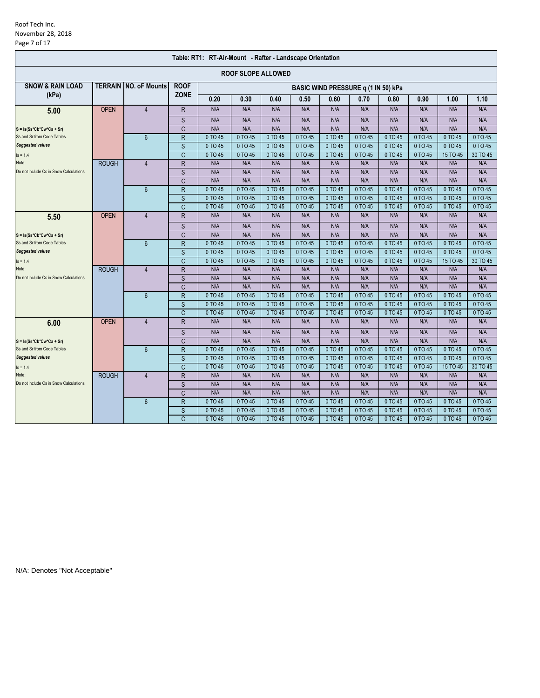### Roof Tech Inc. November 28, 2018 Page 7 of 17

| Table: RT1: RT-Air-Mount - Rafter - Landscape Orientation |              |                              |                         |         |                           |         |         |                                     |           |         |         |          |          |
|-----------------------------------------------------------|--------------|------------------------------|-------------------------|---------|---------------------------|---------|---------|-------------------------------------|-----------|---------|---------|----------|----------|
|                                                           |              |                              |                         |         | <b>ROOF SLOPE ALLOWED</b> |         |         |                                     |           |         |         |          |          |
| <b>SNOW &amp; RAIN LOAD</b>                               |              | <b>TERRAIN NO. oF Mounts</b> | <b>ROOF</b>             |         |                           |         |         | BASIC WIND PRESSURE q (1 IN 50) kPa |           |         |         |          |          |
| (kPa)                                                     |              |                              | <b>ZONE</b>             | 0.20    | 0.30                      | 0.40    | 0.50    | 0.60                                | 0.70      | 0.80    | 0.90    | 1.00     | 1.10     |
| 5.00                                                      | <b>OPEN</b>  | $\overline{4}$               | R                       | N/A     | N/A                       | N/A     | N/A     | N/A                                 | N/A       | N/A     | N/A     | N/A      | N/A      |
|                                                           |              |                              | S                       | N/A     | N/A                       | N/A     | N/A     | N/A                                 | N/A       | N/A     | N/A     | N/A      | N/A      |
| $S = Is(Ss*Cb*Cw*Ca + Sr)$                                |              |                              | C                       | N/A     | N/A                       | N/A     | N/A     | N/A                                 | N/A       | N/A     | N/A     | N/A      | N/A      |
| Ss and Sr from Code Tables                                |              | $6\phantom{1}$               | $\overline{\mathsf{R}}$ | 0 TO 45 | 0 TO 45                   | 0 TO 45 | 0 TO 45 | 0 TO 45                             | 0 TO 45   | 0 TO 45 | 0 TO 45 | 0 TO 45  | 0 TO 45  |
| <b>Suggested values</b>                                   |              |                              | S                       | 0 TO 45 | 0 TO 45                   | 0 TO 45 | 0 TO 45 | 0 TO 45                             | 0 TO 45   | 0 TO 45 | 0 TO 45 | 0 TO 45  | 0 TO 45  |
| $Is = 1.4$                                                |              |                              | C                       | 0 TO 45 | 0 TO 45                   | 0 TO 45 | 0 TO 45 | 0 TO 45                             | 0 TO 45   | 0 TO 45 | 0 TO 45 | 15 TO 45 | 30 TO 45 |
| Note:                                                     | <b>ROUGH</b> | $\overline{4}$               | R                       | N/A     | N/A                       | N/A     | N/A     | N/A                                 | N/A       | N/A     | N/A     | N/A      | N/A      |
| Do not include Cs in Snow Calculations                    |              |                              | S                       | N/A     | N/A                       | N/A     | N/A     | N/A                                 | N/A       | N/A     | N/A     | N/A      | N/A      |
|                                                           |              |                              | $\overline{C}$          | N/A     | N/A                       | N/A     | N/A     | N/A                                 | N/A       | N/A     | N/A     | N/A      | N/A      |
|                                                           |              | $6\phantom{1}$               | $\overline{R}$          | 0 TO 45 | 0 TO 45                   | 0 TO 45 | 0 TO 45 | 0 TO 45                             | 0 TO 45   | 0 TO 45 | 0 TO 45 | 0 TO 45  | 0 TO 45  |
|                                                           |              |                              | S                       | 0 TO 45 | 0 TO 45                   | 0 TO 45 | 0 TO 45 | 0 TO 45                             | 0 TO 45   | 0 TO 45 | 0 TO 45 | 0 TO 45  | 0 TO 45  |
|                                                           |              |                              | C                       | 0 TO 45 | 0 TO 45                   | 0 TO 45 | 0 TO 45 | 0 TO 45                             | 0 TO 45   | 0 TO 45 | 0 TO 45 | 0 TO 45  | 0 TO 45  |
| 5.50                                                      | <b>OPEN</b>  | $\overline{4}$               | R                       | N/A     | N/A                       | N/A     | N/A     | N/A                                 | N/A       | N/A     | N/A     | N/A      | N/A      |
|                                                           |              |                              | S                       | N/A     | N/A                       | N/A     | N/A     | N/A                                 | N/A       | N/A     | N/A     | N/A      | N/A      |
| $S = Is(Ss*Cb*Cw*Ca + Sr)$                                |              |                              | $\overline{C}$          | N/A     | N/A                       | N/A     | N/A     | N/A                                 | N/A       | N/A     | N/A     | N/A      | N/A      |
| Ss and Sr from Code Tables                                |              | $6\phantom{1}$               | $\mathsf{R}$            | 0 TO 45 | 0 TO 45                   | 0 TO 45 | 0 TO 45 | 0 TO 45                             | 0 TO 45   | 0 TO 45 | 0 TO 45 | 0 TO 45  | 0 TO 45  |
| <b>Suggested values</b>                                   |              |                              | S                       | 0 TO 45 | 0 TO 45                   | 0 TO 45 | 0 TO 45 | 0 TO 45                             | 0 TO 45   | 0 TO 45 | 0 TO 45 | 0 TO 45  | 0 TO 45  |
| $Is = 1.4$                                                |              |                              | C                       | 0 TO 45 | 0 TO 45                   | 0 TO 45 | 0 TO 45 | 0 TO 45                             | 0 TO 45   | 0 TO 45 | 0 TO 45 | 15 TO 45 | 30 TO 45 |
| Note:                                                     | <b>ROUGH</b> | $\overline{4}$               | $\mathsf{R}$            | N/A     | N/A                       | N/A     | N/A     | N/A                                 | N/A       | N/A     | N/A     | N/A      | N/A      |
| Do not include Cs in Snow Calculations                    |              |                              | S                       | N/A     | N/A                       | N/A     | N/A     | N/A                                 | N/A       | N/A     | N/A     | N/A      | N/A      |
|                                                           |              |                              | C                       | N/A     | N/A                       | N/A     | N/A     | N/A                                 | N/A       | N/A     | N/A     | N/A      | N/A      |
|                                                           |              | $6\phantom{1}$               | R                       | 0 TO 45 | 0 TO 45                   | 0 TO 45 | 0 TO 45 | 0 TO 45                             | 0 TO 45   | 0 TO 45 | 0 TO 45 | 0 TO 45  | 0 TO 45  |
|                                                           |              |                              | S                       | 0 TO 45 | 0 TO 45                   | 0 TO 45 | 0 TO 45 | 0 TO 45                             | 0 TO 45   | 0 TO 45 | 0 TO 45 | 0 TO 45  | 0 TO 45  |
|                                                           |              |                              | C                       | 0 TO 45 | 0 TO 45                   | 0 TO 45 | 0 TO 45 | 0 TO 45                             | 0 TO 45   | 0 TO 45 | 0 TO 45 | 0 TO 45  | 0 TO 45  |
| 6.00                                                      | <b>OPEN</b>  | $\overline{4}$               | R                       | N/A     | N/A                       | N/A     | N/A     | N/A                                 | N/A       | N/A     | N/A     | N/A      | N/A      |
|                                                           |              |                              | S                       | N/A     | N/A                       | N/A     | N/A     | N/A                                 | N/A       | N/A     | N/A     | N/A      | N/A      |
| $S = Is(Ss*Cb*Cw*Ca + Sr)$                                |              |                              | $\overline{C}$          | N/A     | N/A                       | N/A     | N/A     | N/A                                 | N/A       | N/A     | N/A     | N/A      | N/A      |
| Ss and Sr from Code Tables                                |              | $6\phantom{1}$               | $\overline{R}$          | 0 TO 45 | 0 TO 45                   | 0 TO 45 | 0 TO 45 | 0 TO 45                             | 0 TO 45   | 0 TO 45 | 0 TO 45 | 0 TO 45  | 0 TO 45  |
| <b>Suggested values</b>                                   |              |                              | S                       | 0 TO 45 | 0 TO 45                   | 0 TO 45 | 0 TO 45 | 0 TO 45                             | 0 TO 45   | 0 TO 45 | 0 TO 45 | 0 TO 45  | 0 TO 45  |
| $Is = 1.4$                                                |              |                              | $\overline{C}$          | 0 TO 45 | 0 TO 45                   | 0 TO 45 | 0 TO 45 | 0 TO 45                             | 0 TO 45   | 0 TO 45 | 0 TO 45 | 15 TO 45 | 30 TO 45 |
| Note:                                                     | <b>ROUGH</b> | $\overline{4}$               | R                       | N/A     | N/A                       | N/A     | N/A     | N/A                                 | N/A       | N/A     | N/A     | N/A      | N/A      |
| Do not include Cs in Snow Calculations                    |              |                              | S                       | N/A     | N/A                       | N/A     | N/A     | N/A                                 | N/A       | N/A     | N/A     | N/A      | N/A      |
|                                                           |              |                              | C                       | N/A     | N/A                       | N/A     | N/A     | N/A                                 | N/A       | N/A     | N/A     | N/A      | N/A      |
|                                                           |              | $6\phantom{1}$               | R                       | 0 TO 45 | 0 TO 45                   | 0 TO 45 | 0 TO 45 | 0 TO 45                             | $0$ TO 45 | 0 TO 45 | 0 TO 45 | 0 TO 45  | 0 TO 45  |
|                                                           |              |                              | S                       | 0 TO 45 | 0 TO 45                   | 0 TO 45 | 0 TO 45 | 0 TO 45                             | 0 TO 45   | 0 TO 45 | 0 TO 45 | 0 TO 45  | 0 TO 45  |
|                                                           |              |                              | Ć                       | 0 TO 45 | 0 TO 45                   | 0 TO 45 | 0 TO 45 | 0 TO 45                             | 0 TO 45   | 0 TO 45 | 0 TO 45 | 0 TO 45  | 0 TO 45  |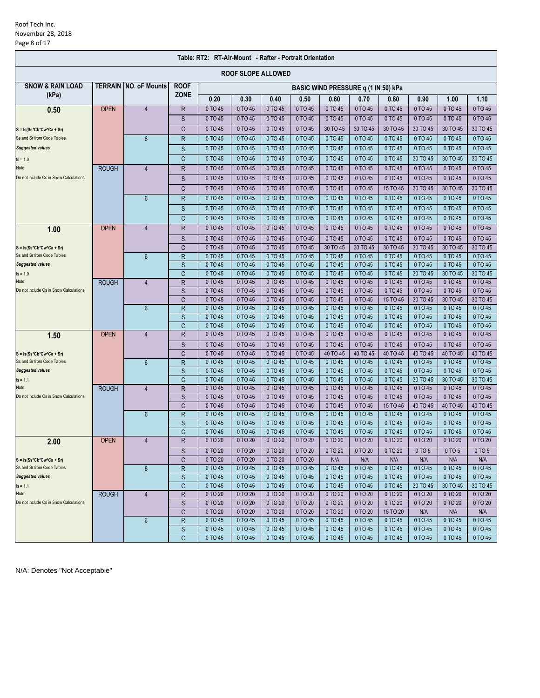### Roof Tech Inc. November 28, 2018 Page 8 of 17

| Table: RT2: RT-Air-Mount - Rafter - Portrait Orientation |              |                              |              |                    |                           |                    |                    |                                     |                    |                    |                     |                     |                     |
|----------------------------------------------------------|--------------|------------------------------|--------------|--------------------|---------------------------|--------------------|--------------------|-------------------------------------|--------------------|--------------------|---------------------|---------------------|---------------------|
|                                                          |              |                              |              |                    | <b>ROOF SLOPE ALLOWED</b> |                    |                    |                                     |                    |                    |                     |                     |                     |
| <b>SNOW &amp; RAIN LOAD</b>                              |              | <b>TERRAIN NO. oF Mounts</b> | <b>ROOF</b>  |                    |                           |                    |                    | BASIC WIND PRESSURE q (1 IN 50) kPa |                    |                    |                     |                     |                     |
| (kPa)                                                    |              |                              | <b>ZONE</b>  | 0.20               | 0.30                      | 0.40               | 0.50               | 0.60                                | 0.70               | 0.80               | 0.90                | 1.00                | 1.10                |
| 0.50                                                     | <b>OPEN</b>  | $\overline{4}$               | R            | 0 TO 45            | 0 TO 45                   | 0 TO 45            | 0 TO 45            | 0 TO 45                             | 0 TO 45            | 0 TO 45            | 0 TO 45             | 0 TO 45             | 0 TO 45             |
|                                                          |              |                              | S            | 0 TO 45            | 0 TO 45                   | 0 TO 45            | 0 TO 45            | 0 TO 45                             | 0 TO 45            | 0 TO 45            | 0 TO 45             | 0 TO 45             | 0 TO 45             |
| $S = Is(Ss*Cb*Cw*Ca + Sr)$                               |              |                              | C            | 0 TO 45            | 0 TO 45                   | 0 TO 45            | 0 TO 45            | 30 TO 45                            | 30 TO 45           | 30 TO 45           | 30 TO 45            | 30 TO 45            | 30 TO 45            |
| Ss and Sr from Code Tables                               |              | $6\phantom{1}$               | $\mathsf R$  | 0 TO 45            | 0 TO 45                   | 0 TO 45            | 0 TO 45            | 0 TO 45                             | 0 TO 45            | 0 TO 45            | 0 TO 45             | 0 TO 45             | 0 TO 45             |
| <b>Suggested values</b>                                  |              |                              | S            | 0 TO 45            | 0 TO 45                   | 0 TO 45            | 0 TO 45            | 0 TO 45                             | 0 TO 45            | 0 TO 45            | 0 TO 45             | 0 TO 45             | 0 TO 45             |
| $Is = 1.0$                                               |              |                              | C            | 0 TO 45            | 0 TO 45                   | 0 TO 45            | 0 TO 45            | 0 TO 45                             | 0 TO 45            | 0 TO 45            | 30 TO 45            | 30 TO 45            | 30 TO 45            |
| Note:                                                    | <b>ROUGH</b> | $\overline{4}$               | R            | 0 TO 45            | 0 TO 45                   | 0 TO 45            | 0 TO 45            | 0 TO 45                             | 0 TO 45            | 0 TO 45            | 0 TO 45             | 0 TO 45             | 0 TO 45             |
| Do not include Cs in Snow Calculations                   |              |                              | S            | 0 TO 45            | 0 TO 45                   | 0 TO 45            | 0 TO 45            | 0 TO 45                             | 0 TO 45            | 0 TO 45            | 0 TO 45             | 0 TO 45             | 0 TO 45             |
|                                                          |              |                              | C            | 0 TO 45            | 0 TO 45                   | 0 TO 45            | 0 TO 45            | 0 TO 45                             | 0 TO 45            | 15 TO 45           | 30 TO 45            | 30 TO 45            | 30 TO 45            |
|                                                          |              | $6\phantom{a}$               | $\mathsf{R}$ | 0 TO 45            | 0 TO 45                   | 0 TO 45            | 0 TO 45            | 0 TO 45                             | 0 TO 45            | 0 TO 45            | 0 TO 45             | 0 TO 45             | 0 TO 45             |
|                                                          |              |                              |              |                    |                           |                    |                    |                                     |                    |                    |                     |                     |                     |
|                                                          |              |                              | S            | 0 TO 45            | 0 TO 45                   | 0 TO 45            | 0 TO 45            | 0 TO 45                             | 0 TO 45            | 0 TO 45            | 0 TO 45             | 0 TO 45             | 0 TO 45             |
|                                                          |              |                              | C            | 0 TO 45            | 0 TO 45                   | 0 TO 45            | 0 TO 45            | 0 TO 45                             | 0 TO 45            | 0 TO 45            | 0 TO 45             | 0 TO 45             | 0 TO 45             |
| 1.00                                                     | <b>OPEN</b>  | $\overline{4}$               | $\mathsf R$  | 0 TO 45            | 0 TO 45                   | 0 TO 45            | 0 TO 45            | 0 TO 45                             | 0 TO 45            | 0 TO 45            | 0 TO 45             | 0 TO 45             | 0 TO 45             |
|                                                          |              |                              | S            | 0 TO 45            | 0 TO 45                   | 0 TO 45            | 0 TO 45            | 0 TO 45                             | 0 TO 45            | 0 TO 45            | 0 TO 45             | 0 TO 45             | 0 TO 45             |
| $S = Is(Ss*Cb*Cw*Ca + Sr)$                               |              |                              | C            | 0 TO 45            | 0 TO 45                   | 0 TO 45            | 0 TO 45            | 30 TO 45                            | 30 TO 45           | 30 TO 45           | 30 TO 45            | 30 TO 45            | 30 TO 45            |
| Ss and Sr from Code Tables                               |              | $6\phantom{1}$               | $\mathsf R$  | 0 TO 45            | 0 TO 45                   | 0 TO 45            | 0 TO 45            | 0 TO 45                             | 0 TO 45            | 0 TO 45            | 0 TO 45             | 0 TO 45             | 0 TO 45             |
| <b>Suggested values</b>                                  |              |                              | S            | 0 TO 45            | 0 TO 45                   | 0 TO 45            | 0 TO 45            | 0 TO 45                             | 0 TO 45            | 0 TO 45            | 0 TO 45             | 0 TO 45             | 0 TO 45             |
| $Is = 1.0$                                               |              |                              | C            | 0 TO 45            | 0 TO 45                   | 0 TO 45            | 0 TO 45            | 0 TO 45                             | 0 TO 45            | 0 TO 45            | 30 TO 45            | 30 TO 45            | 30 TO 45            |
| Note:<br>Do not include Cs in Snow Calculations          | <b>ROUGH</b> | $\overline{4}$               | $\mathsf R$  | 0 TO 45<br>0 TO 45 | 0 TO 45<br>0 TO 45        | 0 TO 45<br>0 TO 45 | 0 TO 45<br>0 TO 45 | 0 TO 45<br>0 TO 45                  | 0 TO 45<br>0 TO 45 | 0 TO 45<br>0 TO 45 | 0 TO 45<br>0 TO 45  | 0 TO 45<br>0 TO 45  | 0 TO 45<br>0 TO 45  |
|                                                          |              |                              | S<br>C       | 0 TO 45            | 0 TO 45                   | 0 TO 45            | 0 TO 45            | 0 TO 45                             | 0 TO 45            | 15 TO 45           | 30 TO 45            | 30 TO 45            | 30 TO 45            |
|                                                          |              | 6                            | $\mathsf R$  | 0 TO 45            | 0 TO 45                   | 0 TO 45            | 0 TO 45            | 0 TO 45                             | 0 TO 45            | 0 TO 45            | 0 TO 45             | 0 TO 45             | 0 TO 45             |
|                                                          |              |                              | S            | 0 TO 45            | 0 TO 45                   | 0 TO 45            | 0 TO 45            | 0 TO 45                             | 0 TO 45            | 0 TO 45            | 0 TO 45             | 0 TO 45             | 0 TO 45             |
|                                                          |              |                              | C            | 0 TO 45            | 0 TO 45                   | 0 TO 45            | 0 TO 45            | 0 TO 45                             | 0 TO 45            | 0 TO 45            | 0 TO 45             | 0 TO 45             | 0 TO 45             |
| 1.50                                                     | <b>OPEN</b>  | $\overline{4}$               | $\mathsf R$  | 0 TO 45            | 0 TO 45                   | 0 TO 45            | 0 TO 45            | 0 TO 45                             | 0 TO 45            | 0 TO 45            | 0 TO 45             | 0 TO 45             | 0 TO 45             |
|                                                          |              |                              | S            | 0 TO 45            | 0 TO 45                   | 0 TO 45            | 0 TO 45            | 0 TO 45                             | 0 TO 45            | 0 TO 45            | 0 TO 45             | 0 TO 45             | 0 TO 45             |
| $S = Is(Ss*Cb*Cw*Ca + Sr)$                               |              |                              | C            | 0 TO 45            | 0 TO 45                   | 0 TO 45            | 0 TO 45            | 40 TO 45                            | 40 TO 45           | 40 TO 45           | 40 TO 45            | 40 TO 45            | 40 TO 45            |
| Ss and Sr from Code Tables                               |              | $6\phantom{a}$               | $\mathsf R$  | 0 TO 45            | 0 TO 45                   | 0 TO 45            | 0 TO 45            | 0 TO 45                             | 0 TO 45            | 0 TO 45            | 0 TO 45             | 0 TO 45             | 0 TO 45             |
| <b>Suggested values</b>                                  |              |                              | S            | 0 TO 45            | 0 TO 45                   | 0 TO 45            | 0 TO 45            | 0 TO 45                             | 0 TO 45            | 0 TO 45            | 0 TO 45             | 0 TO 45             | 0 TO 45             |
| $Is = 1.1$                                               |              |                              | C            | 0 TO 45            | 0 TO 45                   | 0 TO 45            | 0 TO 45            | 0 TO 45                             | 0 TO 45            | 0 TO 45            | 30 TO 45            | 30 TO 45            | 30 TO 45            |
| Note:                                                    | <b>ROUGH</b> | $\overline{4}$               | R            | 0 TO 45            | 0 TO 45                   | 0 TO 45            | 0 TO 45            | 0 TO 45                             | 0 TO 45            | 0 TO 45            | 0 TO 45             | 0 TO 45             | 0 TO 45             |
| Do not include Cs in Snow Calculations                   |              |                              | S            | 0 TO 45            | 0 TO 45                   | 0 TO 45            | 0 TO 45            | 0 TO 45                             | 0 TO 45            | 0 TO 45            | 0 TO 45             | 0 TO 45             | 0 TO 45             |
|                                                          |              |                              | C            | 0 TO 45            | 0 TO 45                   | 0 TO 45            | 0 TO 45            | 0 TO 45                             | 0 TO 45            | 15 TO 45           | 40 TO 45            | 40 TO 45            | 40 TO 45            |
|                                                          |              | 6                            | $\mathsf R$  | 0 TO 45            | 0 TO 45                   | 0 TO 45            | 0 TO 45            | 0 TO 45                             | 0 TO 45            | 0 TO 45            | 0 TO 45             | 0 TO 45             | 0 TO 45             |
|                                                          |              |                              | S            | 0 TO 45            | 0 TO 45                   | 0 TO 45            | 0 TO 45            | 0 TO 45                             | 0 TO 45            | 0 TO 45            | 0 TO 45             | 0 TO 45             | 0 TO 45             |
|                                                          |              |                              | C            | 0 TO 45            | 0 TO 45                   | 0 TO 45            | 0 TO 45            | 0 TO 45                             | 0 TO 45            | 0 TO 45            | 0 TO 45             | 0 TO 45             | 0 TO 45             |
| 2.00                                                     | <b>OPEN</b>  | $\overline{4}$               | R            | 0 TO 20            | 0 TO 20                   | 0 TO 20            | 0 TO 20            | 0 TO 20                             | 0 TO 20            | 0 TO 20            | 0 TO 20             | 0 TO 20             | 0 TO 20             |
|                                                          |              |                              | S            | 0 TO 20            | 0 TO 20                   | 0 TO 20            | 0 TO 20            | 0 TO 20                             | 0 TO 20            | 0 TO 20            | 0 TO 5              | 0 TO 5              | 0 TO 5              |
| $S = Is(Ss*Cb*Cw*Ca + Sr)$                               |              |                              | C            | 0 TO 20            | 0 TO 20                   | 0 TO 20            | 0 TO 20            | N/A                                 | N/A                | N/A                | N/A                 | N/A                 | N/A                 |
| Ss and Sr from Code Tables<br><b>Suggested values</b>    |              | 6                            | R            | 0 TO 45            | 0 TO 45                   | 0 TO 45            | 0 TO 45            | 0 TO 45                             | 0 TO 45            | 0 TO 45            | 0 TO 45             | 0 TO 45             | 0 TO 45             |
|                                                          |              |                              | S<br>C       | 0 TO 45<br>0 TO 45 | 0 TO 45<br>0 TO 45        | 0 TO 45<br>0 TO 45 | 0 TO 45<br>0 TO 45 | 0 TO 45<br>0 TO 45                  | 0 TO 45<br>0 TO 45 | 0 TO 45<br>0 TO 45 | 0 TO 45<br>30 TO 45 | 0 TO 45<br>30 TO 45 | 0 TO 45             |
| $Is = 1.1$<br>Note:                                      | <b>ROUGH</b> | $\overline{4}$               | $\mathsf R$  | 0 TO 20            | 0 TO 20                   | 0 TO 20            | 0 TO 20            | 0 TO 20                             | 0 TO 20            | 0 TO 20            | 0 TO 20             | 0 TO 20             | 30 TO 45<br>0 TO 20 |
| Do not include Cs in Snow Calculations                   |              |                              | $\mathsf S$  | 0 TO 20            | 0 TO 20                   | 0 TO 20            | 0 TO 20            | 0 TO 20                             | 0 TO 20            | 0 TO 20            | 0 TO 20             | 0 TO 20             | 0 TO 20             |
|                                                          |              |                              | C            | 0 TO 20            | 0 TO 20                   | 0 TO 20            | 0 TO 20            | 0 TO 20                             | 0 TO 20            | 15 TO 20           | N/A                 | N/A                 | N/A                 |
|                                                          |              | 6                            | $\mathsf R$  | 0 TO 45            | 0 TO 45                   | 0 TO 45            | 0 TO 45            | 0 TO 45                             | 0 TO 45            | 0 TO 45            | 0 TO 45             | 0 TO 45             | 0 TO 45             |
|                                                          |              |                              | $\mathsf S$  | 0 TO 45            | 0 TO 45                   | 0 TO 45            | 0 TO 45            | 0 TO 45                             | 0 TO 45            | 0 TO 45            | 0 TO 45             | 0 TO 45             | 0 TO 45             |
|                                                          |              |                              | С            | 0 TO 45            | 0 TO 45                   | 0 TO 45            | 0 TO 45            | 0 TO 45                             | 0 TO 45            | 0 TO 45            | 0 TO 45             | 0 TO 45             | 0 TO 45             |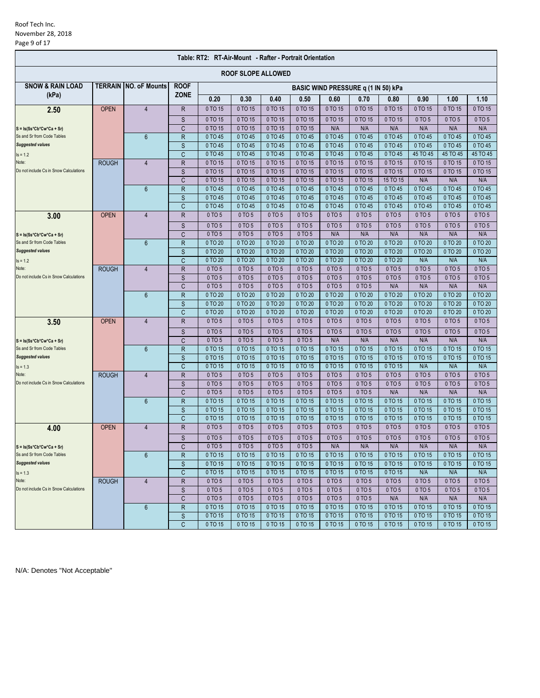### Roof Tech Inc. November 28, 2018 Page 9 of 17

| Table: RT2: RT-Air-Mount - Rafter - Portrait Orientation |              |                               |                   |                    |                           |                    |                    |                                     |                    |                    |                    |                    |                    |
|----------------------------------------------------------|--------------|-------------------------------|-------------------|--------------------|---------------------------|--------------------|--------------------|-------------------------------------|--------------------|--------------------|--------------------|--------------------|--------------------|
|                                                          |              |                               |                   |                    | <b>ROOF SLOPE ALLOWED</b> |                    |                    |                                     |                    |                    |                    |                    |                    |
| <b>SNOW &amp; RAIN LOAD</b>                              |              | <b>TERRAIN INO. oF Mounts</b> | <b>ROOF</b>       |                    |                           |                    |                    | BASIC WIND PRESSURE q (1 IN 50) kPa |                    |                    |                    |                    |                    |
| (kPa)                                                    |              |                               | <b>ZONE</b>       | 0.20               | 0.30                      | 0.40               | 0.50               | 0.60                                | 0.70               | 0.80               | 0.90               | 1.00               | 1.10               |
| 2.50                                                     | <b>OPEN</b>  | $\overline{4}$                | R                 | 0 TO 15            | 0 TO 15                   | 0 TO 15            | 0 TO 15            | 0 TO 15                             | 0 TO 15            | 0 TO 15            | 0 TO 15            | 0 TO 15            | 0 TO 15            |
|                                                          |              |                               | S                 | 0 TO 15            | 0 TO 15                   | 0 TO 15            | 0 TO 15            | 0 TO 15                             | 0 TO 15            | 0 TO 15            | 0 TO 5             | 0 TO 5             | 0 TO 5             |
| $S = Is(Ss*Cb*Cw*Ca + Sr)$                               |              |                               | C                 | 0 TO 15            | 0 TO 15                   | 0 TO 15            | 0 TO 15            | N/A                                 | N/A                | N/A                | N/A                | N/A                | N/A                |
| Ss and Sr from Code Tables                               |              | $6\phantom{a}$                | R                 | 0 TO 45            | 0 TO 45                   | 0 TO 45            | 0 TO 45            | 0 TO 45                             | 0 TO 45            | 0 TO 45            | 0 TO 45            | 0 TO 45            | 0 TO 45            |
| <b>Suggested values</b>                                  |              |                               | S                 | 0 TO 45            | 0 TO 45                   | 0 TO 45            | 0 TO 45            | 0 TO 45                             | 0 TO 45            | 0 TO 45            | 0 TO 45            | 0 TO 45            | 0 TO 45            |
| $Is = 1.2$                                               |              |                               | C                 | 0 TO 45            | 0 TO 45                   | 0 TO 45            | 0 TO 45            | 0 TO 45                             | 0 TO 45            | 0 TO 45            | 45 TO 45           | 45 TO 45           | 45 TO 45           |
| Note:                                                    | <b>ROUGH</b> | $\overline{4}$                | R                 | 0 TO 15            | 0 TO 15                   | 0 TO 15            | 0 TO 15            | 0 TO 15                             | 0 TO 15            | 0 TO 15            | 0 TO 15            | 0 TO 15            | 0 TO 15            |
| Do not include Cs in Snow Calculations                   |              |                               | S                 | 0 TO 15            | 0 TO 15                   | 0 TO 15            | 0 TO 15            | 0 TO 15                             | 0 TO 15            | 0 TO 15            | 0 TO 15            | 0 TO 15            | 0 TO 15            |
|                                                          |              |                               | C                 | 0 TO 15            | 0 TO 15                   | 0 TO 15            | 0 TO 15            | 0 TO 15                             | 0 TO 15            | 15 TO 15           | N/A                | N/A                | N/A                |
|                                                          |              | 6                             | R                 | 0 TO 45            | 0 TO 45<br>0 TO 45        | 0 TO 45            | 0 TO 45            | 0 TO 45<br>0 TO 45                  | 0 TO 45<br>0 TO 45 | 0 TO 45            | 0 TO 45<br>0 TO 45 | 0 TO 45<br>0 TO 45 | 0 TO 45<br>0 TO 45 |
|                                                          |              |                               | S<br>C            | 0 TO 45<br>0 TO 45 | 0 TO 45                   | 0 TO 45<br>0 TO 45 | 0 TO 45<br>0 TO 45 | 0 TO 45                             | 0 TO 45            | 0 TO 45<br>0 TO 45 | 0 TO 45            | 0 TO 45            | 0 TO 45            |
| 3.00                                                     | <b>OPEN</b>  | $\overline{4}$                | $\mathsf R$       | 0 TO 5             | 0 TO 5                    | 0 TO 5             | 0 TO 5             | 0 TO 5                              | 0 TO 5             | 0 TO 5             | 0 TO 5             | 0 TO 5             | 0 TO 5             |
|                                                          |              |                               |                   | 0 TO 5             | 0 TO 5                    | 0 TO 5             | 0 TO 5             | 0 TO 5                              | 0 TO 5             | 0 TO 5             | 0 TO 5             | 0 TO 5             | 0 TO 5             |
| $S = Is(Ss*Cb*Cw*Ca + Sr)$                               |              |                               | S<br>C            | 0 TO 5             | 0 TO 5                    | 0 TO 5             | 0 TO 5             | N/A                                 | N/A                | N/A                | N/A                | N/A                | N/A                |
| Ss and Sr from Code Tables                               |              | $6\phantom{a}$                | $\mathsf R$       | 0 TO 20            | 0 TO 20                   | 0 TO 20            | 0 TO 20            | 0 TO 20                             | 0 TO 20            | 0 TO 20            | 0 TO 20            | 0 TO 20            | 0 TO 20            |
| <b>Suggested values</b>                                  |              |                               | S                 | 0 TO 20            | 0 TO 20                   | 0 TO 20            | 0 TO 20            | 0 TO 20                             | 0 TO 20            | 0 TO 20            | 0 TO 20            | 0 TO 20            | 0 TO 20            |
| $Is = 1.2$                                               |              |                               | C                 | 0 TO 20            | 0 TO 20                   | 0 TO 20            | 0 TO 20            | 0 TO 20                             | 0 TO 20            | 0 TO 20            | N/A                | N/A                | N/A                |
| Note:                                                    | <b>ROUGH</b> | $\overline{4}$                | R                 | 0 TO 5             | 0 TO 5                    | 0 TO 5             | 0 TO 5             | 0 TO 5                              | 0 TO 5             | 0 TO 5             | 0 TO 5             | 0 TO 5             | 0 TO 5             |
| Do not include Cs in Snow Calculations                   |              |                               | S                 | 0 TO 5             | 0 TO 5                    | 0 TO 5             | 0 TO 5             | 0 TO 5                              | 0 TO 5             | 0 TO 5             | 0 TO 5             | 0 TO 5             | 0 TO 5             |
|                                                          |              |                               | C                 | 0 TO 5             | 0 TO 5                    | 0 TO 5             | 0 TO 5             | 0 TO 5                              | 0 TO 5             | N/A                | N/A                | N/A                | N/A                |
|                                                          |              | $6\overline{6}$               | R                 | 0 TO 20            | 0 TO 20                   | 0 TO 20            | 0 TO 20            | 0 TO 20                             | 0 TO 20            | 0 TO 20            | 0 TO 20            | 0 TO 20            | 0 TO 20            |
|                                                          |              |                               | S                 | 0 TO 20            | 0 TO 20                   | 0 TO 20            | 0 TO 20            | 0 TO 20                             | 0 TO 20            | 0 TO 20            | 0 TO 20            | 0 TO 20            | 0 TO 20            |
|                                                          |              |                               | C                 | 0 TO 20            | 0 TO 20                   | 0 TO 20            | 0 TO 20            | 0 TO 20                             | 0 TO 20            | 0 TO 20            | 0 TO 20            | 0 TO 20            | 0 TO 20            |
| 3.50                                                     | <b>OPEN</b>  | $\overline{4}$                | $\mathsf R$       | 0 TO 5             | 0 TO 5                    | 0 TO 5             | 0 TO 5             | 0 TO 5                              | 0 TO 5             | 0 TO 5             | 0 TO 5             | 0 TO 5             | 0 TO 5             |
|                                                          |              |                               | S                 | 0 TO 5             | 0 TO 5                    | 0 TO 5             | 0 TO 5             | 0 TO 5                              | 0 TO 5             | 0 TO 5             | 0 TO 5             | 0 TO 5             | 0 TO 5             |
| $S = Is(Ss*Cb*Cw*Ca + Sr)$                               |              |                               | C                 | 0 TO 5             | 0 TO 5                    | 0 TO 5             | 0 TO 5             | N/A                                 | N/A                | N/A                | N/A                | N/A                | N/A                |
| Ss and Sr from Code Tables                               |              | $6\phantom{1}$                | $\mathsf{R}$      | 0 TO 15            | 0 TO 15                   | 0 TO 15            | 0 TO 15            | 0 TO 15                             | 0 TO 15            | 0 TO 15            | 0 TO 15            | 0 TO 15            | 0 TO 15            |
| <b>Suggested values</b>                                  |              |                               | S<br>$\mathsf{C}$ | 0 TO 15            | 0 TO 15                   | 0 TO 15            | 0 TO 15            | 0 TO 15                             | 0 TO 15            | 0 TO 15            | 0 TO 15<br>N/A     | 0 TO 15            | 0 TO 15            |
| $Is = 1.3$<br>Note:                                      |              | $\overline{4}$                | R                 | 0 TO 15<br>0 TO 5  | 0 TO 15<br>0 TO 5         | 0 TO 15<br>0 TO 5  | 0 TO 15<br>0 TO 5  | 0 TO 15<br>0 TO 5                   | 0 TO 15<br>0 TO 5  | 0 TO 15<br>0 TO 5  | 0 TO 5             | N/A<br>0 TO 5      | N/A<br>0 TO 5      |
| Do not include Cs in Snow Calculations                   | <b>ROUGH</b> |                               | $\mathsf{S}$      | 0 TO 5             | 0 TO 5                    | 0 TO 5             | 0 TO 5             | 0 TO 5                              | 0 TO 5             | 0 TO 5             | 0 TO 5             | 0 TO 5             | 0 TO 5             |
|                                                          |              |                               | C                 | 0 TO 5             | 0 TO 5                    | 0 TO 5             | 0 TO 5             | 0 TO 5                              | 0 TO 5             | N/A                | N/A                | N/A                | N/A                |
|                                                          |              | 6                             | R                 | 0 TO 15            | 0 TO 15                   | 0 TO 15            | 0 TO 15            | 0 TO 15                             | 0 TO 15            | 0 TO 15            | 0 TO 15            | 0 TO 15            | 0 TO 15            |
|                                                          |              |                               | S                 | 0 TO 15            | 0 TO 15                   | 0 TO 15            | 0 TO 15            | 0 TO 15                             | 0 TO 15            | 0 TO 15            | 0 TO 15            | 0 TO 15            | 0 TO 15            |
|                                                          |              |                               | C                 | 0 TO 15            | 0 TO 15                   | 0 TO 15            | 0 TO 15            | 0 TO 15                             | 0 TO 15            | 0 TO 15            | 0 TO 15            | 0 TO 15            | 0 TO 15            |
| 4.00                                                     | <b>OPEN</b>  | $\overline{4}$                | R                 | 0 TO 5             | 0 TO 5                    | 0 TO 5             | 0 TO 5             | 0 TO 5                              | 0 TO 5             | 0 TO 5             | 0 TO 5             | 0 TO 5             | 0 TO 5             |
|                                                          |              |                               | S                 | 0 TO 5             | 0 TO 5                    | 0 TO 5             | 0 TO 5             | 0 TO 5                              | 0 TO 5             | 0 TO 5             | 0 TO 5             | 0 TO 5             | 0 TO 5             |
| $S = Is(Ss*Cb*Cw*Ca + Sr)$                               |              |                               | C                 | $0$ TO $5$         | 0T05                      | 0T05               | 0T05               | N/A                                 | N/A                | N/A                | N/A                | N/A                | N/A                |
| Ss and Sr from Code Tables                               |              | $6\phantom{1}$                | $\mathsf{R}$      | 0 TO 15            | 0 TO 15                   | 0 TO 15            | 0 TO 15            | 0 TO 15                             | 0 TO 15            | 0 TO 15            | 0 TO 15            | 0 TO 15            | 0 TO 15            |
| <b>Suggested values</b>                                  |              |                               | S                 | 0 TO 15            | 0 TO 15                   | 0 TO 15            | 0 TO 15            | 0 TO 15                             | 0 TO 15            | 0 TO 15            | 0 TO 15            | 0 TO 15            | 0 TO 15            |
| $Is = 1.3$                                               |              |                               | C                 | 0 TO 15            | 0 TO 15                   | 0 TO 15            | 0 TO 15            | 0 TO 15                             | 0 TO 15            | 0 TO 15            | N/A                | N/A                | N/A                |
| Note:                                                    | <b>ROUGH</b> | $\overline{4}$                | R                 | 0 TO 5             | 0 TO 5                    | 0 TO 5             | 0 TO 5             | 0 TO 5                              | 0 TO 5             | 0 TO 5             | 0 TO 5             | 0 TO 5             | 0 TO 5             |
| Do not include Cs in Snow Calculations                   |              |                               | S                 | 0 TO 5             | 0 TO 5                    | 0 TO 5             | 0 TO 5             | 0 TO 5                              | 0 TO 5             | 0 TO 5             | 0 TO 5             | 0 TO 5             | 0 TO 5             |
|                                                          |              |                               | C                 | 0 TO 5             | 0 TO 5                    | 0 TO 5             | 0 TO 5             | 0 TO 5                              | 0 TO 5             | N/A                | N/A                | N/A                | N/A                |
|                                                          |              | 6                             | R                 | 0 TO 15            | 0 TO 15                   | 0 TO 15            | 0 TO 15            | $0$ TO 15                           | 0 TO 15            | 0 TO 15            | 0 TO 15            | 0 TO 15            | 0 TO 15            |
|                                                          |              |                               | $\mathsf S$       | 0 TO 15            | 0 TO 15                   | 0 TO 15            | 0 TO 15            | 0 TO 15                             | 0 TO 15            | 0 TO 15            | 0 TO 15            | 0 TO 15            | 0 TO 15            |
|                                                          |              |                               | C                 | 0 TO 15            | 0 TO 15                   | 0 TO 15            | 0 TO 15            | 0 TO 15                             | 0 TO 15            | 0 TO 15            | 0 TO 15            | 0 TO 15            | 0 TO 15            |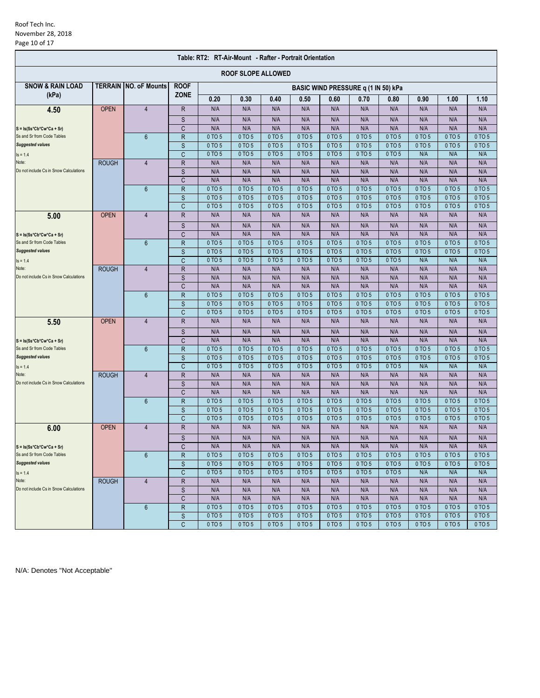### Roof Tech Inc. November 28, 2018 Page 10 of 17

| Table: RT2: RT-Air-Mount - Rafter - Portrait Orientation |              |                               |                   |                  |                           |                  |                  |                  |                                     |                  |                  |                  |                  |
|----------------------------------------------------------|--------------|-------------------------------|-------------------|------------------|---------------------------|------------------|------------------|------------------|-------------------------------------|------------------|------------------|------------------|------------------|
|                                                          |              |                               |                   |                  | <b>ROOF SLOPE ALLOWED</b> |                  |                  |                  |                                     |                  |                  |                  |                  |
| <b>SNOW &amp; RAIN LOAD</b>                              |              | <b>TERRAIN INO. oF Mounts</b> | <b>ROOF</b>       |                  |                           |                  |                  |                  | BASIC WIND PRESSURE q (1 IN 50) kPa |                  |                  |                  |                  |
| (kPa)                                                    |              |                               | <b>ZONE</b>       | 0.20             | 0.30                      | 0.40             | 0.50             | 0.60             | 0.70                                | 0.80             | 0.90             | 1.00             | 1.10             |
| 4.50                                                     | <b>OPEN</b>  | $\overline{4}$                | R                 | N/A              | N/A                       | N/A              | N/A              | N/A              | N/A                                 | N/A              | N/A              | N/A              | N/A              |
|                                                          |              |                               | S                 | N/A              | N/A                       | N/A              | N/A              | N/A              | N/A                                 | N/A              | N/A              | N/A              | N/A              |
| $S = Is(Ss*Cb*Cw*Ca + Sr)$                               |              |                               | C                 | N/A              | N/A                       | N/A              | N/A              | N/A              | N/A                                 | N/A              | N/A              | N/A              | N/A              |
| Ss and Sr from Code Tables                               |              | 6                             | R                 | 0 TO 5           | 0 TO 5                    | 0 TO 5           | 0 TO 5           | 0 TO 5           | 0 TO 5                              | 0 TO 5           | 0 TO 5           | 0 TO 5           | 0 TO 5           |
| <b>Suggested values</b>                                  |              |                               | S                 | 0 TO 5           | 0 TO 5                    | 0 TO 5           | 0 TO 5           | 0 TO 5           | 0 TO 5                              | 0 TO 5           | 0 TO 5           | 0 TO 5           | 0 TO 5           |
| $Is = 1.4$                                               |              |                               | C                 | 0 TO 5           | 0 TO 5                    | 0 TO 5           | 0 TO 5           | 0 TO 5           | 0 TO 5                              | 0 TO 5           | N/A              | N/A              | N/A              |
| Note:                                                    | <b>ROUGH</b> | $\overline{4}$                | R                 | N/A              | N/A                       | N/A              | N/A              | N/A              | N/A                                 | N/A              | N/A              | N/A              | N/A              |
| Do not include Cs in Snow Calculations                   |              |                               | S                 | N/A              | N/A                       | N/A              | N/A              | N/A              | N/A                                 | N/A              | N/A              | N/A              | N/A              |
|                                                          |              |                               | C                 | N/A              | N/A<br>0 TO 5             | N/A<br>0 TO 5    | N/A              | N/A<br>0 TO 5    | N/A<br>0 TO 5                       | N/A              | N/A<br>0 TO 5    | N/A<br>0 TO 5    | N/A              |
|                                                          |              | $6\phantom{1}$                | $\mathsf{R}$<br>S | 0 TO 5<br>0 TO 5 | 0 TO 5                    | 0 TO 5           | 0 TO 5<br>0 TO 5 | 0 TO 5           | 0 TO 5                              | 0 TO 5<br>0 TO 5 | 0 TO 5           | 0 TO 5           | 0 TO 5<br>0 TO 5 |
|                                                          |              |                               | C                 | 0 TO 5           | 0 TO 5                    | 0 TO 5           | 0 TO 5           | 0 TO 5           | 0 TO 5                              | 0 TO 5           | 0 TO 5           | 0 TO 5           | 0 TO 5           |
| 5.00                                                     | <b>OPEN</b>  | 4                             | $\mathsf R$       | N/A              | N/A                       | N/A              | N/A              | N/A              | N/A                                 | N/A              | N/A              | N/A              | N/A              |
|                                                          |              |                               | S                 | N/A              | N/A                       | N/A              | N/A              | N/A              | N/A                                 | N/A              | N/A              | N/A              | N/A              |
| $S = Is(Ss*Cb*Cw*Ca + Sr)$                               |              |                               | C                 | N/A              | N/A                       | N/A              | N/A              | N/A              | N/A                                 | N/A              | N/A              | N/A              | N/A              |
| Ss and Sr from Code Tables                               |              | 6                             | R                 | 0 TO 5           | 0 TO 5                    | 0 TO 5           | 0 TO 5           | 0 TO 5           | 0 TO 5                              | 0 TO 5           | 0 TO 5           | 0 TO 5           | 0 TO 5           |
| <b>Suggested values</b>                                  |              |                               | S                 | 0 TO 5           | $0$ TO $5$                | 0 TO 5           | 0 TO 5           | 0 TO 5           | 0 TO 5                              | 0 TO 5           | 0 TO 5           | 0 TO 5           | 0 TO 5           |
| $Is = 1.4$                                               |              |                               | C                 | 0 TO 5           | 0 TO 5                    | 0 TO 5           | 0 TO 5           | 0 TO 5           | 0 TO 5                              | 0 TO 5           | N/A              | N/A              | N/A              |
| Note:                                                    | <b>ROUGH</b> | $\overline{4}$                | $\mathsf R$       | N/A              | N/A                       | N/A              | N/A              | N/A              | N/A                                 | N/A              | N/A              | N/A              | N/A              |
| Do not include Cs in Snow Calculations                   |              |                               | S                 | N/A              | N/A                       | N/A              | N/A              | N/A              | N/A                                 | N/A              | N/A              | N/A              | N/A              |
|                                                          |              |                               | C                 | N/A              | N/A                       | N/A              | N/A              | N/A              | N/A                                 | N/A              | N/A              | N/A              | N/A              |
|                                                          |              | 6                             | $\mathsf{R}$      | 0 TO 5           | 0 TO 5                    | 0 TO 5           | 0 TO 5           | 0 TO 5           | 0 TO 5                              | 0 TO 5           | 0 TO 5           | 0 TO 5           | 0 TO 5           |
|                                                          |              |                               | S                 | 0 TO 5           | 0 TO 5                    | 0 TO 5           | 0 TO 5           | 0 TO 5           | 0 TO 5                              | 0 TO 5           | 0 TO 5           | 0 TO 5           | 0 TO 5           |
|                                                          |              |                               | C                 | 0 TO 5           | 0 TO 5                    | 0 TO 5           | 0 TO 5           | 0 TO 5           | 0 TO 5                              | 0 TO 5           | 0 TO 5           | 0 TO 5           | 0 TO 5           |
| 5.50                                                     | <b>OPEN</b>  | 4                             | $\mathsf R$       | N/A              | N/A                       | N/A              | N/A              | N/A              | N/A                                 | N/A              | N/A              | N/A              | N/A              |
|                                                          |              |                               | S                 | N/A              | N/A                       | N/A              | N/A              | N/A              | N/A                                 | N/A              | N/A              | N/A              | N/A              |
| $S = Is(Ss*Cb*Cw*Ca + Sr)$                               |              |                               | C                 | N/A              | N/A                       | N/A              | N/A              | N/A              | N/A                                 | N/A              | N/A              | N/A              | N/A              |
| Ss and Sr from Code Tables<br><b>Suggested values</b>    |              | 6                             | $\mathsf{R}$      | 0 TO 5<br>0 TO 5 | 0 TO 5<br>0 TO 5          | 0 TO 5<br>0 TO 5 | 0 TO 5<br>0 TO 5 | 0 TO 5<br>0 TO 5 | 0 TO 5<br>0 TO 5                    | 0 TO 5<br>0 TO 5 | 0 TO 5<br>0 TO 5 | 0 TO 5<br>0 TO 5 | 0 TO 5<br>0 TO 5 |
| $Is = 1.4$                                               |              |                               | S<br>C            | 0 TO 5           | 0 TO 5                    | 0 TO 5           | 0 TO 5           | 0 TO 5           | 0 TO 5                              | 0 TO 5           | N/A              | N/A              | N/A              |
| Note:                                                    | <b>ROUGH</b> | $\overline{4}$                | R                 | N/A              | N/A                       | N/A              | N/A              | N/A              | N/A                                 | N/A              | N/A              | N/A              | N/A              |
| Do not include Cs in Snow Calculations                   |              |                               | S                 | N/A              | N/A                       | N/A              | N/A              | N/A              | N/A                                 | N/A              | N/A              | N/A              | N/A              |
|                                                          |              |                               | C                 | N/A              | N/A                       | N/A              | N/A              | N/A              | N/A                                 | N/A              | N/A              | N/A              | N/A              |
|                                                          |              | $6\overline{6}$               | R                 | 0 TO 5           | 0 TO 5                    | 0 TO 5           | 0 TO 5           | 0 TO 5           | 0 TO 5                              | 0 TO 5           | 0 TO 5           | 0 TO 5           | 0 TO 5           |
|                                                          |              |                               | S                 | 0 TO 5           | 0 TO 5                    | 0 TO 5           | 0 TO 5           | 0 TO 5           | 0 TO 5                              | 0 TO 5           | 0 TO 5           | 0 TO 5           | 0 TO 5           |
|                                                          |              |                               | C                 | 0 TO 5           | 0 TO 5                    | 0 TO 5           | 0 TO 5           | 0 TO 5           | 0 TO 5                              | 0 TO 5           | 0 TO 5           | 0 TO 5           | 0 TO 5           |
| 6.00                                                     | <b>OPEN</b>  | $\overline{4}$                | $\mathsf R$       | N/A              | N/A                       | N/A              | N/A              | N/A              | N/A                                 | N/A              | N/A              | N/A              | N/A              |
|                                                          |              |                               | S                 | N/A              | N/A                       | N/A              | N/A              | N/A              | N/A                                 | N/A              | N/A              | N/A              | N/A              |
| $S = Is(Ss * Cb * Cw * Ca + Sr)$                         |              |                               | C                 | N/A              | N/A                       | N/A              | N/A              | N/A              | N/A                                 | N/A              | N/A              | N/A              | N/A              |
| Ss and Sr from Code Tables                               |              | $6\phantom{1}$                | R                 | 0 TO 5           | 0 TO 5                    | 0 TO 5           | 0 TO 5           | 0 TO 5           | 0 TO 5                              | 0 TO 5           | 0 TO 5           | 0 TO 5           | 0 TO 5           |
| <b>Suggested values</b>                                  |              |                               | S                 | 0 TO 5           | 0 TO 5                    | 0 TO 5           | 0 TO 5           | 0 TO 5           | 0 TO 5                              | 0 TO 5           | 0 TO 5           | 0 TO 5           | 0 TO 5           |
| $Is = 1.4$                                               |              |                               | $\mathsf{C}$      | 0 TO 5           | 0 TO 5                    | 0 TO 5           | 0 TO 5           | 0 TO 5           | 0 TO 5                              | 0 TO 5           | N/A              | N/A              | N/A              |
| Note:                                                    | <b>ROUGH</b> | $\overline{4}$                | R                 | N/A              | N/A                       | N/A              | N/A              | N/A              | N/A                                 | N/A              | N/A              | N/A              | N/A              |
| Do not include Cs in Snow Calculations                   |              |                               | $\mathsf S$       | N/A              | N/A                       | N/A              | N/A              | N/A              | N/A                                 | N/A              | N/A              | N/A              | N/A              |
|                                                          |              | 6                             | C                 | N/A<br>0 TO 5    | N/A<br>0 TO 5             | N/A<br>0 TO 5    | N/A<br>0 TO 5    | N/A<br>0 TO 5    | N/A<br>0 TO 5                       | N/A<br>0 TO 5    | N/A<br>0 TO 5    | N/A<br>0 TO 5    | N/A<br>0 TO 5    |
|                                                          |              |                               | R<br>$\mathsf S$  | 0 TO 5           | 0 TO 5                    | 0 TO 5           | 0 TO 5           | 0 TO 5           | 0 TO 5                              | 0 TO 5           | 0 TO 5           | 0 TO 5           | 0 TO 5           |
|                                                          |              |                               | C                 | 0 TO 5           | 0 TO 5                    | 0 TO 5           | 0 TO 5           | 0 TO 5           | 0 TO 5                              | 0 TO 5           | 0 TO 5           | 0 TO 5           | 0 TO 5           |
|                                                          |              |                               |                   |                  |                           |                  |                  |                  |                                     |                  |                  |                  |                  |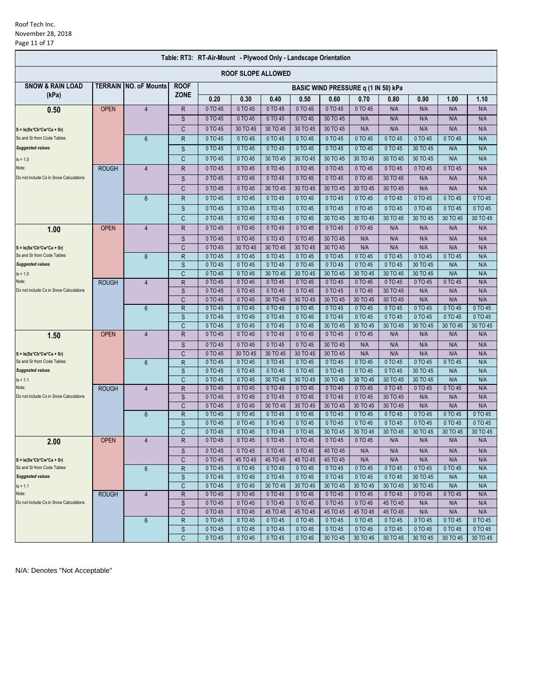#### Roof Tech Inc. November 28, 2018 Page 11 of 17

| <b>ROOF SLOPE ALLOWED</b><br><b>SNOW &amp; RAIN LOAD</b><br><b>TERRAIN INO. oF Mounts</b><br><b>ROOF</b><br>BASIC WIND PRESSURE q (1 IN 50) kPa<br><b>ZONE</b><br>(kPa)<br>0.20<br>0.30<br>0.50<br>0.60<br>0.40<br>0.70<br>0.90<br>1.00<br>1.10<br>0.80<br>0 TO 45<br>0 TO 45<br><b>OPEN</b><br>$\overline{4}$<br>$\mathsf{R}$<br>0 TO 45<br>0 TO 45<br>0 TO 45<br>0 TO 45<br>N/A<br>N/A<br>N/A<br>N/A<br>0.50<br>S<br>0 TO 45<br>0 TO 45<br>0 TO 45<br>0 TO 45<br>30 TO 45<br>N/A<br>N/A<br>N/A<br>N/A<br>N/A<br>30 TO 45<br>C<br>0 TO 45<br>30 TO 45<br>30 TO 45<br>30 TO 45<br>N/A<br>N/A<br>N/A<br>N/A<br>N/A<br>$S = Is(Ss*Cb*Cw*Ca + Sr)$<br>0 TO 45<br>0 TO 45<br>0 TO 45<br>0 TO 45<br>0 TO 45<br>Ss and Sr from Code Tables<br>$\mathsf{R}$<br>0 TO 45<br>0 TO 45<br>0 TO 45<br>0 TO 45<br>N/A<br>6<br>0 TO 45<br>0 TO 45<br>0 TO 45<br>0 TO 45<br>30 TO 45<br><b>Suggested values</b><br>S<br>0 TO 45<br>0 TO 45<br>0 TO 45<br>N/A<br>N/A<br>0 TO 45<br>0 TO 45<br>30 TO 45<br>30 TO 45<br>30 TO 45<br>30 TO 45<br>N/A<br>N/A<br>$\mathsf{C}$<br>30 TO 45<br>30 TO 45<br>$Is = 1.0$<br>0 TO 45<br>0 TO 45<br>0 TO 45<br>0 TO 45<br>0 TO 45<br><b>ROUGH</b><br>R<br>0 TO 45<br>0 TO 45<br>0 TO 45<br>0 TO 45<br>N/A<br>Note:<br>$\overline{4}$<br>S<br>0 TO 45<br>0 TO 45<br>0 TO 45<br>0 TO 45<br>0 TO 45<br>0 TO 45<br>30 TO 45<br>N/A<br>N/A<br>N/A<br>Do not include Cs in Snow Calculations<br>$\mathsf{C}$<br>0 TO 45<br>0 TO 45<br>30 TO 45<br>30 TO 45<br>30 TO 45<br>30 TO 45<br>30 TO 45<br>N/A<br>N/A<br>N/A<br>0 TO 45<br>0 TO 45<br>0 TO 45<br>0 TO 45<br>0 TO 45<br>6<br>$\overline{R}$<br>0 TO 45<br>0 TO 45<br>0 TO 45<br>0 TO 45<br>0 TO 45<br>0 TO 45<br>0 TO 45<br>0 TO 45<br>S<br>0 TO 45<br>0 TO 45<br>0 TO 45<br>0 TO 45<br>0 TO 45<br>0 TO 45<br>0 TO 45<br>$\mathsf{C}$<br>0 TO 45<br>0 TO 45<br>0 TO 45<br>0 TO 45<br>30 TO 45<br>30 TO 45<br>30 TO 45<br>30 TO 45<br>30 TO 45<br>30 TO 45<br><b>OPEN</b><br>R<br>0 TO 45<br>0 TO 45<br>0 TO 45<br>0 TO 45<br>0 TO 45<br>0 TO 45<br>N/A<br>$\overline{4}$<br>N/A<br>N/A<br>N/A<br>1.00<br>0 TO 45<br>0 TO 45<br>0 TO 45<br>30 TO 45<br>S<br>0 TO 45<br>N/A<br>N/A<br>N/A<br>N/A<br>N/A<br>30 TO 45<br>30 TO 45<br>30 TO 45<br>N/A<br>N/A<br>N/A<br>N/A<br>N/A<br>C<br>0 TO 45<br>30 TO 45<br>$S = Is(Ss*Cb*Cw*Ca + Sr)$<br>0 TO 45<br>0 TO 45<br>Ss and Sr from Code Tables<br>$6\phantom{1}$<br>0 TO 45<br>0 TO 45<br>0 TO 45<br>0 TO 45<br>0 TO 45<br>0 TO 45<br>0 TO 45<br>N/A<br>$\mathsf{R}$<br>0 TO 45<br>0 TO 45<br>0 TO 45<br>30 TO 45<br><b>Suggested values</b><br>S<br>0 TO 45<br>0 TO 45<br>0 TO 45<br>0 TO 45<br>N/A<br>N/A<br>N/A<br>N/A<br>$\mathsf{C}$<br>0 TO 45<br>0 TO 45<br>30 TO 45<br>30 TO 45<br>30 TO 45<br>30 TO 45<br>30 TO 45<br>30 TO 45<br>$Is = 1.0$<br>$\mathsf{R}$<br>0 TO 45<br>0 TO 45<br>0 TO 45<br>0 TO 45<br>0 TO 45<br>0 TO 45<br>0 TO 45<br>0 TO 45<br>0 TO 45<br>N/A<br>Note:<br><b>ROUGH</b><br>$\overline{4}$<br>N/A<br>Do not include Cs in Snow Calculations<br>S<br>0 TO 45<br>0 TO 45<br>0 TO 45<br>0 TO 45<br>0 TO 45<br>0 TO 45<br>30 TO 45<br>N/A<br>N/A<br>30 TO 45<br>C<br>0 TO 45<br>0 TO 45<br>30 TO 45<br>30 TO 45<br>30 TO 45<br>30 TO 45<br>N/A<br>N/A<br>N/A |
|---------------------------------------------------------------------------------------------------------------------------------------------------------------------------------------------------------------------------------------------------------------------------------------------------------------------------------------------------------------------------------------------------------------------------------------------------------------------------------------------------------------------------------------------------------------------------------------------------------------------------------------------------------------------------------------------------------------------------------------------------------------------------------------------------------------------------------------------------------------------------------------------------------------------------------------------------------------------------------------------------------------------------------------------------------------------------------------------------------------------------------------------------------------------------------------------------------------------------------------------------------------------------------------------------------------------------------------------------------------------------------------------------------------------------------------------------------------------------------------------------------------------------------------------------------------------------------------------------------------------------------------------------------------------------------------------------------------------------------------------------------------------------------------------------------------------------------------------------------------------------------------------------------------------------------------------------------------------------------------------------------------------------------------------------------------------------------------------------------------------------------------------------------------------------------------------------------------------------------------------------------------------------------------------------------------------------------------------------------------------------------------------------------------------------------------------------------------------------------------------------------------------------------------------------------------------------------------------------------------------------------------------------------------------------------------------------------------------------------------------------------------------------------------------------------------------------------------------------------------------------------------------------------------------------------------------------------------------------------------------------------------------------------------------------------------------------------------------------------------------------------------------------------------------------------------------------------|
|                                                                                                                                                                                                                                                                                                                                                                                                                                                                                                                                                                                                                                                                                                                                                                                                                                                                                                                                                                                                                                                                                                                                                                                                                                                                                                                                                                                                                                                                                                                                                                                                                                                                                                                                                                                                                                                                                                                                                                                                                                                                                                                                                                                                                                                                                                                                                                                                                                                                                                                                                                                                                                                                                                                                                                                                                                                                                                                                                                                                                                                                                                                                                                                                         |
|                                                                                                                                                                                                                                                                                                                                                                                                                                                                                                                                                                                                                                                                                                                                                                                                                                                                                                                                                                                                                                                                                                                                                                                                                                                                                                                                                                                                                                                                                                                                                                                                                                                                                                                                                                                                                                                                                                                                                                                                                                                                                                                                                                                                                                                                                                                                                                                                                                                                                                                                                                                                                                                                                                                                                                                                                                                                                                                                                                                                                                                                                                                                                                                                         |
|                                                                                                                                                                                                                                                                                                                                                                                                                                                                                                                                                                                                                                                                                                                                                                                                                                                                                                                                                                                                                                                                                                                                                                                                                                                                                                                                                                                                                                                                                                                                                                                                                                                                                                                                                                                                                                                                                                                                                                                                                                                                                                                                                                                                                                                                                                                                                                                                                                                                                                                                                                                                                                                                                                                                                                                                                                                                                                                                                                                                                                                                                                                                                                                                         |
|                                                                                                                                                                                                                                                                                                                                                                                                                                                                                                                                                                                                                                                                                                                                                                                                                                                                                                                                                                                                                                                                                                                                                                                                                                                                                                                                                                                                                                                                                                                                                                                                                                                                                                                                                                                                                                                                                                                                                                                                                                                                                                                                                                                                                                                                                                                                                                                                                                                                                                                                                                                                                                                                                                                                                                                                                                                                                                                                                                                                                                                                                                                                                                                                         |
|                                                                                                                                                                                                                                                                                                                                                                                                                                                                                                                                                                                                                                                                                                                                                                                                                                                                                                                                                                                                                                                                                                                                                                                                                                                                                                                                                                                                                                                                                                                                                                                                                                                                                                                                                                                                                                                                                                                                                                                                                                                                                                                                                                                                                                                                                                                                                                                                                                                                                                                                                                                                                                                                                                                                                                                                                                                                                                                                                                                                                                                                                                                                                                                                         |
|                                                                                                                                                                                                                                                                                                                                                                                                                                                                                                                                                                                                                                                                                                                                                                                                                                                                                                                                                                                                                                                                                                                                                                                                                                                                                                                                                                                                                                                                                                                                                                                                                                                                                                                                                                                                                                                                                                                                                                                                                                                                                                                                                                                                                                                                                                                                                                                                                                                                                                                                                                                                                                                                                                                                                                                                                                                                                                                                                                                                                                                                                                                                                                                                         |
|                                                                                                                                                                                                                                                                                                                                                                                                                                                                                                                                                                                                                                                                                                                                                                                                                                                                                                                                                                                                                                                                                                                                                                                                                                                                                                                                                                                                                                                                                                                                                                                                                                                                                                                                                                                                                                                                                                                                                                                                                                                                                                                                                                                                                                                                                                                                                                                                                                                                                                                                                                                                                                                                                                                                                                                                                                                                                                                                                                                                                                                                                                                                                                                                         |
|                                                                                                                                                                                                                                                                                                                                                                                                                                                                                                                                                                                                                                                                                                                                                                                                                                                                                                                                                                                                                                                                                                                                                                                                                                                                                                                                                                                                                                                                                                                                                                                                                                                                                                                                                                                                                                                                                                                                                                                                                                                                                                                                                                                                                                                                                                                                                                                                                                                                                                                                                                                                                                                                                                                                                                                                                                                                                                                                                                                                                                                                                                                                                                                                         |
|                                                                                                                                                                                                                                                                                                                                                                                                                                                                                                                                                                                                                                                                                                                                                                                                                                                                                                                                                                                                                                                                                                                                                                                                                                                                                                                                                                                                                                                                                                                                                                                                                                                                                                                                                                                                                                                                                                                                                                                                                                                                                                                                                                                                                                                                                                                                                                                                                                                                                                                                                                                                                                                                                                                                                                                                                                                                                                                                                                                                                                                                                                                                                                                                         |
|                                                                                                                                                                                                                                                                                                                                                                                                                                                                                                                                                                                                                                                                                                                                                                                                                                                                                                                                                                                                                                                                                                                                                                                                                                                                                                                                                                                                                                                                                                                                                                                                                                                                                                                                                                                                                                                                                                                                                                                                                                                                                                                                                                                                                                                                                                                                                                                                                                                                                                                                                                                                                                                                                                                                                                                                                                                                                                                                                                                                                                                                                                                                                                                                         |
|                                                                                                                                                                                                                                                                                                                                                                                                                                                                                                                                                                                                                                                                                                                                                                                                                                                                                                                                                                                                                                                                                                                                                                                                                                                                                                                                                                                                                                                                                                                                                                                                                                                                                                                                                                                                                                                                                                                                                                                                                                                                                                                                                                                                                                                                                                                                                                                                                                                                                                                                                                                                                                                                                                                                                                                                                                                                                                                                                                                                                                                                                                                                                                                                         |
|                                                                                                                                                                                                                                                                                                                                                                                                                                                                                                                                                                                                                                                                                                                                                                                                                                                                                                                                                                                                                                                                                                                                                                                                                                                                                                                                                                                                                                                                                                                                                                                                                                                                                                                                                                                                                                                                                                                                                                                                                                                                                                                                                                                                                                                                                                                                                                                                                                                                                                                                                                                                                                                                                                                                                                                                                                                                                                                                                                                                                                                                                                                                                                                                         |
|                                                                                                                                                                                                                                                                                                                                                                                                                                                                                                                                                                                                                                                                                                                                                                                                                                                                                                                                                                                                                                                                                                                                                                                                                                                                                                                                                                                                                                                                                                                                                                                                                                                                                                                                                                                                                                                                                                                                                                                                                                                                                                                                                                                                                                                                                                                                                                                                                                                                                                                                                                                                                                                                                                                                                                                                                                                                                                                                                                                                                                                                                                                                                                                                         |
|                                                                                                                                                                                                                                                                                                                                                                                                                                                                                                                                                                                                                                                                                                                                                                                                                                                                                                                                                                                                                                                                                                                                                                                                                                                                                                                                                                                                                                                                                                                                                                                                                                                                                                                                                                                                                                                                                                                                                                                                                                                                                                                                                                                                                                                                                                                                                                                                                                                                                                                                                                                                                                                                                                                                                                                                                                                                                                                                                                                                                                                                                                                                                                                                         |
|                                                                                                                                                                                                                                                                                                                                                                                                                                                                                                                                                                                                                                                                                                                                                                                                                                                                                                                                                                                                                                                                                                                                                                                                                                                                                                                                                                                                                                                                                                                                                                                                                                                                                                                                                                                                                                                                                                                                                                                                                                                                                                                                                                                                                                                                                                                                                                                                                                                                                                                                                                                                                                                                                                                                                                                                                                                                                                                                                                                                                                                                                                                                                                                                         |
|                                                                                                                                                                                                                                                                                                                                                                                                                                                                                                                                                                                                                                                                                                                                                                                                                                                                                                                                                                                                                                                                                                                                                                                                                                                                                                                                                                                                                                                                                                                                                                                                                                                                                                                                                                                                                                                                                                                                                                                                                                                                                                                                                                                                                                                                                                                                                                                                                                                                                                                                                                                                                                                                                                                                                                                                                                                                                                                                                                                                                                                                                                                                                                                                         |
|                                                                                                                                                                                                                                                                                                                                                                                                                                                                                                                                                                                                                                                                                                                                                                                                                                                                                                                                                                                                                                                                                                                                                                                                                                                                                                                                                                                                                                                                                                                                                                                                                                                                                                                                                                                                                                                                                                                                                                                                                                                                                                                                                                                                                                                                                                                                                                                                                                                                                                                                                                                                                                                                                                                                                                                                                                                                                                                                                                                                                                                                                                                                                                                                         |
|                                                                                                                                                                                                                                                                                                                                                                                                                                                                                                                                                                                                                                                                                                                                                                                                                                                                                                                                                                                                                                                                                                                                                                                                                                                                                                                                                                                                                                                                                                                                                                                                                                                                                                                                                                                                                                                                                                                                                                                                                                                                                                                                                                                                                                                                                                                                                                                                                                                                                                                                                                                                                                                                                                                                                                                                                                                                                                                                                                                                                                                                                                                                                                                                         |
|                                                                                                                                                                                                                                                                                                                                                                                                                                                                                                                                                                                                                                                                                                                                                                                                                                                                                                                                                                                                                                                                                                                                                                                                                                                                                                                                                                                                                                                                                                                                                                                                                                                                                                                                                                                                                                                                                                                                                                                                                                                                                                                                                                                                                                                                                                                                                                                                                                                                                                                                                                                                                                                                                                                                                                                                                                                                                                                                                                                                                                                                                                                                                                                                         |
|                                                                                                                                                                                                                                                                                                                                                                                                                                                                                                                                                                                                                                                                                                                                                                                                                                                                                                                                                                                                                                                                                                                                                                                                                                                                                                                                                                                                                                                                                                                                                                                                                                                                                                                                                                                                                                                                                                                                                                                                                                                                                                                                                                                                                                                                                                                                                                                                                                                                                                                                                                                                                                                                                                                                                                                                                                                                                                                                                                                                                                                                                                                                                                                                         |
|                                                                                                                                                                                                                                                                                                                                                                                                                                                                                                                                                                                                                                                                                                                                                                                                                                                                                                                                                                                                                                                                                                                                                                                                                                                                                                                                                                                                                                                                                                                                                                                                                                                                                                                                                                                                                                                                                                                                                                                                                                                                                                                                                                                                                                                                                                                                                                                                                                                                                                                                                                                                                                                                                                                                                                                                                                                                                                                                                                                                                                                                                                                                                                                                         |
|                                                                                                                                                                                                                                                                                                                                                                                                                                                                                                                                                                                                                                                                                                                                                                                                                                                                                                                                                                                                                                                                                                                                                                                                                                                                                                                                                                                                                                                                                                                                                                                                                                                                                                                                                                                                                                                                                                                                                                                                                                                                                                                                                                                                                                                                                                                                                                                                                                                                                                                                                                                                                                                                                                                                                                                                                                                                                                                                                                                                                                                                                                                                                                                                         |
|                                                                                                                                                                                                                                                                                                                                                                                                                                                                                                                                                                                                                                                                                                                                                                                                                                                                                                                                                                                                                                                                                                                                                                                                                                                                                                                                                                                                                                                                                                                                                                                                                                                                                                                                                                                                                                                                                                                                                                                                                                                                                                                                                                                                                                                                                                                                                                                                                                                                                                                                                                                                                                                                                                                                                                                                                                                                                                                                                                                                                                                                                                                                                                                                         |
|                                                                                                                                                                                                                                                                                                                                                                                                                                                                                                                                                                                                                                                                                                                                                                                                                                                                                                                                                                                                                                                                                                                                                                                                                                                                                                                                                                                                                                                                                                                                                                                                                                                                                                                                                                                                                                                                                                                                                                                                                                                                                                                                                                                                                                                                                                                                                                                                                                                                                                                                                                                                                                                                                                                                                                                                                                                                                                                                                                                                                                                                                                                                                                                                         |
|                                                                                                                                                                                                                                                                                                                                                                                                                                                                                                                                                                                                                                                                                                                                                                                                                                                                                                                                                                                                                                                                                                                                                                                                                                                                                                                                                                                                                                                                                                                                                                                                                                                                                                                                                                                                                                                                                                                                                                                                                                                                                                                                                                                                                                                                                                                                                                                                                                                                                                                                                                                                                                                                                                                                                                                                                                                                                                                                                                                                                                                                                                                                                                                                         |
| $\mathsf{R}$<br>0 TO 45<br>0 TO 45<br>0 TO 45<br>0 TO 45<br>0 TO 45<br>0 TO 45<br>0 TO 45<br>0 TO 45<br>0 TO 45<br>0 TO 45<br>6<br>S<br>0 TO 45<br>0 TO 45<br>0 TO 45<br>0 TO 45<br>0 TO 45<br>0 TO 45<br>0 TO 45<br>0 TO 45<br>0 TO 45<br>0 TO 45                                                                                                                                                                                                                                                                                                                                                                                                                                                                                                                                                                                                                                                                                                                                                                                                                                                                                                                                                                                                                                                                                                                                                                                                                                                                                                                                                                                                                                                                                                                                                                                                                                                                                                                                                                                                                                                                                                                                                                                                                                                                                                                                                                                                                                                                                                                                                                                                                                                                                                                                                                                                                                                                                                                                                                                                                                                                                                                                                      |
| 0 TO 45<br>0 TO 45<br>0 TO 45<br>0 TO 45<br>30 TO 45<br>30 TO 45<br>30 TO 45<br>30 TO 45<br>30 TO 45<br>30 TO 45<br>C                                                                                                                                                                                                                                                                                                                                                                                                                                                                                                                                                                                                                                                                                                                                                                                                                                                                                                                                                                                                                                                                                                                                                                                                                                                                                                                                                                                                                                                                                                                                                                                                                                                                                                                                                                                                                                                                                                                                                                                                                                                                                                                                                                                                                                                                                                                                                                                                                                                                                                                                                                                                                                                                                                                                                                                                                                                                                                                                                                                                                                                                                   |
| R<br>0 TO 45<br>0 TO 45<br>0 TO 45<br><b>OPEN</b><br>$\overline{4}$<br>0 TO 45<br>0 TO 45<br>0 TO 45<br>N/A<br>N/A<br>N/A<br>N/A<br>1.50                                                                                                                                                                                                                                                                                                                                                                                                                                                                                                                                                                                                                                                                                                                                                                                                                                                                                                                                                                                                                                                                                                                                                                                                                                                                                                                                                                                                                                                                                                                                                                                                                                                                                                                                                                                                                                                                                                                                                                                                                                                                                                                                                                                                                                                                                                                                                                                                                                                                                                                                                                                                                                                                                                                                                                                                                                                                                                                                                                                                                                                                |
| 0 TO 45<br>30 TO 45<br>S<br>0 TO 45<br>0 TO 45<br>0 TO 45<br>N/A<br>N/A<br>N/A<br>N/A<br>N/A                                                                                                                                                                                                                                                                                                                                                                                                                                                                                                                                                                                                                                                                                                                                                                                                                                                                                                                                                                                                                                                                                                                                                                                                                                                                                                                                                                                                                                                                                                                                                                                                                                                                                                                                                                                                                                                                                                                                                                                                                                                                                                                                                                                                                                                                                                                                                                                                                                                                                                                                                                                                                                                                                                                                                                                                                                                                                                                                                                                                                                                                                                            |
| 0 TO 45<br>30 TO 45<br>30 TO 45<br>30 TO 45<br>30 TO 45<br>N/A<br>N/A<br>N/A<br>N/A<br>N/A<br>C<br>$S = Is(Ss*Cb*Cw*Ca + Sr)$                                                                                                                                                                                                                                                                                                                                                                                                                                                                                                                                                                                                                                                                                                                                                                                                                                                                                                                                                                                                                                                                                                                                                                                                                                                                                                                                                                                                                                                                                                                                                                                                                                                                                                                                                                                                                                                                                                                                                                                                                                                                                                                                                                                                                                                                                                                                                                                                                                                                                                                                                                                                                                                                                                                                                                                                                                                                                                                                                                                                                                                                           |
| 0 TO 45<br>0 TO 45<br>Ss and Sr from Code Tables<br>6<br>${\sf R}$<br>0 TO 45<br>0 TO 45<br>0 TO 45<br>0 TO 45<br>0 TO 45<br>0 TO 45<br>0 TO 45<br>N/A                                                                                                                                                                                                                                                                                                                                                                                                                                                                                                                                                                                                                                                                                                                                                                                                                                                                                                                                                                                                                                                                                                                                                                                                                                                                                                                                                                                                                                                                                                                                                                                                                                                                                                                                                                                                                                                                                                                                                                                                                                                                                                                                                                                                                                                                                                                                                                                                                                                                                                                                                                                                                                                                                                                                                                                                                                                                                                                                                                                                                                                  |
| <b>Suggested values</b><br>0 TO 45<br>0 TO 45<br>0 TO 45<br>0 TO 45<br>0 TO 45<br>30 TO 45<br>S<br>0 TO 45<br>0 TO 45<br>N/A<br>N/A                                                                                                                                                                                                                                                                                                                                                                                                                                                                                                                                                                                                                                                                                                                                                                                                                                                                                                                                                                                                                                                                                                                                                                                                                                                                                                                                                                                                                                                                                                                                                                                                                                                                                                                                                                                                                                                                                                                                                                                                                                                                                                                                                                                                                                                                                                                                                                                                                                                                                                                                                                                                                                                                                                                                                                                                                                                                                                                                                                                                                                                                     |
| $\mathsf{C}$<br>0 TO 45<br>0 TO 45<br>30 TO 45<br>30 TO 45<br>30 TO 45<br>30 TO 45<br>30 TO 45<br>N/A<br>N/A<br>30 TO 45<br>$Is = 1.1$                                                                                                                                                                                                                                                                                                                                                                                                                                                                                                                                                                                                                                                                                                                                                                                                                                                                                                                                                                                                                                                                                                                                                                                                                                                                                                                                                                                                                                                                                                                                                                                                                                                                                                                                                                                                                                                                                                                                                                                                                                                                                                                                                                                                                                                                                                                                                                                                                                                                                                                                                                                                                                                                                                                                                                                                                                                                                                                                                                                                                                                                  |
| 0 TO 45<br>0 TO 45<br>0 TO 45<br>0 TO 45<br>0 TO 45<br>0 TO 45<br>0 TO 45<br>0 TO 45<br>0 TO 45<br>N/A<br>Note:<br>$\overline{4}$<br>$\mathsf{R}$<br><b>ROUGH</b>                                                                                                                                                                                                                                                                                                                                                                                                                                                                                                                                                                                                                                                                                                                                                                                                                                                                                                                                                                                                                                                                                                                                                                                                                                                                                                                                                                                                                                                                                                                                                                                                                                                                                                                                                                                                                                                                                                                                                                                                                                                                                                                                                                                                                                                                                                                                                                                                                                                                                                                                                                                                                                                                                                                                                                                                                                                                                                                                                                                                                                       |
| N/A<br>Do not include Cs in Snow Calculations<br>0 TO 45<br>0 TO 45<br>0 TO 45<br>0 TO 45<br>0 TO 45<br>0 TO 45<br>30 TO 45<br>N/A<br>N/A<br>S                                                                                                                                                                                                                                                                                                                                                                                                                                                                                                                                                                                                                                                                                                                                                                                                                                                                                                                                                                                                                                                                                                                                                                                                                                                                                                                                                                                                                                                                                                                                                                                                                                                                                                                                                                                                                                                                                                                                                                                                                                                                                                                                                                                                                                                                                                                                                                                                                                                                                                                                                                                                                                                                                                                                                                                                                                                                                                                                                                                                                                                          |
| $\mathsf{C}$<br>N/A<br>0 TO 45<br>0 TO 45<br>30 TO 45<br>30 TO 45<br>30 TO 45<br>30 TO 45<br>30 TO 45<br>N/A<br>N/A                                                                                                                                                                                                                                                                                                                                                                                                                                                                                                                                                                                                                                                                                                                                                                                                                                                                                                                                                                                                                                                                                                                                                                                                                                                                                                                                                                                                                                                                                                                                                                                                                                                                                                                                                                                                                                                                                                                                                                                                                                                                                                                                                                                                                                                                                                                                                                                                                                                                                                                                                                                                                                                                                                                                                                                                                                                                                                                                                                                                                                                                                     |
| $\overline{R}$<br>0 TO 45<br>0 TO 45<br>0 TO 45<br>0 TO 45<br>0 TO 45<br>0 TO 45<br>0 TO 45<br>0 TO 45<br>0 TO 45<br>0 TO 45<br>$6\phantom{1}$                                                                                                                                                                                                                                                                                                                                                                                                                                                                                                                                                                                                                                                                                                                                                                                                                                                                                                                                                                                                                                                                                                                                                                                                                                                                                                                                                                                                                                                                                                                                                                                                                                                                                                                                                                                                                                                                                                                                                                                                                                                                                                                                                                                                                                                                                                                                                                                                                                                                                                                                                                                                                                                                                                                                                                                                                                                                                                                                                                                                                                                          |
| S<br>0 TO 45<br>0 TO 45<br>0 TO 45<br>0 TO 45<br>0 TO 45<br>0 TO 45<br>0 TO 45<br>0 TO 45<br>0 TO 45<br>0 TO 45                                                                                                                                                                                                                                                                                                                                                                                                                                                                                                                                                                                                                                                                                                                                                                                                                                                                                                                                                                                                                                                                                                                                                                                                                                                                                                                                                                                                                                                                                                                                                                                                                                                                                                                                                                                                                                                                                                                                                                                                                                                                                                                                                                                                                                                                                                                                                                                                                                                                                                                                                                                                                                                                                                                                                                                                                                                                                                                                                                                                                                                                                         |
| $\mathsf C$<br>0 TO 45<br>0 TO 45<br>0 TO 45<br>0 TO 45<br>30 TO 45<br>30 TO 45<br>30 TO 45<br>30 TO 45<br>30 TO 45<br>30 TO 45                                                                                                                                                                                                                                                                                                                                                                                                                                                                                                                                                                                                                                                                                                                                                                                                                                                                                                                                                                                                                                                                                                                                                                                                                                                                                                                                                                                                                                                                                                                                                                                                                                                                                                                                                                                                                                                                                                                                                                                                                                                                                                                                                                                                                                                                                                                                                                                                                                                                                                                                                                                                                                                                                                                                                                                                                                                                                                                                                                                                                                                                         |
| R<br>$\overline{4}$<br>0 TO 45<br>0 TO 45<br>0 TO 45<br>0 TO 45<br>0 TO 45<br>N/A<br>N/A<br>N/A<br><b>OPEN</b><br>0 TO 45<br>N/A<br>2.00                                                                                                                                                                                                                                                                                                                                                                                                                                                                                                                                                                                                                                                                                                                                                                                                                                                                                                                                                                                                                                                                                                                                                                                                                                                                                                                                                                                                                                                                                                                                                                                                                                                                                                                                                                                                                                                                                                                                                                                                                                                                                                                                                                                                                                                                                                                                                                                                                                                                                                                                                                                                                                                                                                                                                                                                                                                                                                                                                                                                                                                                |
| S<br>0 TO 45<br>0 TO 45<br>45 TO 45<br>N/A<br>0 TO 45<br>0 TO 45<br>N/A<br>N/A<br>N/A<br>N/A                                                                                                                                                                                                                                                                                                                                                                                                                                                                                                                                                                                                                                                                                                                                                                                                                                                                                                                                                                                                                                                                                                                                                                                                                                                                                                                                                                                                                                                                                                                                                                                                                                                                                                                                                                                                                                                                                                                                                                                                                                                                                                                                                                                                                                                                                                                                                                                                                                                                                                                                                                                                                                                                                                                                                                                                                                                                                                                                                                                                                                                                                                            |
| C<br>0 TO 45<br>45 TO 45<br>45 TO 45<br>45 TO 45<br>N/A<br>N/A<br>N/A<br>N/A<br>N/A<br>45 TO 45<br>$S = Is(Ss*Cb*Cw*Ca + Sr)$                                                                                                                                                                                                                                                                                                                                                                                                                                                                                                                                                                                                                                                                                                                                                                                                                                                                                                                                                                                                                                                                                                                                                                                                                                                                                                                                                                                                                                                                                                                                                                                                                                                                                                                                                                                                                                                                                                                                                                                                                                                                                                                                                                                                                                                                                                                                                                                                                                                                                                                                                                                                                                                                                                                                                                                                                                                                                                                                                                                                                                                                           |
| Ss and Sr from Code Tables<br>0 TO 45<br>0 TO 45<br>0 TO 45<br>0 TO 45<br>0 TO 45<br>0 TO 45<br>0 TO 45<br>0 TO 45<br>0 TO 45<br>N/A<br>$6\phantom{1}$<br>R                                                                                                                                                                                                                                                                                                                                                                                                                                                                                                                                                                                                                                                                                                                                                                                                                                                                                                                                                                                                                                                                                                                                                                                                                                                                                                                                                                                                                                                                                                                                                                                                                                                                                                                                                                                                                                                                                                                                                                                                                                                                                                                                                                                                                                                                                                                                                                                                                                                                                                                                                                                                                                                                                                                                                                                                                                                                                                                                                                                                                                             |
| <b>Suggested values</b><br>S<br>0 TO 45<br>0 TO 45<br>0 TO 45<br>0 TO 45<br>0 TO 45<br>0 TO 45<br>0 TO 45<br>30 TO 45<br>N/A<br>N/A                                                                                                                                                                                                                                                                                                                                                                                                                                                                                                                                                                                                                                                                                                                                                                                                                                                                                                                                                                                                                                                                                                                                                                                                                                                                                                                                                                                                                                                                                                                                                                                                                                                                                                                                                                                                                                                                                                                                                                                                                                                                                                                                                                                                                                                                                                                                                                                                                                                                                                                                                                                                                                                                                                                                                                                                                                                                                                                                                                                                                                                                     |
| $\mathsf C$<br>0 TO 45<br>0 TO 45<br>30 TO 45<br>30 TO 45<br>30 TO 45<br>30 TO 45<br>30 TO 45<br>30 TO 45<br>N/A<br>N/A<br>$Is = 1.1$                                                                                                                                                                                                                                                                                                                                                                                                                                                                                                                                                                                                                                                                                                                                                                                                                                                                                                                                                                                                                                                                                                                                                                                                                                                                                                                                                                                                                                                                                                                                                                                                                                                                                                                                                                                                                                                                                                                                                                                                                                                                                                                                                                                                                                                                                                                                                                                                                                                                                                                                                                                                                                                                                                                                                                                                                                                                                                                                                                                                                                                                   |
| 0 TO 45<br>0 TO 45<br>0 TO 45<br>Note:<br>$\overline{4}$<br>$\mathsf{R}$<br>0 TO 45<br>0 TO 45<br>0 TO 45<br>0 TO 45<br>0 TO 45<br>0 TO 45<br>N/A<br><b>ROUGH</b><br>Do not include Cs in Snow Calculations<br>0 TO 45<br>0 TO 45<br>0 TO 45<br>0 TO 45<br>N/A                                                                                                                                                                                                                                                                                                                                                                                                                                                                                                                                                                                                                                                                                                                                                                                                                                                                                                                                                                                                                                                                                                                                                                                                                                                                                                                                                                                                                                                                                                                                                                                                                                                                                                                                                                                                                                                                                                                                                                                                                                                                                                                                                                                                                                                                                                                                                                                                                                                                                                                                                                                                                                                                                                                                                                                                                                                                                                                                          |
| 0 TO 45<br>0 TO 45<br>45 TO 45<br>N/A<br>$\mathsf S$<br>N/A<br>C<br>0 TO 45<br>0 TO 45<br>45 TO 45<br>45 TO 45<br>45 TO 45<br>45 TO 45<br>45 TO 45<br>N/A<br>N/A<br>N/A                                                                                                                                                                                                                                                                                                                                                                                                                                                                                                                                                                                                                                                                                                                                                                                                                                                                                                                                                                                                                                                                                                                                                                                                                                                                                                                                                                                                                                                                                                                                                                                                                                                                                                                                                                                                                                                                                                                                                                                                                                                                                                                                                                                                                                                                                                                                                                                                                                                                                                                                                                                                                                                                                                                                                                                                                                                                                                                                                                                                                                 |
| 6<br>R<br>0 TO 45<br>0 TO 45<br>0 TO 45<br>0 TO 45<br>0 TO 45<br>0 TO 45<br>0 TO 45<br>0 TO 45<br>0 TO 45<br>0 TO 45                                                                                                                                                                                                                                                                                                                                                                                                                                                                                                                                                                                                                                                                                                                                                                                                                                                                                                                                                                                                                                                                                                                                                                                                                                                                                                                                                                                                                                                                                                                                                                                                                                                                                                                                                                                                                                                                                                                                                                                                                                                                                                                                                                                                                                                                                                                                                                                                                                                                                                                                                                                                                                                                                                                                                                                                                                                                                                                                                                                                                                                                                    |
| $\mathsf S$<br>0 TO 45<br>0 TO 45<br>0 TO 45<br>0 TO 45<br>0 TO 45<br>0 TO 45<br>0 TO 45<br>0 TO 45<br>0 TO 45<br>0 TO 45                                                                                                                                                                                                                                                                                                                                                                                                                                                                                                                                                                                                                                                                                                                                                                                                                                                                                                                                                                                                                                                                                                                                                                                                                                                                                                                                                                                                                                                                                                                                                                                                                                                                                                                                                                                                                                                                                                                                                                                                                                                                                                                                                                                                                                                                                                                                                                                                                                                                                                                                                                                                                                                                                                                                                                                                                                                                                                                                                                                                                                                                               |
| 0 TO 45<br>0 TO 45<br>0 TO 45<br>0 TO 45<br>30 TO 45<br>30 TO 45<br>30 TO 45<br>30 TO 45<br>30 TO 45<br>C<br>30 TO 45                                                                                                                                                                                                                                                                                                                                                                                                                                                                                                                                                                                                                                                                                                                                                                                                                                                                                                                                                                                                                                                                                                                                                                                                                                                                                                                                                                                                                                                                                                                                                                                                                                                                                                                                                                                                                                                                                                                                                                                                                                                                                                                                                                                                                                                                                                                                                                                                                                                                                                                                                                                                                                                                                                                                                                                                                                                                                                                                                                                                                                                                                   |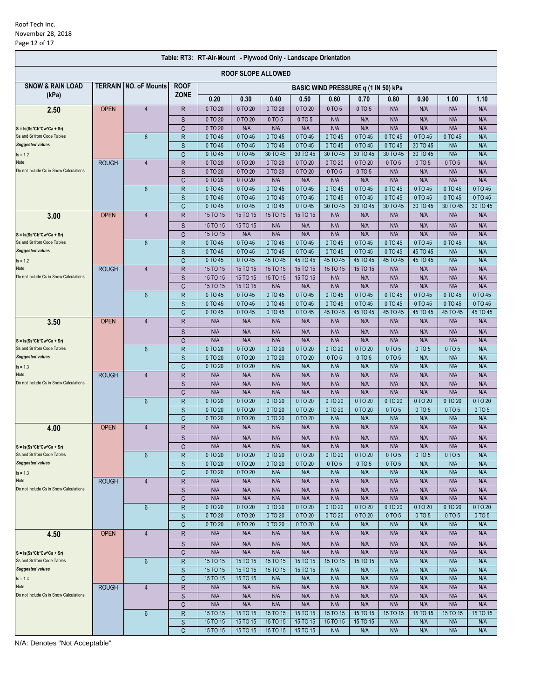|                                                          |                           |                               |                   | Table: RT3: RT-Air-Mount - Plywood Only - Landscape Orientation |                    |                     |                     |                     |                                     |                     |                         |                     |                     |
|----------------------------------------------------------|---------------------------|-------------------------------|-------------------|-----------------------------------------------------------------|--------------------|---------------------|---------------------|---------------------|-------------------------------------|---------------------|-------------------------|---------------------|---------------------|
|                                                          | <b>ROOF SLOPE ALLOWED</b> |                               |                   |                                                                 |                    |                     |                     |                     |                                     |                     |                         |                     |                     |
| <b>SNOW &amp; RAIN LOAD</b>                              |                           | <b>TERRAIN INO. oF Mounts</b> | <b>ROOF</b>       |                                                                 |                    |                     |                     |                     | BASIC WIND PRESSURE q (1 IN 50) kPa |                     |                         |                     |                     |
| (kPa)                                                    |                           |                               | <b>ZONE</b>       | 0.20                                                            | 0.30               | 0.40                | 0.50                | 0.60                | 0.70                                | 0.80                | 0.90                    | 1.00                | 1.10                |
| 2.50                                                     | <b>OPEN</b>               | $\overline{4}$                | R                 | 0 TO 20                                                         | 0 TO 20            | 0 TO 20             | 0 TO 20             | 0 TO 5              | 0 TO 5                              | N/A                 | N/A                     | N/A                 | N/A                 |
|                                                          |                           |                               | S                 | 0 TO 20                                                         | 0 TO 20            | 0 TO 5              | 0 TO 5              | N/A                 | N/A                                 | N/A                 | N/A                     | N/A                 | N/A                 |
| $S = Is(Ss*Cb*Cw*Ca + Sr)$                               |                           |                               | C                 | 0 TO 20                                                         | N/A                | N/A                 | N/A                 | N/A                 | N/A                                 | N/A                 | N/A                     | N/A                 | N/A                 |
| Ss and Sr from Code Tables<br><b>Suggested values</b>    |                           | $6\phantom{1}$                | $\mathsf{R}$<br>S | 0 TO 45<br>0 TO 45                                              | 0 TO 45<br>0 TO 45 | 0 TO 45<br>0 TO 45  | 0 TO 45<br>0 TO 45  | 0 TO 45<br>0 TO 45  | 0 TO 45<br>0 TO 45                  | 0 TO 45<br>0 TO 45  | 0 TO 45<br>30 TO 45     | 0 TO 45<br>N/A      | N/A<br>N/A          |
| $Is = 1.2$                                               |                           |                               | C                 | 0 TO 45                                                         | 0 TO 45            | 30 TO 45            | 30 TO 45            | 30 TO 45            | 30 TO 45                            | 30 TO 45            | 30 TO 45                | N/A                 | N/A                 |
| Note:                                                    | <b>ROUGH</b>              | $\overline{4}$                | $\mathsf R$       | 0 TO 20                                                         | 0 TO 20            | 0 TO 20             | 0 TO 20             | 0 TO 20             | 0 TO 20                             | 0 TO 5              | 0 TO 5                  | 0 TO 5              | N/A                 |
| Do not include Cs in Snow Calculations                   |                           |                               | S                 | 0 TO 20                                                         | 0 TO 20            | 0 TO 20             | 0 TO 20             | 0 TO 5              | 0 TO 5                              | N/A                 | N/A                     | N/A                 | N/A                 |
|                                                          |                           |                               | C                 | 0 TO 20                                                         | 0 TO 20            | N/A                 | N/A                 | N/A                 | N/A                                 | N/A                 | N/A                     | N/A                 | N/A                 |
|                                                          |                           | $6\phantom{1}$                | $\mathsf{R}$<br>S | 0 TO 45<br>0 TO 45                                              | 0 TO 45<br>0 TO 45 | 0 TO 45<br>0 TO 45  | 0 TO 45<br>0 TO 45  | 0 TO 45<br>0 TO 45  | 0 TO 45<br>0 TO 45                  | 0 TO 45<br>0 TO 45  | 0 TO 45<br>0 TO 45      | 0 TO 45<br>0 TO 45  | 0 TO 45<br>0 TO 45  |
|                                                          |                           |                               | C                 | 0 TO 45                                                         | 0 TO 45            | 0 TO 45             | 0 TO 45             | 30 TO 45            | 30 TO 45                            | 30 TO 45            | 30 TO 45                | 30 TO 45            | 30 TO 45            |
| 3.00                                                     | <b>OPEN</b>               | $\overline{4}$                | $\mathsf R$       | 15 TO 15                                                        | 15 TO 15           | 15 TO 15            | 15 TO 15            | N/A                 | N/A                                 | N/A                 | N/A                     | N/A                 | N/A                 |
|                                                          |                           |                               | S                 | 15 TO 15                                                        | 15 TO 15           | N/A                 | N/A                 | N/A                 | N/A                                 | N/A                 | N/A                     | N/A                 | N/A                 |
| $S = Is(Ss*Cb*Cw*Ca + Sr)$                               |                           |                               | C                 | 15 TO 15                                                        | N/A                | N/A                 | N/A                 | N/A                 | N/A                                 | N/A                 | N/A                     | N/A                 | N/A                 |
| Ss and Sr from Code Tables<br><b>Suggested values</b>    |                           | $6\phantom{1}$                | R                 | 0 TO 45                                                         | 0 TO 45            | 0 TO 45             | 0 TO 45             | 0 TO 45             | 0 TO 45                             | 0 TO 45             | 0 TO 45                 | 0 TO 45             | N/A                 |
| $Is = 1.2$                                               |                           |                               | S<br>C            | 0 TO 45<br>0 TO 45                                              | 0 TO 45<br>0 TO 45 | 0 TO 45<br>45 TO 45 | 0 TO 45<br>45 TO 45 | 0 TO 45<br>45 TO 45 | 0 TO 45<br>45 TO 45                 | 0 TO 45<br>45 TO 45 | 45 TO 45<br>45 TO 45    | N/A<br>N/A          | N/A<br>N/A          |
| Note:                                                    | <b>ROUGH</b>              | 4                             | R                 | 15 TO 15                                                        | 15 TO 15           | 15 TO 15            | 15 TO 15            | 15 TO 15            | 15 TO 15                            | N/A                 | N/A                     | N/A                 | N/A                 |
| Do not include Cs in Snow Calculations                   |                           |                               | S                 | 15 TO 15                                                        | 15 TO 15           | 15 TO 15            | 15 TO 15            | N/A                 | N/A                                 | N/A                 | N/A                     | N/A                 | N/A                 |
|                                                          |                           |                               | C                 | 15 TO 15                                                        | 15 TO 15           | N/A                 | N/A                 | N/A                 | N/A                                 | N/A                 | N/A                     | N/A                 | N/A                 |
|                                                          |                           | $6\phantom{1}$                | $\mathsf{R}$      | 0 TO 45                                                         | 0 TO 45            | 0 TO 45             | 0 TO 45             | 0 TO 45             | 0 TO 45                             | 0 TO 45             | 0 TO 45                 | 0 TO 45             | 0 TO 45             |
|                                                          |                           |                               | S<br>C            | 0 TO 45<br>0 TO 45                                              | 0 TO 45<br>0 TO 45 | 0 TO 45<br>0 TO 45  | 0 TO 45<br>0 TO 45  | 0 TO 45<br>45 TO 45 | 0 TO 45<br>45 TO 45                 | 0 TO 45<br>45 TO 45 | $0$ TO $45$<br>45 TO 45 | 0 TO 45<br>45 TO 45 | 0 TO 45<br>45 TO 45 |
| 3.50                                                     | <b>OPEN</b>               | $\overline{4}$                | $\mathsf R$       | N/A                                                             | N/A                | N/A                 | N/A                 | N/A                 | N/A                                 | N/A                 | N/A                     | N/A                 | N/A                 |
|                                                          |                           |                               | S                 | N/A                                                             | N/A                | N/A                 | N/A                 | N/A                 | N/A                                 | N/A                 | N/A                     | N/A                 | N/A                 |
| $S = Is(Ss*Cb*Cw*Ca + Sr)$                               |                           |                               | C                 | N/A                                                             | N/A                | N/A                 | N/A                 | N/A                 | N/A                                 | N/A                 | N/A                     | N/A                 | N/A                 |
| Ss and Sr from Code Tables                               |                           | $6\phantom{1}$                | R                 | 0 TO 20                                                         | 0 TO 20            | 0 TO 20             | 0 TO 20             | 0 TO 20             | 0 TO 20                             | 0 TO 5              | 0 TO 5                  | 0 TO 5              | N/A                 |
| <b>Suggested values</b>                                  |                           |                               | S                 | 0 TO 20                                                         | 0 TO 20            | 0 TO 20             | 0 TO 20             | 0 TO 5              | 0 TO 5                              | 0 TO 5              | N/A                     | N/A                 | N/A                 |
| $Is = 1.3$<br>Note:                                      | <b>ROUGH</b>              | $\overline{4}$                | C<br>R            | 0 TO 20<br>N/A                                                  | 0 TO 20<br>N/A     | N/A<br>N/A          | N/A<br>N/A          | N/A<br>N/A          | N/A<br>N/A                          | N/A<br>N/A          | N/A<br>N/A              | N/A<br>N/A          | N/A<br>N/A          |
| Do not include Cs in Snow Calculations                   |                           |                               | S                 | N/A                                                             | N/A                | N/A                 | N/A                 | N/A                 | N/A                                 | N/A                 | N/A                     | N/A                 | N/A                 |
|                                                          |                           |                               | C                 | N/A                                                             | N/A                | N/A                 | N/A                 | N/A                 | N/A                                 | N/A                 | N/A                     | N/A                 | N/A                 |
|                                                          |                           | $6\phantom{1}6$               | $\mathsf R$       | 0 TO 20                                                         | 0 TO 20            | 0 TO 20             | 0 TO 20             | 0 TO 20             | 0 TO 20                             | 0 TO 20             | 0 TO 20                 | 0 TO 20             | 0 TO 20             |
|                                                          |                           |                               | S                 | 0 TO 20                                                         | 0 TO 20            | 0 TO 20             | 0 TO 20             | 0 TO 20             | 0 TO 20                             | 0 TO 5              | 0 TO 5                  | 0 TO 5              | 0 TO 5              |
|                                                          | <b>OPEN</b>               | $\overline{4}$                | C<br>R            | 0 TO 20<br>N/A                                                  | 0 TO 20<br>N/A     | 0 TO 20<br>N/A      | 0 TO 20<br>N/A      | N/A<br>N/A          | N/A<br>N/A                          | N/A<br>N/A          | N/A<br>N/A              | N/A<br>N/A          | N/A<br>N/A          |
| 4.00                                                     |                           |                               | S                 | N/A                                                             | N/A                | N/A                 | N/A                 | N/A                 | N/A                                 | N/A                 | N/A                     | N/A                 | N/A                 |
| $S = Is(Ss*Cb*Cw*Ca + Sr)$                               |                           |                               | C                 | N/A                                                             | N/A                | N/A                 | N/A                 | N/A                 | N/A                                 | N/A                 | N/A                     | N/A                 | N/A                 |
| Ss and Sr from Code Tables                               |                           | $6\phantom{1}$                | R                 | 0 TO 20                                                         | 0 TO 20            | 0 TO 20             | 0 TO 20             | 0 TO 20             | 0 TO 20                             | 0 TO 5              | 0 TO 5                  | 0 TO 5              | N/A                 |
| <b>Suggested values</b>                                  |                           |                               | S                 | 0 TO 20                                                         | 0 TO 20            | 0 TO 20             | 0 TO 20             | 0 TO 5              | 0 TO 5                              | 0 TO 5              | N/A                     | N/A                 | N/A                 |
| $Is = 1.3$                                               |                           |                               | C                 | 0 TO 20                                                         | 0 TO 20            | N/A                 | N/A                 | N/A                 | N/A                                 | N/A                 | N/A                     | N/A                 | N/A                 |
| Note:<br>Do not include Cs in Snow Calculations          | <b>ROUGH</b>              | $\overline{4}$                | R<br>S            | N/A<br>N/A                                                      | N/A<br>N/A         | N/A<br>N/A          | N/A<br>N/A          | N/A<br>N/A          | N/A<br>N/A                          | N/A<br>N/A          | N/A<br>N/A              | N/A<br>N/A          | N/A<br>N/A          |
|                                                          |                           |                               | C                 | N/A                                                             | N/A                | N/A                 | N/A                 | N/A                 | N/A                                 | N/A                 | N/A                     | N/A                 | N/A                 |
|                                                          |                           | $6\phantom{1}$                | R                 | 0 TO 20                                                         | 0 TO 20            | 0 TO 20             | 0 TO 20             | 0 TO 20             | 0 TO 20                             | 0 TO 20             | 0 TO 20                 | 0 TO 20             | 0 TO 20             |
|                                                          |                           |                               | S                 | 0 TO 20                                                         | 0 TO 20            | 0 TO 20             | 0 TO 20             | 0 TO 20             | 0 TO 20                             | 0 TO 5              | 0 TO 5                  | 0 TO 5              | 0 TO 5              |
|                                                          |                           |                               | C                 | 0 TO 20                                                         | 0 TO 20            | 0 TO 20             | 0 TO 20             | N/A                 | N/A                                 | N/A                 | N/A                     | N/A                 | N/A                 |
| 4.50                                                     | <b>OPEN</b>               | $\overline{4}$                | R                 | N/A                                                             | N/A                | N/A                 | N/A                 | N/A                 | N/A                                 | N/A                 | N/A                     | N/A                 | N/A                 |
|                                                          |                           |                               | S                 | N/A                                                             | N/A                | N/A                 | N/A                 | N/A                 | N/A                                 | N/A                 | N/A                     | N/A                 | N/A                 |
| $S = Is(Ss*Cb*Cw*Ca + Sr)$<br>Ss and Sr from Code Tables |                           | $6\phantom{1}$                | C<br>R            | N/A<br>15 TO 15                                                 | N/A<br>15 TO 15    | N/A<br>15 TO 15     | N/A<br>15 TO 15     | N/A<br>15 TO 15     | N/A<br>15 TO 15                     | N/A<br>N/A          | N/A<br>N/A              | N/A<br>N/A          | N/A<br>N/A          |
| <b>Suggested values</b>                                  |                           |                               | $\mathsf S$       | 15 TO 15                                                        | 15 TO 15           | 15 TO 15            | 15 TO 15            | N/A                 | N/A                                 | N/A                 | N/A                     | N/A                 | N/A                 |
| $Is = 1.4$                                               |                           |                               | C                 | 15 TO 15                                                        | 15 TO 15           | N/A                 | N/A                 | N/A                 | N/A                                 | N/A                 | N/A                     | N/A                 | N/A                 |
| Note:                                                    | <b>ROUGH</b>              | $\overline{4}$                | R                 | N/A                                                             | N/A                | N/A                 | N/A                 | N/A                 | N/A                                 | N/A                 | N/A                     | N/A                 | N/A                 |
| Do not include Cs in Snow Calculations                   |                           |                               | S                 | N/A                                                             | N/A                | N/A                 | N/A                 | N/A                 | N/A                                 | N/A                 | N/A                     | N/A                 | N/A                 |
|                                                          |                           | 6                             | C<br>R            | N/A<br>15 TO 15                                                 | N/A<br>15 TO 15    | N/A<br>15 TO 15     | N/A<br>15 TO 15     | N/A<br>15 TO 15     | N/A<br>15 TO 15                     | N/A<br>15 TO 15     | N/A<br>15 TO 15         | N/A<br>15 TO 15     | N/A<br>15 TO 15     |
|                                                          |                           |                               | S                 | 15 TO 15                                                        | 15 TO 15           | 15 TO 15            | 15 TO 15            | 15 TO 15            | 15 TO 15                            | N/A                 | N/A                     | N/A                 | N/A                 |
|                                                          |                           |                               | C                 | 15 TO 15                                                        | 15 TO 15           | 15 TO 15            | 15 TO 15            | N/A                 | N/A                                 | N/A                 | N/A                     | N/A                 | N/A                 |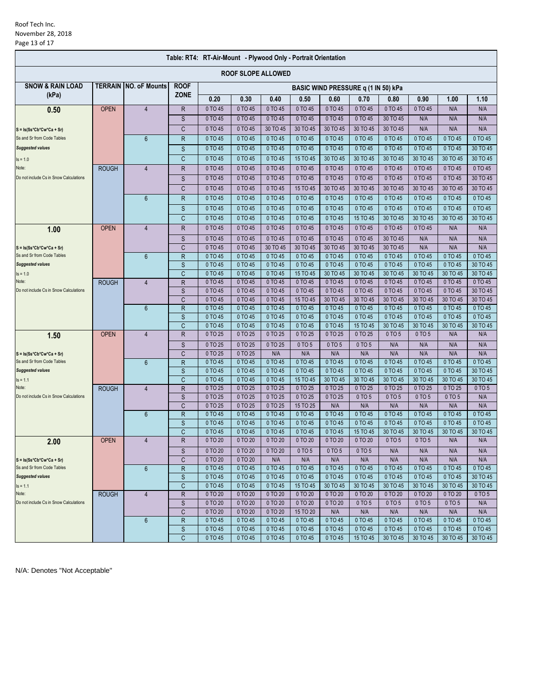| Table: RT4: RT-Air-Mount - Plywood Only - Portrait Orientation |              |                              |              |                                     |                    |                    |                     |                     |                     |                     |                     |                     |                     |  |  |
|----------------------------------------------------------------|--------------|------------------------------|--------------|-------------------------------------|--------------------|--------------------|---------------------|---------------------|---------------------|---------------------|---------------------|---------------------|---------------------|--|--|
| <b>ROOF SLOPE ALLOWED</b>                                      |              |                              |              |                                     |                    |                    |                     |                     |                     |                     |                     |                     |                     |  |  |
| <b>SNOW &amp; RAIN LOAD</b>                                    |              | <b>TERRAIN NO. oF Mounts</b> | <b>ROOF</b>  | BASIC WIND PRESSURE q (1 IN 50) kPa |                    |                    |                     |                     |                     |                     |                     |                     |                     |  |  |
| (kPa)                                                          |              |                              | <b>ZONE</b>  | 0.20                                | 0.30               | 0.40               | 0.50                | 0.60                | 0.70                | 0.80                | 0.90                | 1.00                | 1.10                |  |  |
| 0.50                                                           | <b>OPEN</b>  | $\overline{4}$               | R            | 0 TO 45                             | 0 TO 45            | 0 TO 45            | 0 TO 45             | 0 TO 45             | 0 TO 45             | 0 TO 45             | 0 TO 45             | N/A                 | N/A                 |  |  |
|                                                                |              |                              | S            | 0 TO 45                             | 0 TO 45            | 0 TO 45            | 0 TO 45             | 0 TO 45             | 0 TO 45             | 30 TO 45            | N/A                 | N/A                 | N/A                 |  |  |
| $S = Is(Ss*Cb*Cw*Ca + Sr)$                                     |              |                              | C            | 0 TO 45                             | 0 TO 45            | 30 TO 45           | 30 TO 45            | 30 TO 45            | 30 TO 45            | 30 TO 45            | N/A                 | N/A                 | N/A                 |  |  |
| Ss and Sr from Code Tables                                     |              | $6\phantom{1}$               | R            | 0 TO 45                             | 0 TO 45            | 0 TO 45            | 0 TO 45             | 0 TO 45             | 0 TO 45             | 0 TO 45             | 0 TO 45             | 0 TO 45             | 0 TO 45             |  |  |
| <b>Suggested values</b>                                        |              |                              | S            | 0 TO 45                             | 0 TO 45            | 0 TO 45            | 0 TO 45             | 0 TO 45             | 0 TO 45             | 0 TO 45             | 0 TO 45             | 0 TO 45             | 30 TO 45            |  |  |
| $Is = 1.0$                                                     |              |                              | C            | 0 TO 45                             | 0 TO 45            | 0 TO 45            | 15 TO 45            | 30 TO 45            | 30 TO 45            | 30 TO 45            | 30 TO 45            | 30 TO 45            | 30 TO 45            |  |  |
| Note:                                                          | <b>ROUGH</b> | $\overline{4}$               | $\mathsf R$  | 0 TO 45                             | 0 TO 45            | 0 TO 45            | 0 TO 45             | 0 TO 45             | 0 TO 45             | 0 TO 45             | 0 TO 45             | 0 TO 45             | 0 TO 45             |  |  |
| Do not include Cs in Snow Calculations                         |              |                              | S            | 0 TO 45                             | 0 TO 45            | 0 TO 45            | 0 TO 45             | 0 TO 45             | 0 TO 45             | 0 TO 45             | 0 TO 45             | 0 TO 45             | 30 TO 45            |  |  |
|                                                                |              |                              |              |                                     |                    |                    |                     |                     |                     |                     |                     |                     |                     |  |  |
|                                                                |              |                              | C            | 0 TO 45                             | 0 TO 45            | 0 TO 45            | 15 TO 45            | 30 TO 45            | 30 TO 45            | 30 TO 45            | 30 TO 45            | 30 TO 45            | 30 TO 45            |  |  |
|                                                                |              | 6                            | R            | 0 TO 45                             | 0 TO 45            | 0 TO 45            | 0 TO 45             | 0 TO 45             | 0 TO 45             | 0 TO 45             | 0 TO 45             | 0 TO 45             | 0 TO 45             |  |  |
|                                                                |              |                              | S            | 0 TO 45                             | 0 TO 45            | 0 TO 45            | 0 TO 45             | 0 TO 45             | 0 TO 45             | 0 TO 45             | 0 TO 45             | 0 TO 45             | 0 TO 45             |  |  |
|                                                                |              |                              | C            | 0 TO 45                             | 0 TO 45            | 0 TO 45            | 0 TO 45             | 0 TO 45             | 15 TO 45            | 30 TO 45            | 30 TO 45            | 30 TO 45            | 30 TO 45            |  |  |
| 1.00                                                           | <b>OPEN</b>  | $\overline{4}$               | R            | 0 TO 45                             | 0 TO 45            | 0 TO 45            | 0 TO 45             | 0 TO 45             | 0 TO 45             | 0 TO 45             | 0 TO 45             | N/A                 | N/A                 |  |  |
|                                                                |              |                              | S            | 0 TO 45                             | 0 TO 45            | 0 TO 45            | 0 TO 45             | 0 TO 45             | 0 TO 45             | 30 TO 45            | N/A                 | N/A                 | N/A                 |  |  |
| $S = Is(Ss*Cb*Cw*Ca + Sr)$                                     |              |                              | C            | 0 TO 45                             | 0 TO 45            | 30 TO 45           | 30 TO 45            | 30 TO 45            | 30 TO 45            | 30 TO 45            | N/A                 | N/A                 | N/A                 |  |  |
| Ss and Sr from Code Tables                                     |              | $6\phantom{1}$               | $\mathsf{R}$ | 0 TO 45                             | 0 TO 45            | 0 TO 45            | 0 TO 45             | 0 TO 45             | 0 TO 45             | 0 TO 45             | 0 TO 45             | 0 TO 45             | 0 TO 45             |  |  |
| <b>Suggested values</b>                                        |              |                              | S            | 0 TO 45                             | 0 TO 45            | 0 TO 45            | 0 TO 45             | 0 TO 45             | 0 TO 45             | 0 TO 45             | 0 TO 45             | 0 TO 45             | 30 TO 45            |  |  |
| $Is = 1.0$                                                     |              |                              | C            | 0 TO 45                             | 0 TO 45            | 0 TO 45            | 15 TO 45            | 30 TO 45            | 30 TO 45            | 30 TO 45            | 30 TO 45            | 30 TO 45            | 30 TO 45            |  |  |
| Note:                                                          | <b>ROUGH</b> | $\overline{4}$               | $\mathsf R$  | 0 TO 45                             | 0 TO 45            | 0 TO 45            | 0 TO 45             | 0 TO 45             | 0 TO 45             | 0 TO 45             | 0 TO 45             | 0 TO 45             | 0 TO 45             |  |  |
| Do not include Cs in Snow Calculations                         |              |                              | S            | 0 TO 45                             | 0 TO 45            | 0 TO 45            | 0 TO 45             | 0 TO 45             | 0 TO 45             | 0 TO 45             | 0 TO 45             | 0 TO 45             | 30 TO 45            |  |  |
|                                                                |              | 6                            | C<br>R       | 0 TO 45<br>0 TO 45                  | 0 TO 45<br>0 TO 45 | 0 TO 45<br>0 TO 45 | 15 TO 45<br>0 TO 45 | 30 TO 45<br>0 TO 45 | 30 TO 45<br>0 TO 45 | 30 TO 45<br>0 TO 45 | 30 TO 45<br>0 TO 45 | 30 TO 45<br>0 TO 45 | 30 TO 45<br>0 TO 45 |  |  |
|                                                                |              |                              | S            | 0 TO 45                             | 0 TO 45            | 0 TO 45            | 0 TO 45             | 0 TO 45             | 0 TO 45             | 0 TO 45             | 0 TO 45             | 0 TO 45             | 0 TO 45             |  |  |
|                                                                |              |                              | $\mathsf{C}$ | 0 TO 45                             | 0 TO 45            | 0 TO 45            | 0 TO 45             | 0 TO 45             | 15 TO 45            | 30 TO 45            | 30 TO 45            | 30 TO 45            | 30 TO 45            |  |  |
| 1.50                                                           | <b>OPEN</b>  | $\overline{4}$               | R            | 0 TO 25                             | 0 TO 25            | 0 TO 25            | 0 TO 25             | 0 TO 25             | 0 TO 25             | 0 TO 5              | 0 TO 5              | N/A                 | N/A                 |  |  |
|                                                                |              |                              | S            | 0 TO 25                             | 0 TO 25            | 0 TO 25            | 0 TO 5              | 0 TO 5              | 0 TO 5              | N/A                 | N/A                 | N/A                 | N/A                 |  |  |
| $S = Is(Ss*Cb*Cw*Ca + Sr)$                                     |              |                              | C            | 0 TO 25                             | 0 TO 25            | N/A                | N/A                 | N/A                 | N/A                 | N/A                 | N/A                 | N/A                 | N/A                 |  |  |
| Ss and Sr from Code Tables                                     |              | $6\phantom{1}$               | $\mathsf{R}$ | 0 TO 45                             | 0 TO 45            | 0 TO 45            | 0 TO 45             | 0 TO 45             | 0 TO 45             | 0 TO 45             | 0 TO 45             | 0 TO 45             | 0 TO 45             |  |  |
| <b>Suggested values</b>                                        |              |                              | S            | 0 TO 45                             | 0 TO 45            | 0 TO 45            | 0 TO 45             | 0 TO 45             | 0 TO 45             | 0 TO 45             | $0$ TO $45$         | $0$ TO $45$         | 30 TO 45            |  |  |
| $Is = 1.1$                                                     |              |                              | C            | 0 TO 45                             | 0 TO 45            | 0 TO 45            | 15 TO 45            | 30 TO 45            | 30 TO 45            | 30 TO 45            | 30 TO 45            | 30 TO 45            | 30 TO 45            |  |  |
| Note:<br>Do not include Cs in Snow Calculations                | <b>ROUGH</b> | $\overline{4}$               | $\mathsf R$  | 0 TO 25                             | 0 TO 25            | 0 TO 25            | 0 TO 25             | 0 TO 25             | 0 TO 25             | 0 TO 25             | 0 TO 25             | 0 TO 25             | 0 TO 5              |  |  |
|                                                                |              |                              | S            | 0 TO 25                             | 0 TO 25            | 0 TO 25            | 0 TO 25             | 0 TO 25             | 0 TO 5              | 0 TO 5              | 0 TO 5              | 0 TO 5              | N/A                 |  |  |
|                                                                |              |                              | C            | 0 TO 25                             | 0 TO 25            | 0 TO 25            | 15 TO 25            | N/A                 | N/A                 | N/A                 | N/A                 | N/A                 | N/A                 |  |  |
|                                                                |              | $6\phantom{1}$               | R            | 0 TO 45                             | 0 TO 45            | 0 TO 45            | 0 TO 45             | 0 TO 45             | 0 TO 45             | 0 TO 45             | 0 TO 45             | 0 TO 45             | 0 TO 45             |  |  |
|                                                                |              |                              | S            | 0 TO 45                             | 0 TO 45            | 0 TO 45            | 0 TO 45             | 0 TO 45             | 0 TO 45             | 0 TO 45             | 0 TO 45             | 0 TO 45             | 0 TO 45             |  |  |
|                                                                |              |                              | C            | 0 TO 45                             | 0 TO 45            | 0 TO 45            | 0 TO 45             | 0 TO 45             | 15 TO 45            | 30 TO 45            | 30 TO 45            | 30 TO 45            | 30 TO 45            |  |  |
| 2.00                                                           | <b>OPEN</b>  | $\overline{4}$               | R            | 0 TO 20                             | 0 TO 20            | 0 TO 20            | 0 TO 20             | 0 TO 20             | 0 TO 20             | 0 TO 5              | 0 TO 5              | N/A                 | N/A                 |  |  |
|                                                                |              |                              | S            | 0 TO 20                             | 0 TO 20            | 0 TO 20            | 0 TO 5              | 0 TO 5              | 0 TO 5              | N/A                 | N/A                 | N/A                 | N/A                 |  |  |
| $S = Is(Ss*Cb*Cw*Ca + Sr)$                                     |              |                              | C            | 0 TO 20                             | 0 TO 20            | N/A                | N/A                 | N/A                 | N/A                 | N/A                 | N/A                 | N/A                 | N/A                 |  |  |
| Ss and Sr from Code Tables                                     |              | 6                            | $\mathsf R$  | 0 TO 45                             | 0 TO 45            | 0 TO 45            | 0 TO 45             | 0 TO 45             | 0 TO 45             | 0 TO 45             | 0 TO 45             | 0 TO 45             | 0 TO 45             |  |  |
| <b>Suggested values</b>                                        |              |                              | S            | 0 TO 45                             | 0 TO 45            | 0 TO 45            | 0 TO 45             | 0 TO 45             | 0 TO 45             | 0 TO 45             | 0 TO 45             | 0 TO 45             | 30 TO 45            |  |  |
| $Is = 1.1$                                                     |              |                              | C            | 0 TO 45                             | 0 TO 45            | 0 TO 45            | 15 TO 45            | 30 TO 45            | 30 TO 45            | 30 TO 45            | 30 TO 45            | 30 TO 45            | 30 TO 45            |  |  |
| Note:<br>Do not include Cs in Snow Calculations                | <b>ROUGH</b> | 4                            | R            | 0 TO 20                             | 0 TO 20            | 0 TO 20            | 0 TO 20             | 0 TO 20<br>0 TO 20  | 0 TO 20             | 0 TO 20             | 0 TO 20             | 0 TO 20             | 0 TO 5              |  |  |
|                                                                |              |                              | S<br>C       | 0 TO 20<br>0 TO 20                  | 0 TO 20<br>0 TO 20 | 0 TO 20<br>0 TO 20 | 0 TO 20<br>15 TO 20 | N/A                 | 0 TO 5<br>N/A       | 0 TO 5<br>N/A       | 0 TO 5<br>N/A       | 0 TO 5<br>N/A       | N/A<br>N/A          |  |  |
|                                                                |              | $6\phantom{1}$               | R            | 0 TO 45                             | 0 TO 45            | 0 TO 45            | 0 TO 45             | 0 TO 45             | 0 TO 45             | 0 TO 45             | 0 TO 45             | 0 TO 45             | 0 TO 45             |  |  |
|                                                                |              |                              | $\mathsf S$  | 0 TO 45                             | 0 TO 45            | 0 TO 45            | 0 TO 45             | 0 TO 45             | 0 TO 45             | 0 TO 45             | 0 TO 45             | 0 TO 45             | 0 TO 45             |  |  |
|                                                                |              |                              | C            | 0 TO 45                             | 0 TO 45            | 0 TO 45            | 0 TO 45             | 0 TO 45             | 15 TO 45            | 30 TO 45            | 30 TO 45            | 30 TO 45            | 30 TO 45            |  |  |
|                                                                |              |                              |              |                                     |                    |                    |                     |                     |                     |                     |                     |                     |                     |  |  |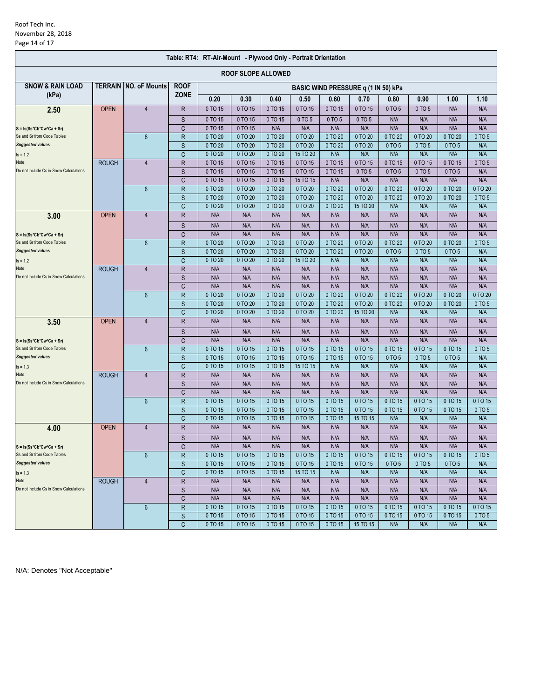| Table: RT4: RT-Air-Mount - Plywood Only - Portrait Orientation |              |                                       |                   |                                     |                    |                    |                     |                    |                      |                   |                   |                   |                |  |  |
|----------------------------------------------------------------|--------------|---------------------------------------|-------------------|-------------------------------------|--------------------|--------------------|---------------------|--------------------|----------------------|-------------------|-------------------|-------------------|----------------|--|--|
| <b>ROOF SLOPE ALLOWED</b>                                      |              |                                       |                   |                                     |                    |                    |                     |                    |                      |                   |                   |                   |                |  |  |
| <b>SNOW &amp; RAIN LOAD</b>                                    |              | <b>TERRAIN INO. oF Mounts</b>         | <b>ROOF</b>       | BASIC WIND PRESSURE q (1 IN 50) kPa |                    |                    |                     |                    |                      |                   |                   |                   |                |  |  |
| (kPa)                                                          |              |                                       | <b>ZONE</b>       | 0.20                                | 0.30               | 0.40               | 0.50                | 0.60               | 0.70                 | 0.80              | 0.90              | 1.00              | 1.10           |  |  |
| 2.50                                                           | <b>OPEN</b>  | $\overline{4}$                        | R                 | 0 TO 15                             | 0 TO 15            | 0 TO 15            | 0 TO 15             | 0 TO 15            | 0 TO 15              | 0 TO 5            | 0 TO 5            | N/A               | N/A            |  |  |
|                                                                |              |                                       | S                 | 0 TO 15                             | 0 TO 15            | 0 TO 15            | 0 TO 5              | 0 TO 5             | 0 TO 5               | N/A               | N/A               | N/A               | N/A            |  |  |
| $S = Is(Ss*Cb*Cw*Ca + Sr)$                                     |              |                                       | C                 | 0 TO 15                             | 0 TO 15            | N/A                | N/A                 | N/A                | N/A                  | N/A               | N/A               | N/A               | N/A            |  |  |
| Ss and Sr from Code Tables                                     |              | 6                                     | R                 | 0 TO 20                             | 0 TO 20            | 0 TO 20            | 0 TO 20             | 0 TO 20            | 0 TO 20              | 0 TO 20           | 0 TO 20           | 0 TO 20           | 0 TO 5         |  |  |
| <b>Suggested values</b>                                        |              |                                       | S                 | 0 TO 20                             | 0 TO 20            | 0 TO 20            | 0 TO 20             | 0 TO 20            | 0 TO 20              | 0 TO 5            | 0 TO 5            | 0 TO 5            | N/A            |  |  |
| $Is = 1.2$                                                     |              |                                       | C                 | 0 TO 20                             | 0 TO 20            | 0 TO 20            | 15 TO 20            | N/A                | N/A                  | N/A               | N/A               | N/A               | N/A            |  |  |
| Note:                                                          | <b>ROUGH</b> | $\overline{4}$                        | $\mathsf R$       | 0 TO 15                             | 0 TO 15            | 0 TO 15            | 0 TO 15             | 0 TO 15            | 0 TO 15              | 0 TO 15           | 0 TO 15           | 0 TO 15           | 0 TO 5         |  |  |
| Do not include Cs in Snow Calculations                         |              |                                       | S                 | 0 TO 15                             | 0 TO 15            | 0 TO 15            | 0 TO 15             | 0 TO 15            | 0 TO 5               | 0 TO 5            | 0 TO 5            | 0 TO 5            | N/A            |  |  |
|                                                                |              |                                       | C                 | 0 TO 15<br>0 TO 20                  | 0 TO 15<br>0 TO 20 | 0 TO 15<br>0 TO 20 | 15 TO 15<br>0 TO 20 | N/A<br>0 TO 20     | N/A<br>0 TO 20       | N/A<br>0 TO 20    | N/A<br>0 TO 20    | N/A<br>0 TO 20    | N/A<br>0 TO 20 |  |  |
|                                                                |              | $6\phantom{1}$                        | $\mathsf{R}$<br>S | 0 TO 20                             | 0 TO 20            | 0 TO 20            | 0 TO 20             | 0 TO 20            | 0 TO 20              | 0 TO 20           | 0 TO 20           | 0 TO 20           | 0 TO 5         |  |  |
|                                                                |              |                                       | C                 | 0 TO 20                             | 0 TO 20            | 0 TO 20            | 0 TO 20             | 0 TO 20            | 15 TO 20             | N/A               | N/A               | N/A               | N/A            |  |  |
| 3.00                                                           | <b>OPEN</b>  | 4                                     | $\mathsf R$       | N/A                                 | N/A                | N/A                | N/A                 | N/A                | N/A                  | N/A               | N/A               | N/A               | N/A            |  |  |
|                                                                |              |                                       | S                 | N/A                                 | N/A                | N/A                | N/A                 | N/A                | N/A                  | N/A               | N/A               | N/A               | N/A            |  |  |
| $S = Is(Ss*Cb*Cw*Ca + Sr)$                                     |              |                                       | C                 | N/A                                 | N/A                | N/A                | N/A                 | N/A                | N/A                  | N/A               | N/A               | N/A               | N/A            |  |  |
| Ss and Sr from Code Tables                                     |              | 6                                     | R                 | 0 TO 20                             | 0 TO 20            | 0 TO 20            | 0 TO 20             | 0 TO 20            | 0 TO 20              | 0 TO 20           | 0 TO 20           | 0 TO 20           | 0 TO 5         |  |  |
| <b>Suggested values</b>                                        |              |                                       | S                 | 0 TO 20                             | 0 TO 20            | 0 TO 20            | 0 TO 20             | 0 TO 20            | 0 TO 20              | 0 TO 5            | 0 TO 5            | 0 TO 5            | N/A            |  |  |
| $Is = 1.2$                                                     |              |                                       | C                 | 0 TO 20                             | 0 TO 20            | 0 TO 20            | 15 TO 20            | N/A                | N/A                  | N/A               | N/A               | N/A               | N/A            |  |  |
| Note:                                                          | <b>ROUGH</b> | $\overline{4}$                        | R                 | N/A                                 | N/A                | N/A                | N/A                 | N/A                | N/A                  | N/A               | N/A               | N/A               | N/A            |  |  |
| Do not include Cs in Snow Calculations                         |              |                                       | S                 | N/A                                 | N/A                | N/A                | N/A                 | N/A                | N/A                  | N/A               | N/A               | N/A               | N/A            |  |  |
|                                                                |              |                                       | C                 | N/A                                 | N/A                | N/A                | N/A                 | N/A                | N/A                  | N/A               | N/A               | N/A               | N/A            |  |  |
|                                                                |              | 6                                     | $\mathsf{R}$      | 0 TO 20                             | 0 TO 20            | 0 TO 20            | 0 TO 20             | 0 TO 20            | 0 TO 20              | 0 TO 20           | 0 TO 20           | 0 TO 20           | 0 TO 20        |  |  |
|                                                                |              |                                       | S                 | 0 TO 20                             | 0 TO 20            | 0 TO 20            | 0 TO 20             | 0 TO 20            | 0 TO 20              | 0 TO 20           | 0 TO 20           | 0 TO 20           | 0 TO 5         |  |  |
|                                                                |              |                                       | C                 | 0 TO 20                             | 0 TO 20            | 0 TO 20            | 0 TO 20             | 0 TO 20            | 15 TO 20             | N/A               | N/A               | N/A               | N/A            |  |  |
| 3.50                                                           | <b>OPEN</b>  | 4                                     | $\mathsf R$       | N/A                                 | N/A                | N/A                | N/A                 | N/A                | N/A                  | N/A               | N/A               | N/A               | N/A            |  |  |
|                                                                |              |                                       | S                 | N/A                                 | N/A                | N/A                | N/A                 | N/A                | N/A                  | N/A               | N/A               | N/A               | N/A            |  |  |
| $S = Is(Ss*Cb*Cw*Ca + Sr)$                                     |              | 6<br>$\overline{4}$<br>$6\phantom{1}$ | C                 | N/A                                 | N/A                | N/A                | N/A                 | N/A                | N/A                  | N/A               | N/A               | N/A               | N/A            |  |  |
| Ss and Sr from Code Tables<br><b>Suggested values</b>          |              |                                       | $\mathsf R$       | 0 TO 15<br>0 TO 15                  | 0 TO 15<br>0 TO 15 | 0 TO 15<br>0 TO 15 | 0 TO 15<br>0 TO 15  | 0 TO 15<br>0 TO 15 | $0$ TO 15<br>0 TO 15 | 0 TO 15<br>0 TO 5 | 0 TO 15<br>0 TO 5 | 0 TO 15<br>0 TO 5 | 0 TO 5<br>N/A  |  |  |
| $Is = 1.3$                                                     |              |                                       | S<br>C            | 0 TO 15                             | 0 TO 15            | 0 TO 15            | 15 TO 15            | N/A                | N/A                  | N/A               | N/A               | N/A               | N/A            |  |  |
| Note:                                                          | <b>ROUGH</b> |                                       | R                 | N/A                                 | N/A                | N/A                | N/A                 | N/A                | N/A                  | N/A               | N/A               | N/A               | N/A            |  |  |
| Do not include Cs in Snow Calculations                         |              |                                       | S                 | N/A                                 | N/A                | N/A                | N/A                 | N/A                | N/A                  | N/A               | N/A               | N/A               | N/A            |  |  |
|                                                                |              |                                       | C                 | N/A                                 | N/A                | N/A                | N/A                 | N/A                | N/A                  | N/A               | N/A               | N/A               | N/A            |  |  |
|                                                                |              |                                       | R                 | 0 TO 15                             | 0 TO 15            | 0 TO 15            | 0 TO 15             | 0 TO 15            | 0 TO 15              | 0 TO 15           | 0 TO 15           | 0 TO 15           | 0 TO 15        |  |  |
|                                                                |              |                                       | S                 | 0 TO 15                             | 0 TO 15            | 0 TO 15            | 0 TO 15             | 0 TO 15            | 0 TO 15              | 0 TO 15           | 0 TO 15           | 0 TO 15           | 0 TO 5         |  |  |
|                                                                |              |                                       | C                 | 0 TO 15                             | 0 TO 15            | 0 TO 15            | 0 TO 15             | 0 TO 15            | 15 TO 15             | N/A               | N/A               | N/A               | N/A            |  |  |
| 4.00                                                           | <b>OPEN</b>  | 4                                     | $\mathsf R$       | N/A                                 | N/A                | N/A                | N/A                 | N/A                | N/A                  | N/A               | N/A               | N/A               | N/A            |  |  |
|                                                                |              |                                       | S                 | N/A                                 | N/A                | N/A                | N/A                 | N/A                | N/A                  | N/A               | N/A               | N/A               | N/A            |  |  |
| $S = Is(Ss*Cb*Cw*Ca + Sr)$                                     |              |                                       | C                 | N/A                                 | N/A                | N/A                | N/A                 | N/A                | N/A                  | N/A               | N/A               | N/A               | N/A            |  |  |
| Ss and Sr from Code Tables                                     |              | $6\phantom{1}$                        | R                 | 0 TO 15                             | 0 TO 15            | 0 TO 15            | 0 TO 15             | 0 TO 15            | 0 TO 15              | 0 TO 15           | 0 TO 15           | 0 TO 15           | 0 TO 5         |  |  |
| <b>Suggested values</b>                                        |              |                                       | S                 | 0 TO 15                             | 0 TO 15            | 0 TO 15            | 0 TO 15             | 0 TO 15            | 0 TO 15              | 0 TO 5            | 0 TO 5            | 0 TO 5            | N/A            |  |  |
| $Is = 1.3$                                                     |              |                                       | C                 | 0 TO 15                             | 0 TO 15            | 0 TO 15            | 15 TO 15            | N/A                | N/A                  | N/A               | N/A               | N/A               | N/A            |  |  |
| Note:                                                          | <b>ROUGH</b> | $\overline{4}$                        | R                 | N/A                                 | N/A                | N/A                | N/A                 | N/A                | N/A                  | N/A               | N/A               | N/A               | N/A            |  |  |
| Do not include Cs in Snow Calculations                         |              |                                       | $\mathsf S$       | N/A                                 | N/A                | N/A                | N/A                 | N/A                | N/A                  | N/A               | N/A               | N/A               | N/A            |  |  |
|                                                                |              | 6                                     | C                 | N/A<br>0 TO 15                      | N/A<br>0 TO 15     | N/A<br>0 TO 15     | N/A<br>0 TO 15      | N/A<br>0 TO 15     | N/A<br>$0$ TO 15     | N/A<br>0 TO 15    | N/A<br>0 TO 15    | N/A<br>0 TO 15    | N/A<br>0 TO 15 |  |  |
|                                                                |              |                                       | R<br>$\mathsf S$  | 0 TO 15                             | 0 TO 15            | 0 TO 15            | 0 TO 15             | 0 TO 15            | 0 TO 15              | 0 TO 15           | 0 TO 15           | 0 TO 15           | 0 TO 5         |  |  |
|                                                                |              |                                       | $\mathsf{C}$      | 0 TO 15                             | 0 TO 15            | 0 TO 15            | 0 TO 15             | 0 TO 15            | 15 TO 15             | N/A               | N/A               | N/A               | N/A            |  |  |
|                                                                |              |                                       |                   |                                     |                    |                    |                     |                    |                      |                   |                   |                   |                |  |  |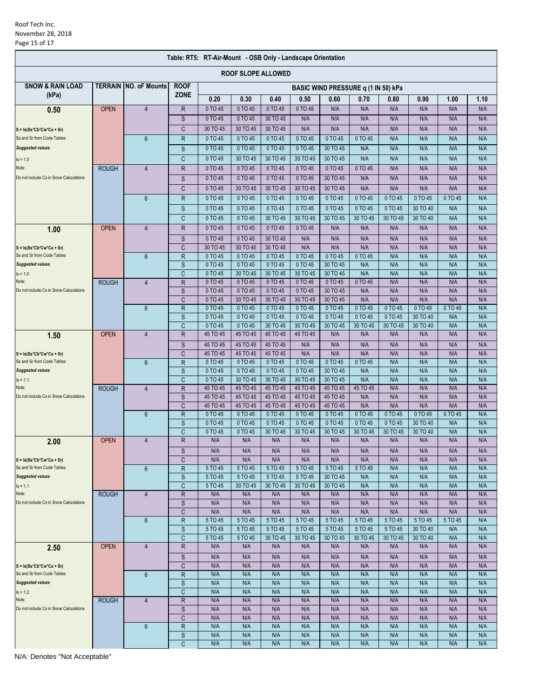| Table: RT5: RT-Air-Mount - OSB Only - Landscape Orientation |              |                               |                   |                                     |                      |                      |                      |                      |                     |                     |                      |            |            |  |  |  |
|-------------------------------------------------------------|--------------|-------------------------------|-------------------|-------------------------------------|----------------------|----------------------|----------------------|----------------------|---------------------|---------------------|----------------------|------------|------------|--|--|--|
| <b>ROOF SLOPE ALLOWED</b>                                   |              |                               |                   |                                     |                      |                      |                      |                      |                     |                     |                      |            |            |  |  |  |
| <b>SNOW &amp; RAIN LOAD</b>                                 |              | <b>TERRAIN INO. oF Mounts</b> | <b>ROOF</b>       | BASIC WIND PRESSURE q (1 IN 50) kPa |                      |                      |                      |                      |                     |                     |                      |            |            |  |  |  |
| (kPa)                                                       |              |                               | <b>ZONE</b>       | 0.20                                | 0.30                 | 0.40                 | 0.50                 | 0.60                 | 0.70                | 0.80                | 0.90                 | 1.00       | 1.10       |  |  |  |
| 0.50                                                        | <b>OPEN</b>  | $\overline{4}$                | $\mathsf R$       | 0 TO 45                             | 0 TO 45              | 0 TO 45              | 0 TO 45              | N/A                  | N/A                 | N/A                 | N/A                  | N/A        | N/A        |  |  |  |
|                                                             |              |                               | S                 | 0 TO 45                             | 0 TO 45              | 30 TO 45             | N/A                  | N/A                  | N/A                 | N/A                 | N/A                  | N/A        | N/A        |  |  |  |
| $S = Is(Ss*Cb*Cw*Ca + Sr)$                                  |              |                               | C                 | 30 TO 45                            | 30 TO 45             | 30 TO 45             | N/A                  | N/A                  | N/A                 | N/A                 | N/A                  | N/A        | N/A        |  |  |  |
| Ss and Sr from Code Tables                                  |              | 6                             | $\mathsf{R}$      | 0 TO 45                             | 0 TO 45              | 0 TO 45              | 0 TO 45              | 0 TO 45              | 0 TO 45             | N/A                 | N/A                  | N/A        | N/A        |  |  |  |
| <b>Suggested values</b>                                     |              |                               | S                 | 0 TO 45                             | 0 TO 45              | 0 TO 45              | 0 TO 45              | 30 TO 45             | N/A                 | N/A                 | N/A                  | N/A        | N/A        |  |  |  |
| $Is = 1.0$                                                  |              |                               | C                 | 0 TO 45                             | 30 TO 45             | 30 TO 45             | 30 TO 45             | 30 TO 45             | N/A                 | N/A                 | N/A                  | N/A        | N/A        |  |  |  |
| Note:                                                       | <b>ROUGH</b> | 4                             | R                 | 0 TO 45                             | 0 TO 45              | 0 TO 45              | 0 TO 45              | 0 TO 45              | 0 TO 45             | N/A                 | N/A                  | N/A        | N/A        |  |  |  |
| Do not include Cs in Snow Calculations                      |              |                               | S                 | 0 TO 45                             | 0 TO 45              | 0 TO 45              | 0 TO 45              | 30 TO 45             | N/A                 | N/A                 | N/A                  | N/A        | N/A        |  |  |  |
|                                                             |              |                               | C                 | 0 TO 45                             | 30 TO 45             | 30 TO 45             | 30 TO 45             | 30 TO 45             | N/A                 | N/A                 | N/A                  | N/A        | N/A        |  |  |  |
|                                                             |              | $6\phantom{1}$                | R                 | 0 TO 45                             | 0 TO 45              | 0 TO 45              | 0 TO 45              | 0 TO 45              | 0 TO 45             | 0 TO 45             | 0 TO 45              | 0 TO 45    | N/A        |  |  |  |
|                                                             |              |                               | S                 | 0 TO 45                             | 0 TO 45              | 0 TO 45              | 0 TO 45              | 0 TO 45              | 0 TO 45             | 0 TO 45             | 30 TO 40             | N/A        | N/A        |  |  |  |
|                                                             |              |                               | C                 | 0 TO 45                             | 0 TO 45              | 30 TO 45             | 30 TO 45             | 30 TO 45             | 30 TO 45            | 30 TO 45            | 30 TO 40             | N/A        | N/A        |  |  |  |
| 1.00                                                        | <b>OPEN</b>  | $\overline{4}$                | $\mathsf R$       | 0 TO 45                             | 0 TO 45              | 0 TO 45              | 0 TO 45              | N/A                  | N/A                 | N/A                 | N/A                  | N/A        | N/A        |  |  |  |
|                                                             |              |                               | S                 | 0 TO 45                             | 0 TO 45              | 30 TO 45             | N/A                  | N/A                  | N/A                 | N/A                 | N/A                  | N/A        | N/A        |  |  |  |
| $S = Is(Ss*Cb*Cw*Ca + Sr)$<br>Ss and Sr from Code Tables    |              |                               | C                 | 30 TO 45                            | 30 TO 45             | 30 TO 45             | N/A                  | N/A<br>0 TO 45       | N/A                 | N/A                 | N/A                  | N/A        | N/A        |  |  |  |
| <b>Suggested values</b>                                     |              | $6\phantom{1}$                | $\mathsf{R}$<br>S | 0 TO 45<br>0 TO 45                  | 0 TO 45<br>0 TO 45   | 0 TO 45<br>0 TO 45   | 0 TO 45<br>0 TO 45   | 30 TO 45             | 0 TO 45<br>N/A      | N/A<br>N/A          | N/A<br>N/A           | N/A<br>N/A | N/A<br>N/A |  |  |  |
| $Is = 1.0$                                                  |              |                               | C                 | 0 TO 45                             | 30 TO 45             | 30 TO 45             | 30 TO 45             | 30 TO 45             | N/A                 | N/A                 | N/A                  | N/A        | N/A        |  |  |  |
| Note:                                                       | <b>ROUGH</b> | $\overline{4}$                | R                 | 0 TO 45                             | 0 TO 45              | 0 TO 45              | 0 TO 45              | 0 TO 45              | 0 TO 45             | N/A                 | N/A                  | N/A        | N/A        |  |  |  |
| Do not include Cs in Snow Calculations                      |              |                               | S                 | 0 TO 45                             | 0 TO 45              | 0 TO 45              | 0 TO 45              | 30 TO 45             | N/A                 | N/A                 | N/A                  | N/A        | N/A        |  |  |  |
|                                                             |              |                               | C                 | 0 TO 45                             | 30 TO 45             | 30 TO 45             | 30 TO 45             | 30 TO 45             | N/A                 | N/A                 | N/A                  | N/A        | N/A        |  |  |  |
|                                                             |              | $6\phantom{1}$                | $\mathsf{R}$      | 0 TO 45                             | 0 TO 45              | 0 TO 45              | 0 TO 45              | 0 TO 45              | 0 TO 45             | 0 TO 45             | $0$ TO 45            | 0 TO 45    | N/A        |  |  |  |
|                                                             |              |                               | S<br>C            | 0 TO 45<br>0 TO 45                  | 0 TO 45<br>0 TO 45   | 0 TO 45<br>30 TO 45  | 0 TO 45<br>30 TO 45  | 0 TO 45<br>30 TO 45  | 0 TO 45<br>30 TO 45 | 0 TO 45<br>30 TO 45 | 30 TO 40<br>30 TO 40 | N/A<br>N/A | N/A<br>N/A |  |  |  |
| 1.50                                                        | <b>OPEN</b>  | $\overline{4}$                | $\mathsf R$       | 45 TO 45                            | 45 TO 45             | 45 TO 45             | 45 TO 45             | N/A                  | N/A                 | N/A                 | N/A                  | N/A        | N/A        |  |  |  |
|                                                             |              |                               | S                 | 45 TO 45                            | 45 TO 45             | 45 TO 45             | N/A                  | N/A                  | N/A                 | N/A                 | N/A                  | N/A        | N/A        |  |  |  |
| $S = Is(Ss*Cb*Cw*Ca + Sr)$                                  |              |                               | C                 | 45 TO 45                            | 45 TO 45             | 45 TO 45             | N/A                  | N/A                  | N/A                 | N/A                 | N/A                  | N/A        | N/A        |  |  |  |
| Ss and Sr from Code Tables                                  |              | $6\phantom{1}$                | R                 | 0 TO 45                             | 0 TO 45              | 0 TO 45              | 0 TO 45              | 0 TO 45              | 0 TO 45             | N/A                 | N/A                  | N/A        | N/A        |  |  |  |
| <b>Suggested values</b>                                     |              |                               | S                 | 0 TO 45                             | 0 TO 45              | 0 TO 45              | 0 TO 45              | 30 TO 45             | N/A                 | N/A                 | N/A                  | N/A        | N/A        |  |  |  |
| $Is = 1.1$                                                  |              |                               | $\mathsf{C}$      | 0 TO 45                             | 30 TO 45             | 30 TO 45             | 30 TO 45             | 30 TO 45             | N/A                 | N/A                 | N/A                  | N/A        | N/A        |  |  |  |
| Note:<br>Do not include Cs in Snow Calculations             | <b>ROUGH</b> | $\overline{4}$                | $\mathsf R$       | 45 TO 45                            | 45 TO 45<br>45 TO 45 | 45 TO 45<br>45 TO 45 | 45 TO 45             | 45 TO 45<br>45 TO 45 | 45 TO 45<br>N/A     | N/A<br>N/A          | N/A                  | N/A<br>N/A | N/A        |  |  |  |
|                                                             |              |                               | S<br>C            | 45 TO 45<br>45 TO 45                | 45 TO 45             | 45 TO 45             | 45 TO 45<br>45 TO 45 | 45 TO 45             | N/A                 | N/A                 | N/A<br>N/A           | N/A        | N/A<br>N/A |  |  |  |
|                                                             |              | $6\phantom{1}$                | $\mathsf{R}$      | 0 TO 45                             | 0 TO 45              | 0 TO 45              | 0 TO 45              | 0 TO 45              | 0 TO 45             | 0 TO 45             | 0 TO 45              | $0$ TO 45  | N/A        |  |  |  |
|                                                             |              |                               | S                 | 0 TO 45                             | 0 TO 45              | 0 TO 45              | 0 TO 45              | 0 TO 45              | 0 TO 45             | 0 TO 45             | 30 TO 40             | N/A        | N/A        |  |  |  |
|                                                             |              |                               | C                 | 0 TO 45                             | 0 TO 45              | 30 TO 45             | 30 TO 45             | 30 TO 45             | 30 TO 45            | 30 TO 45            | 30 TO 40             | N/A        | N/A        |  |  |  |
| 2.00                                                        | <b>OPEN</b>  | $\overline{4}$                | R                 | N/A                                 | N/A                  | N/A                  | N/A                  | N/A                  | N/A                 | N/A                 | N/A                  | N/A        | N/A        |  |  |  |
|                                                             |              |                               | S                 | N/A                                 | N/A                  | N/A                  | N/A                  | N/A                  | N/A                 | N/A                 | N/A                  | N/A        | N/A        |  |  |  |
| $S = Is(Ss*Cb*Cw*Ca + Sr)$                                  |              |                               | C                 | N/A                                 | N/A                  | N/A                  | N/A                  | N/A                  | N/A                 | N/A                 | N/A                  | N/A        | N/A        |  |  |  |
| Ss and Sr from Code Tables<br><b>Suggested values</b>       |              | $6\phantom{1}$                | $\mathsf{R}$      | 5 TO 45<br>5 TO 45                  | 5 TO 45<br>5 TO 45   | 5 TO 45<br>5 TO 45   | 5 TO 45<br>5 TO 45   | 5 TO 45<br>30 TO 45  | 5 TO 45             | N/A<br>N/A          | N/A<br>N/A           | N/A<br>N/A | N/A<br>N/A |  |  |  |
| $Is = 1.1$                                                  |              |                               | S<br>C            | 5 TO 45                             | 30 TO 45             | 30 TO 45             | 30 TO 45             | 30 TO 45             | N/A<br>N/A          | N/A                 | N/A                  | N/A        | N/A        |  |  |  |
| Note:                                                       | <b>ROUGH</b> | $\overline{4}$                | R                 | N/A                                 | N/A                  | N/A                  | N/A                  | N/A                  | N/A                 | N/A                 | N/A                  | N/A        | N/A        |  |  |  |
| Do not include Cs in Snow Calculations                      |              |                               | $\mathbb S$       | N/A                                 | N/A                  | N/A                  | N/A                  | N/A                  | N/A                 | N/A                 | N/A                  | N/A        | N/A        |  |  |  |
|                                                             |              |                               | C                 | N/A                                 | N/A                  | N/A                  | N/A                  | N/A                  | N/A                 | N/A                 | N/A                  | N/A        | N/A        |  |  |  |
|                                                             |              | $6\phantom{1}$                | $\mathsf{R}$      | 5 TO 45                             | 5 TO 45              | 5 TO 45              | 5 TO 45              | 5 TO 45              | 5 TO 45             | 5 TO 45             | 5 TO 45              | 5 TO 45    | N/A        |  |  |  |
|                                                             |              | $\overline{4}$                | $\mathsf S$       | 5 TO 45                             | 5 TO 45              | 5 TO 45              | 5 TO 45              | 5 TO 45              | 5 TO 45<br>30 TO 45 | 5 TO 45             | 30 TO 40             | N/A        | N/A        |  |  |  |
|                                                             | <b>OPEN</b>  |                               | C<br>${\sf R}$    | 5 TO 45<br>N/A                      | 5 TO 45<br>N/A       | 30 TO 45<br>N/A      | 30 TO 45<br>N/A      | 30 TO 45<br>N/A      | N/A                 | 30 TO 45<br>N/A     | 30 TO 40<br>N/A      | N/A<br>N/A | N/A<br>N/A |  |  |  |
| 2.50                                                        |              |                               |                   |                                     |                      |                      |                      |                      |                     |                     |                      |            |            |  |  |  |
| $S = Is(Ss*Cb*Cw*Ca + Sr)$                                  |              |                               | $\mathbb S$<br>C  | N/A<br>N/A                          | N/A<br>N/A           | N/A<br>N/A           | N/A<br>N/A           | N/A<br>N/A           | N/A<br>N/A          | N/A<br>N/A          | N/A<br>N/A           | N/A<br>N/A | N/A<br>N/A |  |  |  |
| Ss and Sr from Code Tables                                  |              | $6\phantom{1}$                | $\mathsf R$       | N/A                                 | N/A                  | N/A                  | N/A                  | N/A                  | N/A                 | N/A                 | N/A                  | N/A        | N/A        |  |  |  |
| <b>Suggested values</b>                                     |              |                               | $\mathsf S$       | N/A                                 | N/A                  | N/A                  | N/A                  | N/A                  | N/A                 | N/A                 | N/A                  | N/A        | N/A        |  |  |  |
| $Is = 1.2$                                                  |              |                               | C                 | N/A                                 | N/A                  | N/A                  | N/A                  | N/A                  | N/A                 | N/A                 | N/A                  | N/A        | N/A        |  |  |  |
| Note:                                                       | <b>ROUGH</b> | $\overline{4}$                | $\mathsf R$       | N/A                                 | N/A                  | N/A                  | N/A                  | N/A                  | N/A                 | N/A                 | N/A                  | N/A        | N/A        |  |  |  |
| Do not include Cs in Snow Calculations                      |              |                               | S                 | N/A                                 | N/A                  | N/A                  | N/A                  | N/A                  | N/A                 | N/A                 | N/A                  | N/A        | N/A        |  |  |  |
|                                                             |              | 6                             | C<br>$\mathsf R$  | N/A<br>N/A                          | N/A<br>N/A           | N/A<br>N/A           | N/A<br>N/A           | N/A<br>N/A           | N/A<br>N/A          | N/A<br>N/A          | N/A<br>N/A           | N/A<br>N/A | N/A<br>N/A |  |  |  |
|                                                             |              |                               | $\mathsf S$       | N/A                                 | N/A                  | N/A                  | N/A                  | N/A                  | N/A                 | N/A                 | N/A                  | N/A        | N/A        |  |  |  |
|                                                             |              |                               | C                 | N/A                                 | N/A                  | N/A                  | N/A                  | N/A                  | N/A                 | N/A                 | N/A                  | N/A        | N/A        |  |  |  |
|                                                             |              |                               |                   |                                     |                      |                      |                      |                      |                     |                     |                      |            |            |  |  |  |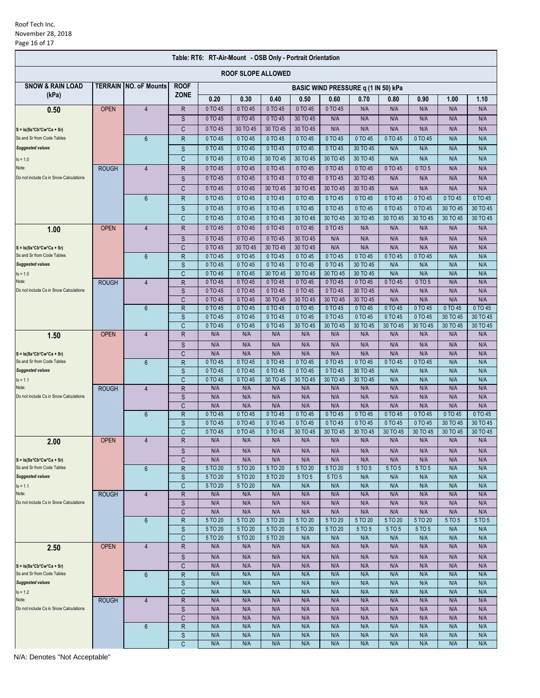| <b>ROOF SLOPE ALLOWED</b><br><b>SNOW &amp; RAIN LOAD</b><br><b>TERRAIN INO. oF Mounts</b><br><b>ROOF</b><br>BASIC WIND PRESSURE q (1 IN 50) kPa<br><b>ZONE</b><br>(kPa)<br>0.20<br>0.30<br>0.40<br>0.50<br>0.60<br>0.70<br>0.90<br>1.00<br>1.10<br>0.80<br>0 TO 45<br>0 TO 45<br><b>OPEN</b><br>$\overline{4}$<br>$\mathsf R$<br>0 TO 45<br>0 TO 45<br>0 TO 45<br>N/A<br>N/A<br>N/A<br>N/A<br>N/A<br>0.50<br>0 TO 45<br>S<br>0 TO 45<br>0 TO 45<br>30 TO 45<br>N/A<br>N/A<br>N/A<br>N/A<br>N/A<br>N/A<br>C<br>0 TO 45<br>30 TO 45<br>30 TO 45<br>30 TO 45<br>N/A<br>N/A<br>N/A<br>N/A<br>N/A<br>N/A<br>0 TO 45<br>0 TO 45<br>0 TO 45<br>N/A<br>0 TO 45<br>0 TO 45<br>0 TO 45<br>0 TO 45<br>0 TO 45<br>N/A<br>$6\phantom{1}$<br>$\mathsf R$<br>0 TO 45<br>S<br>0 TO 45<br>0 TO 45<br>0 TO 45<br>0 TO 45<br>30 TO 45<br>N/A<br>N/A<br>N/A<br>N/A<br>0 TO 45<br>0 TO 45<br>30 TO 45<br>30 TO 45<br>30 TO 45<br>30 TO 45<br>N/A<br>N/A<br>N/A<br>C<br>N/A<br>0 TO 45<br>0 TO 45<br>0 TO 45<br>0 TO 45<br>0 TO 45<br>0 TO 45<br>N/A<br>0 TO 45<br>0 TO 5<br>N/A<br><b>ROUGH</b><br>R<br>4<br>0 TO 45<br>0 TO 45<br>0 TO 45<br>0 TO 45<br>0 TO 45<br>30 TO 45<br>N/A<br>N/A<br>N/A<br>S<br>N/A<br>C<br>0 TO 45<br>0 TO 45<br>30 TO 45<br>30 TO 45<br>30 TO 45<br>30 TO 45<br>N/A<br>N/A<br>N/A<br>N/A<br>0 TO 45<br>0 TO 45<br>0 TO 45<br>0 TO 45<br>0 TO 45<br>0 TO 45<br>0 TO 45<br>0 TO 45<br>0 TO 45<br>0 TO 45<br>$6\phantom{1}$<br>R<br>0 TO 45<br>0 TO 45<br>0 TO 45<br>0 TO 45<br>0 TO 45<br>0 TO 45<br>0 TO 45<br>0 TO 45<br>30 TO 45<br>30 TO 45<br>S<br>C<br>0 TO 45<br>0 TO 45<br>30 TO 45<br>30 TO 45<br>30 TO 45<br>30 TO 45<br>30 TO 45<br>30 TO 45<br>30 TO 45<br>0 TO 45<br><b>OPEN</b><br>$\overline{4}$<br>$\mathsf R$<br>0 TO 45<br>0 TO 45<br>0 TO 45<br>0 TO 45<br>0 TO 45<br>N/A<br>N/A<br>N/A<br>N/A<br>N/A<br>1.00<br>0 TO 45<br>0 TO 45<br>0 TO 45<br>30 TO 45<br>N/A<br>N/A<br>N/A<br>N/A<br>N/A<br>N/A<br>S<br>0 TO 45<br>30 TO 45<br>30 TO 45<br>30 TO 45<br>N/A<br>N/A<br>N/A<br>N/A<br>N/A<br>N/A<br>$\mathsf C$<br>$S = Is(Ss*Cb*Cw*Ca + Sr)$<br>0 TO 45<br>0 TO 45<br>Ss and Sr from Code Tables<br>$\mathsf{R}$<br>0 TO 45<br>0 TO 45<br>0 TO 45<br>0 TO 45<br>N/A<br>$6\phantom{1}$<br>0 TO 45<br>0 TO 45<br>N/A<br><b>Suggested values</b><br>S<br>0 TO 45<br>0 TO 45<br>0 TO 45<br>0 TO 45<br>0 TO 45<br>30 TO 45<br>N/A<br>N/A<br>N/A<br>N/A<br>0 TO 45<br>30 TO 45<br>30 TO 45<br>30 TO 45<br>30 TO 45<br>N/A<br>N/A<br>N/A<br>C<br>0 TO 45<br>N/A<br>0 TO 45<br>0 TO 45<br>0 TO 45<br>0 TO 45<br>0 TO 45<br>0 TO 45<br>0 TO 45<br>0 TO 5<br>N/A<br>N/A<br><b>ROUGH</b><br>$\overline{4}$<br>R<br>0 TO 45<br>N/A<br>S<br>0 TO 45<br>0 TO 45<br>0 TO 45<br>0 TO 45<br>30 TO 45<br>N/A<br>N/A<br>N/A<br>C<br>N/A<br>0 TO 45<br>30 TO 45<br>30 TO 45<br>30 TO 45<br>N/A<br>N/A<br>N/A<br>0 TO 45<br>30 TO 45<br>0 TO 45<br>0 TO 45<br>0 TO 45<br>0 TO 45<br>0 TO 45<br>0 TO 45<br>$6\phantom{1}$<br>$\mathsf R$<br>0 TO 45<br>0 TO 45<br>0 TO 45<br>0 TO 45<br>S<br>0 TO 45<br>0 TO 45<br>0 TO 45<br>0 TO 45<br>0 TO 45<br>0 TO 45<br>0 TO 45<br>0 TO 45<br>30 TO 45<br>30 TO 45<br>$\mathsf{C}$<br>0 TO 45<br>0 TO 45<br>0 TO 45<br>30 TO 45<br>30 TO 45<br>30 TO 45<br>30 TO 45<br>30 TO 45<br>30 TO 45<br>30 TO 45<br><b>OPEN</b><br>$\overline{4}$<br>$\mathsf R$<br>N/A<br>N/A<br>N/A<br>N/A<br>N/A<br>N/A<br>N/A<br>N/A<br>N/A<br>N/A<br>1.50<br>N/A<br>N/A<br>N/A<br>N/A<br>N/A<br>N/A<br>N/A<br>N/A<br>N/A<br>N/A<br>S<br>N/A<br>N/A<br>N/A<br>N/A<br>N/A<br>N/A<br>N/A<br>N/A<br>N/A<br>C<br>N/A<br>0 TO 45<br>0 TO 45<br>0 TO 45<br>0 TO 45<br>$\overline{R}$<br>0 TO 45<br>0 TO 45<br>0 TO 45<br>0 TO 45<br>N/A<br>$6\phantom{1}$<br>N/A<br>S<br>0 TO 45<br>0 TO 45<br>0 TO 45<br>0 TO 45<br>0 TO 45<br>30 TO 45<br>N/A<br>N/A<br>N/A<br>N/A<br>$\mathsf{C}$<br>0 TO 45<br>0 TO 45<br>30 TO 45<br>30 TO 45<br>30 TO 45<br>30 TO 45<br>N/A<br>N/A<br>N/A<br>N/A<br>$\mathsf R$<br>N/A<br>N/A<br>N/A<br>N/A<br>N/A<br>N/A<br>N/A<br>N/A<br>N/A<br>N/A<br>Note:<br>$\overline{4}$<br><b>ROUGH</b><br>Do not include Cs in Snow Calculations<br>S<br>N/A<br>N/A<br>N/A<br>N/A<br>N/A<br>N/A<br>N/A<br>N/A<br>N/A<br>N/A<br>C<br>N/A<br>N/A<br>N/A<br>N/A<br>N/A<br>N/A<br>N/A<br>N/A<br>N/A<br>N/A<br>0 TO 45<br>0 TO 45<br>0 TO 45<br>0 TO 45<br>0 TO 45<br>$6\phantom{1}$<br>$\mathsf R$<br>0 TO 45<br>0 TO 45<br>0 TO 45<br>0 TO 45<br>0 TO 45<br>0 TO 45<br>30 TO 45<br>30 TO 45<br>S<br>0 TO 45<br>0 TO 45<br>0 TO 45<br>0 TO 45<br>0 TO 45<br>0 TO 45<br>0 TO 45<br>Ć<br>0 TO 45<br>0 TO 45<br>0 TO 45<br>30 TO 45<br>30 TO 45<br>30 TO 45<br>30 TO 45<br>30 TO 45<br>30 TO 45<br>30 TO 45<br>$\overline{4}$<br>R<br>N/A<br>N/A<br>N/A<br>N/A<br>N/A<br>N/A<br><b>OPEN</b><br>N/A<br>N/A<br>N/A<br>N/A<br>2.00<br>S<br>N/A<br>N/A<br>N/A<br>N/A<br>N/A<br>N/A<br>N/A<br>N/A<br>N/A<br>N/A<br>N/A<br>N/A<br>C<br>N/A<br>N/A<br>N/A<br>N/A<br>N/A<br>N/A<br>N/A<br>N/A<br>$S = Is(Ss*Cb*Cw*Ca + Sr)$<br>Ss and Sr from Code Tables<br>R<br>5 TO 20<br>5 TO 20<br>5 TO 20<br>5 TO 20<br>5 TO 20<br>5 TO 5<br>5 TO 5<br>5 TO 5<br>N/A<br>N/A<br>$6\phantom{1}$<br><b>Suggested values</b><br>S<br>5 TO 20<br>5 TO 20<br>5 TO 5<br>N/A<br>N/A<br>N/A<br>5 TO 20<br>5 TO 5<br>N/A<br>N/A<br>C<br>5 TO 20<br>5 TO 20<br>N/A<br>N/A<br>N/A<br>N/A<br>N/A<br>N/A<br>N/A<br>N/A<br>N/A<br>N/A<br>N/A<br>N/A<br>N/A<br>N/A<br>N/A<br><b>ROUGH</b><br>R<br>N/A<br>N/A<br>N/A<br>$\overline{4}$<br>N/A<br>N/A<br>N/A<br>N/A<br>N/A<br>N/A<br>S<br>N/A<br>N/A<br>N/A<br>N/A<br>C<br>N/A<br>N/A<br>N/A<br>N/A<br>N/A<br>N/A<br>N/A<br>N/A<br>N/A<br>N/A<br>$\mathsf{R}$<br>5 TO 20<br>5 TO 20<br>$6\phantom{1}$<br>5 TO 20<br>5 TO 20<br>5 TO 20<br>5 TO 20<br>5 TO 20<br>5 TO 20<br>5 TO 5<br>5 TO 5<br>$\mathsf S$<br>5 TO 20<br>5 TO 20<br>5 TO 20<br>5 TO 20<br>5 TO 20<br>5 TO 5<br>5 TO 5<br>5 TO 5<br>N/A<br>N/A<br>C<br>5 TO 20<br>5 TO 20<br>N/A<br>N/A<br>N/A<br>N/A<br>5 TO 20<br>N/A<br>N/A<br>N/A<br>$\mathsf R$<br><b>OPEN</b><br>$\overline{4}$<br>N/A<br>N/A<br>N/A<br>N/A<br>N/A<br>N/A<br>N/A<br>N/A<br>N/A<br>N/A<br>2.50<br>$\mathsf S$<br>N/A<br>N/A<br>N/A<br>N/A<br>N/A<br>N/A<br>N/A<br>N/A<br>N/A<br>N/A<br>C<br>N/A<br>N/A<br>N/A<br>N/A<br>N/A<br>N/A<br>N/A<br>N/A<br>N/A<br>N/A<br>N/A<br>N/A<br>N/A<br>N/A<br>N/A<br>N/A<br>N/A<br>N/A<br>N/A<br>N/A<br>6<br>$\mathsf R$<br>S<br>N/A<br>N/A<br>N/A<br>N/A<br>N/A<br>N/A<br>N/A<br>N/A<br>N/A<br>N/A<br>C<br>N/A<br>N/A<br>N/A<br>N/A<br>N/A<br>N/A<br>N/A<br>N/A<br>N/A<br>N/A<br>N/A<br>N/A<br>Note:<br>$\mathsf R$<br>N/A<br>N/A<br>N/A<br>N/A<br>N/A<br>N/A<br>N/A<br>N/A<br><b>ROUGH</b><br>$\overline{4}$<br>Do not include Cs in Snow Calculations<br>$\mathsf{S}$<br>N/A<br>N/A<br>N/A<br>N/A<br>N/A<br>N/A<br>N/A<br>N/A<br>N/A<br>N/A<br>C<br>N/A<br>N/A<br>N/A<br>N/A<br>N/A<br>N/A<br>N/A<br>N/A<br>N/A<br>N/A<br>$\mathsf R$<br>N/A<br>N/A<br>N/A<br>N/A<br>N/A<br>N/A<br>N/A<br>N/A<br>N/A<br>N/A<br>6<br>N/A<br>N/A<br>N/A<br>N/A<br>N/A<br>N/A<br>N/A<br>N/A<br>N/A<br>N/A<br>S<br>N/A<br>N/A<br>N/A<br>N/A<br>N/A<br>N/A<br>N/A<br>N/A<br>C<br>N/A<br>N/A | Table: RT6: RT-Air-Mount - OSB Only - Portrait Orientation |  |  |  |  |  |  |  |  |  |  |  |  |  |
|-------------------------------------------------------------------------------------------------------------------------------------------------------------------------------------------------------------------------------------------------------------------------------------------------------------------------------------------------------------------------------------------------------------------------------------------------------------------------------------------------------------------------------------------------------------------------------------------------------------------------------------------------------------------------------------------------------------------------------------------------------------------------------------------------------------------------------------------------------------------------------------------------------------------------------------------------------------------------------------------------------------------------------------------------------------------------------------------------------------------------------------------------------------------------------------------------------------------------------------------------------------------------------------------------------------------------------------------------------------------------------------------------------------------------------------------------------------------------------------------------------------------------------------------------------------------------------------------------------------------------------------------------------------------------------------------------------------------------------------------------------------------------------------------------------------------------------------------------------------------------------------------------------------------------------------------------------------------------------------------------------------------------------------------------------------------------------------------------------------------------------------------------------------------------------------------------------------------------------------------------------------------------------------------------------------------------------------------------------------------------------------------------------------------------------------------------------------------------------------------------------------------------------------------------------------------------------------------------------------------------------------------------------------------------------------------------------------------------------------------------------------------------------------------------------------------------------------------------------------------------------------------------------------------------------------------------------------------------------------------------------------------------------------------------------------------------------------------------------------------------------------------------------------------------------------------------------------------------------------------------------------------------------------------------------------------------------------------------------------------------------------------------------------------------------------------------------------------------------------------------------------------------------------------------------------------------------------------------------------------------------------------------------------------------------------------------------------------------------------------------------------------------------------------------------------------------------------------------------------------------------------------------------------------------------------------------------------------------------------------------------------------------------------------------------------------------------------------------------------------------------------------------------------------------------------------------------------------------------------------------------------------------------------------------------------------------------------------------------------------------------------------------------------------------------------------------------------------------------------------------------------------------------------------------------------------------------------------------------------------------------------------------------------------------------------------------------------------------------------------------------------------------------------------------------------------------------------------------------------------------------------------------------------------------------------------------------------------------------------------------------------------------------------------------------------------------------------------------------------------------------------------------------------------------------------------------------------------------------------------------------------------------------------------------------------------------------------------------------------------------------------------------------------------------------------------------------------------------------------------------------------------------------------------------------------------------------------------------------------------------------------------------------------------------------------------------------------------------------------------------------------------------------------------------------------------------------------------------------------------------------------------------------------------------------------------------------------------------------------------------------------------------------------------------------------------------------------------------------------------------------------------------------------------------------------------------------------------------------------------------------------------------------------------------------------------------------------------------------------------------------------------------------------------------------------------------------------------------------------------------------------------------------------------------------------------------------------------------------------------------------------------------------------------------------------------------------------------------------------------------------------------------------------------------------------------------------------------------------------------------------------------------------------------------------------------------------------------------------------------------------------------------------------------------------------------------------------|------------------------------------------------------------|--|--|--|--|--|--|--|--|--|--|--|--|--|
|                                                                                                                                                                                                                                                                                                                                                                                                                                                                                                                                                                                                                                                                                                                                                                                                                                                                                                                                                                                                                                                                                                                                                                                                                                                                                                                                                                                                                                                                                                                                                                                                                                                                                                                                                                                                                                                                                                                                                                                                                                                                                                                                                                                                                                                                                                                                                                                                                                                                                                                                                                                                                                                                                                                                                                                                                                                                                                                                                                                                                                                                                                                                                                                                                                                                                                                                                                                                                                                                                                                                                                                                                                                                                                                                                                                                                                                                                                                                                                                                                                                                                                                                                                                                                                                                                                                                                                                                                                                                                                                                                                                                                                                                                                                                                                                                                                                                                                                                                                                                                                                                                                                                                                                                                                                                                                                                                                                                                                                                                                                                                                                                                                                                                                                                                                                                                                                                                                                                                                                                                                                                                                                                                                                                                                                                                                                                                                                                                                                                                                                                                                                                                                                                                                                                                                                                                                                                                                                                                                                                                                                                                     |                                                            |  |  |  |  |  |  |  |  |  |  |  |  |  |
|                                                                                                                                                                                                                                                                                                                                                                                                                                                                                                                                                                                                                                                                                                                                                                                                                                                                                                                                                                                                                                                                                                                                                                                                                                                                                                                                                                                                                                                                                                                                                                                                                                                                                                                                                                                                                                                                                                                                                                                                                                                                                                                                                                                                                                                                                                                                                                                                                                                                                                                                                                                                                                                                                                                                                                                                                                                                                                                                                                                                                                                                                                                                                                                                                                                                                                                                                                                                                                                                                                                                                                                                                                                                                                                                                                                                                                                                                                                                                                                                                                                                                                                                                                                                                                                                                                                                                                                                                                                                                                                                                                                                                                                                                                                                                                                                                                                                                                                                                                                                                                                                                                                                                                                                                                                                                                                                                                                                                                                                                                                                                                                                                                                                                                                                                                                                                                                                                                                                                                                                                                                                                                                                                                                                                                                                                                                                                                                                                                                                                                                                                                                                                                                                                                                                                                                                                                                                                                                                                                                                                                                                                     |                                                            |  |  |  |  |  |  |  |  |  |  |  |  |  |
|                                                                                                                                                                                                                                                                                                                                                                                                                                                                                                                                                                                                                                                                                                                                                                                                                                                                                                                                                                                                                                                                                                                                                                                                                                                                                                                                                                                                                                                                                                                                                                                                                                                                                                                                                                                                                                                                                                                                                                                                                                                                                                                                                                                                                                                                                                                                                                                                                                                                                                                                                                                                                                                                                                                                                                                                                                                                                                                                                                                                                                                                                                                                                                                                                                                                                                                                                                                                                                                                                                                                                                                                                                                                                                                                                                                                                                                                                                                                                                                                                                                                                                                                                                                                                                                                                                                                                                                                                                                                                                                                                                                                                                                                                                                                                                                                                                                                                                                                                                                                                                                                                                                                                                                                                                                                                                                                                                                                                                                                                                                                                                                                                                                                                                                                                                                                                                                                                                                                                                                                                                                                                                                                                                                                                                                                                                                                                                                                                                                                                                                                                                                                                                                                                                                                                                                                                                                                                                                                                                                                                                                                                     |                                                            |  |  |  |  |  |  |  |  |  |  |  |  |  |
|                                                                                                                                                                                                                                                                                                                                                                                                                                                                                                                                                                                                                                                                                                                                                                                                                                                                                                                                                                                                                                                                                                                                                                                                                                                                                                                                                                                                                                                                                                                                                                                                                                                                                                                                                                                                                                                                                                                                                                                                                                                                                                                                                                                                                                                                                                                                                                                                                                                                                                                                                                                                                                                                                                                                                                                                                                                                                                                                                                                                                                                                                                                                                                                                                                                                                                                                                                                                                                                                                                                                                                                                                                                                                                                                                                                                                                                                                                                                                                                                                                                                                                                                                                                                                                                                                                                                                                                                                                                                                                                                                                                                                                                                                                                                                                                                                                                                                                                                                                                                                                                                                                                                                                                                                                                                                                                                                                                                                                                                                                                                                                                                                                                                                                                                                                                                                                                                                                                                                                                                                                                                                                                                                                                                                                                                                                                                                                                                                                                                                                                                                                                                                                                                                                                                                                                                                                                                                                                                                                                                                                                                                     |                                                            |  |  |  |  |  |  |  |  |  |  |  |  |  |
|                                                                                                                                                                                                                                                                                                                                                                                                                                                                                                                                                                                                                                                                                                                                                                                                                                                                                                                                                                                                                                                                                                                                                                                                                                                                                                                                                                                                                                                                                                                                                                                                                                                                                                                                                                                                                                                                                                                                                                                                                                                                                                                                                                                                                                                                                                                                                                                                                                                                                                                                                                                                                                                                                                                                                                                                                                                                                                                                                                                                                                                                                                                                                                                                                                                                                                                                                                                                                                                                                                                                                                                                                                                                                                                                                                                                                                                                                                                                                                                                                                                                                                                                                                                                                                                                                                                                                                                                                                                                                                                                                                                                                                                                                                                                                                                                                                                                                                                                                                                                                                                                                                                                                                                                                                                                                                                                                                                                                                                                                                                                                                                                                                                                                                                                                                                                                                                                                                                                                                                                                                                                                                                                                                                                                                                                                                                                                                                                                                                                                                                                                                                                                                                                                                                                                                                                                                                                                                                                                                                                                                                                                     |                                                            |  |  |  |  |  |  |  |  |  |  |  |  |  |
|                                                                                                                                                                                                                                                                                                                                                                                                                                                                                                                                                                                                                                                                                                                                                                                                                                                                                                                                                                                                                                                                                                                                                                                                                                                                                                                                                                                                                                                                                                                                                                                                                                                                                                                                                                                                                                                                                                                                                                                                                                                                                                                                                                                                                                                                                                                                                                                                                                                                                                                                                                                                                                                                                                                                                                                                                                                                                                                                                                                                                                                                                                                                                                                                                                                                                                                                                                                                                                                                                                                                                                                                                                                                                                                                                                                                                                                                                                                                                                                                                                                                                                                                                                                                                                                                                                                                                                                                                                                                                                                                                                                                                                                                                                                                                                                                                                                                                                                                                                                                                                                                                                                                                                                                                                                                                                                                                                                                                                                                                                                                                                                                                                                                                                                                                                                                                                                                                                                                                                                                                                                                                                                                                                                                                                                                                                                                                                                                                                                                                                                                                                                                                                                                                                                                                                                                                                                                                                                                                                                                                                                                                     | $S = Is(Ss*Cb*Cw*Ca + Sr)$                                 |  |  |  |  |  |  |  |  |  |  |  |  |  |
|                                                                                                                                                                                                                                                                                                                                                                                                                                                                                                                                                                                                                                                                                                                                                                                                                                                                                                                                                                                                                                                                                                                                                                                                                                                                                                                                                                                                                                                                                                                                                                                                                                                                                                                                                                                                                                                                                                                                                                                                                                                                                                                                                                                                                                                                                                                                                                                                                                                                                                                                                                                                                                                                                                                                                                                                                                                                                                                                                                                                                                                                                                                                                                                                                                                                                                                                                                                                                                                                                                                                                                                                                                                                                                                                                                                                                                                                                                                                                                                                                                                                                                                                                                                                                                                                                                                                                                                                                                                                                                                                                                                                                                                                                                                                                                                                                                                                                                                                                                                                                                                                                                                                                                                                                                                                                                                                                                                                                                                                                                                                                                                                                                                                                                                                                                                                                                                                                                                                                                                                                                                                                                                                                                                                                                                                                                                                                                                                                                                                                                                                                                                                                                                                                                                                                                                                                                                                                                                                                                                                                                                                                     | Ss and Sr from Code Tables                                 |  |  |  |  |  |  |  |  |  |  |  |  |  |
|                                                                                                                                                                                                                                                                                                                                                                                                                                                                                                                                                                                                                                                                                                                                                                                                                                                                                                                                                                                                                                                                                                                                                                                                                                                                                                                                                                                                                                                                                                                                                                                                                                                                                                                                                                                                                                                                                                                                                                                                                                                                                                                                                                                                                                                                                                                                                                                                                                                                                                                                                                                                                                                                                                                                                                                                                                                                                                                                                                                                                                                                                                                                                                                                                                                                                                                                                                                                                                                                                                                                                                                                                                                                                                                                                                                                                                                                                                                                                                                                                                                                                                                                                                                                                                                                                                                                                                                                                                                                                                                                                                                                                                                                                                                                                                                                                                                                                                                                                                                                                                                                                                                                                                                                                                                                                                                                                                                                                                                                                                                                                                                                                                                                                                                                                                                                                                                                                                                                                                                                                                                                                                                                                                                                                                                                                                                                                                                                                                                                                                                                                                                                                                                                                                                                                                                                                                                                                                                                                                                                                                                                                     | <b>Suggested values</b>                                    |  |  |  |  |  |  |  |  |  |  |  |  |  |
|                                                                                                                                                                                                                                                                                                                                                                                                                                                                                                                                                                                                                                                                                                                                                                                                                                                                                                                                                                                                                                                                                                                                                                                                                                                                                                                                                                                                                                                                                                                                                                                                                                                                                                                                                                                                                                                                                                                                                                                                                                                                                                                                                                                                                                                                                                                                                                                                                                                                                                                                                                                                                                                                                                                                                                                                                                                                                                                                                                                                                                                                                                                                                                                                                                                                                                                                                                                                                                                                                                                                                                                                                                                                                                                                                                                                                                                                                                                                                                                                                                                                                                                                                                                                                                                                                                                                                                                                                                                                                                                                                                                                                                                                                                                                                                                                                                                                                                                                                                                                                                                                                                                                                                                                                                                                                                                                                                                                                                                                                                                                                                                                                                                                                                                                                                                                                                                                                                                                                                                                                                                                                                                                                                                                                                                                                                                                                                                                                                                                                                                                                                                                                                                                                                                                                                                                                                                                                                                                                                                                                                                                                     | $Is = 1.0$                                                 |  |  |  |  |  |  |  |  |  |  |  |  |  |
|                                                                                                                                                                                                                                                                                                                                                                                                                                                                                                                                                                                                                                                                                                                                                                                                                                                                                                                                                                                                                                                                                                                                                                                                                                                                                                                                                                                                                                                                                                                                                                                                                                                                                                                                                                                                                                                                                                                                                                                                                                                                                                                                                                                                                                                                                                                                                                                                                                                                                                                                                                                                                                                                                                                                                                                                                                                                                                                                                                                                                                                                                                                                                                                                                                                                                                                                                                                                                                                                                                                                                                                                                                                                                                                                                                                                                                                                                                                                                                                                                                                                                                                                                                                                                                                                                                                                                                                                                                                                                                                                                                                                                                                                                                                                                                                                                                                                                                                                                                                                                                                                                                                                                                                                                                                                                                                                                                                                                                                                                                                                                                                                                                                                                                                                                                                                                                                                                                                                                                                                                                                                                                                                                                                                                                                                                                                                                                                                                                                                                                                                                                                                                                                                                                                                                                                                                                                                                                                                                                                                                                                                                     | Note:                                                      |  |  |  |  |  |  |  |  |  |  |  |  |  |
|                                                                                                                                                                                                                                                                                                                                                                                                                                                                                                                                                                                                                                                                                                                                                                                                                                                                                                                                                                                                                                                                                                                                                                                                                                                                                                                                                                                                                                                                                                                                                                                                                                                                                                                                                                                                                                                                                                                                                                                                                                                                                                                                                                                                                                                                                                                                                                                                                                                                                                                                                                                                                                                                                                                                                                                                                                                                                                                                                                                                                                                                                                                                                                                                                                                                                                                                                                                                                                                                                                                                                                                                                                                                                                                                                                                                                                                                                                                                                                                                                                                                                                                                                                                                                                                                                                                                                                                                                                                                                                                                                                                                                                                                                                                                                                                                                                                                                                                                                                                                                                                                                                                                                                                                                                                                                                                                                                                                                                                                                                                                                                                                                                                                                                                                                                                                                                                                                                                                                                                                                                                                                                                                                                                                                                                                                                                                                                                                                                                                                                                                                                                                                                                                                                                                                                                                                                                                                                                                                                                                                                                                                     | Do not include Cs in Snow Calculations                     |  |  |  |  |  |  |  |  |  |  |  |  |  |
|                                                                                                                                                                                                                                                                                                                                                                                                                                                                                                                                                                                                                                                                                                                                                                                                                                                                                                                                                                                                                                                                                                                                                                                                                                                                                                                                                                                                                                                                                                                                                                                                                                                                                                                                                                                                                                                                                                                                                                                                                                                                                                                                                                                                                                                                                                                                                                                                                                                                                                                                                                                                                                                                                                                                                                                                                                                                                                                                                                                                                                                                                                                                                                                                                                                                                                                                                                                                                                                                                                                                                                                                                                                                                                                                                                                                                                                                                                                                                                                                                                                                                                                                                                                                                                                                                                                                                                                                                                                                                                                                                                                                                                                                                                                                                                                                                                                                                                                                                                                                                                                                                                                                                                                                                                                                                                                                                                                                                                                                                                                                                                                                                                                                                                                                                                                                                                                                                                                                                                                                                                                                                                                                                                                                                                                                                                                                                                                                                                                                                                                                                                                                                                                                                                                                                                                                                                                                                                                                                                                                                                                                                     |                                                            |  |  |  |  |  |  |  |  |  |  |  |  |  |
|                                                                                                                                                                                                                                                                                                                                                                                                                                                                                                                                                                                                                                                                                                                                                                                                                                                                                                                                                                                                                                                                                                                                                                                                                                                                                                                                                                                                                                                                                                                                                                                                                                                                                                                                                                                                                                                                                                                                                                                                                                                                                                                                                                                                                                                                                                                                                                                                                                                                                                                                                                                                                                                                                                                                                                                                                                                                                                                                                                                                                                                                                                                                                                                                                                                                                                                                                                                                                                                                                                                                                                                                                                                                                                                                                                                                                                                                                                                                                                                                                                                                                                                                                                                                                                                                                                                                                                                                                                                                                                                                                                                                                                                                                                                                                                                                                                                                                                                                                                                                                                                                                                                                                                                                                                                                                                                                                                                                                                                                                                                                                                                                                                                                                                                                                                                                                                                                                                                                                                                                                                                                                                                                                                                                                                                                                                                                                                                                                                                                                                                                                                                                                                                                                                                                                                                                                                                                                                                                                                                                                                                                                     |                                                            |  |  |  |  |  |  |  |  |  |  |  |  |  |
|                                                                                                                                                                                                                                                                                                                                                                                                                                                                                                                                                                                                                                                                                                                                                                                                                                                                                                                                                                                                                                                                                                                                                                                                                                                                                                                                                                                                                                                                                                                                                                                                                                                                                                                                                                                                                                                                                                                                                                                                                                                                                                                                                                                                                                                                                                                                                                                                                                                                                                                                                                                                                                                                                                                                                                                                                                                                                                                                                                                                                                                                                                                                                                                                                                                                                                                                                                                                                                                                                                                                                                                                                                                                                                                                                                                                                                                                                                                                                                                                                                                                                                                                                                                                                                                                                                                                                                                                                                                                                                                                                                                                                                                                                                                                                                                                                                                                                                                                                                                                                                                                                                                                                                                                                                                                                                                                                                                                                                                                                                                                                                                                                                                                                                                                                                                                                                                                                                                                                                                                                                                                                                                                                                                                                                                                                                                                                                                                                                                                                                                                                                                                                                                                                                                                                                                                                                                                                                                                                                                                                                                                                     |                                                            |  |  |  |  |  |  |  |  |  |  |  |  |  |
|                                                                                                                                                                                                                                                                                                                                                                                                                                                                                                                                                                                                                                                                                                                                                                                                                                                                                                                                                                                                                                                                                                                                                                                                                                                                                                                                                                                                                                                                                                                                                                                                                                                                                                                                                                                                                                                                                                                                                                                                                                                                                                                                                                                                                                                                                                                                                                                                                                                                                                                                                                                                                                                                                                                                                                                                                                                                                                                                                                                                                                                                                                                                                                                                                                                                                                                                                                                                                                                                                                                                                                                                                                                                                                                                                                                                                                                                                                                                                                                                                                                                                                                                                                                                                                                                                                                                                                                                                                                                                                                                                                                                                                                                                                                                                                                                                                                                                                                                                                                                                                                                                                                                                                                                                                                                                                                                                                                                                                                                                                                                                                                                                                                                                                                                                                                                                                                                                                                                                                                                                                                                                                                                                                                                                                                                                                                                                                                                                                                                                                                                                                                                                                                                                                                                                                                                                                                                                                                                                                                                                                                                                     |                                                            |  |  |  |  |  |  |  |  |  |  |  |  |  |
|                                                                                                                                                                                                                                                                                                                                                                                                                                                                                                                                                                                                                                                                                                                                                                                                                                                                                                                                                                                                                                                                                                                                                                                                                                                                                                                                                                                                                                                                                                                                                                                                                                                                                                                                                                                                                                                                                                                                                                                                                                                                                                                                                                                                                                                                                                                                                                                                                                                                                                                                                                                                                                                                                                                                                                                                                                                                                                                                                                                                                                                                                                                                                                                                                                                                                                                                                                                                                                                                                                                                                                                                                                                                                                                                                                                                                                                                                                                                                                                                                                                                                                                                                                                                                                                                                                                                                                                                                                                                                                                                                                                                                                                                                                                                                                                                                                                                                                                                                                                                                                                                                                                                                                                                                                                                                                                                                                                                                                                                                                                                                                                                                                                                                                                                                                                                                                                                                                                                                                                                                                                                                                                                                                                                                                                                                                                                                                                                                                                                                                                                                                                                                                                                                                                                                                                                                                                                                                                                                                                                                                                                                     |                                                            |  |  |  |  |  |  |  |  |  |  |  |  |  |
|                                                                                                                                                                                                                                                                                                                                                                                                                                                                                                                                                                                                                                                                                                                                                                                                                                                                                                                                                                                                                                                                                                                                                                                                                                                                                                                                                                                                                                                                                                                                                                                                                                                                                                                                                                                                                                                                                                                                                                                                                                                                                                                                                                                                                                                                                                                                                                                                                                                                                                                                                                                                                                                                                                                                                                                                                                                                                                                                                                                                                                                                                                                                                                                                                                                                                                                                                                                                                                                                                                                                                                                                                                                                                                                                                                                                                                                                                                                                                                                                                                                                                                                                                                                                                                                                                                                                                                                                                                                                                                                                                                                                                                                                                                                                                                                                                                                                                                                                                                                                                                                                                                                                                                                                                                                                                                                                                                                                                                                                                                                                                                                                                                                                                                                                                                                                                                                                                                                                                                                                                                                                                                                                                                                                                                                                                                                                                                                                                                                                                                                                                                                                                                                                                                                                                                                                                                                                                                                                                                                                                                                                                     |                                                            |  |  |  |  |  |  |  |  |  |  |  |  |  |
|                                                                                                                                                                                                                                                                                                                                                                                                                                                                                                                                                                                                                                                                                                                                                                                                                                                                                                                                                                                                                                                                                                                                                                                                                                                                                                                                                                                                                                                                                                                                                                                                                                                                                                                                                                                                                                                                                                                                                                                                                                                                                                                                                                                                                                                                                                                                                                                                                                                                                                                                                                                                                                                                                                                                                                                                                                                                                                                                                                                                                                                                                                                                                                                                                                                                                                                                                                                                                                                                                                                                                                                                                                                                                                                                                                                                                                                                                                                                                                                                                                                                                                                                                                                                                                                                                                                                                                                                                                                                                                                                                                                                                                                                                                                                                                                                                                                                                                                                                                                                                                                                                                                                                                                                                                                                                                                                                                                                                                                                                                                                                                                                                                                                                                                                                                                                                                                                                                                                                                                                                                                                                                                                                                                                                                                                                                                                                                                                                                                                                                                                                                                                                                                                                                                                                                                                                                                                                                                                                                                                                                                                                     |                                                            |  |  |  |  |  |  |  |  |  |  |  |  |  |
|                                                                                                                                                                                                                                                                                                                                                                                                                                                                                                                                                                                                                                                                                                                                                                                                                                                                                                                                                                                                                                                                                                                                                                                                                                                                                                                                                                                                                                                                                                                                                                                                                                                                                                                                                                                                                                                                                                                                                                                                                                                                                                                                                                                                                                                                                                                                                                                                                                                                                                                                                                                                                                                                                                                                                                                                                                                                                                                                                                                                                                                                                                                                                                                                                                                                                                                                                                                                                                                                                                                                                                                                                                                                                                                                                                                                                                                                                                                                                                                                                                                                                                                                                                                                                                                                                                                                                                                                                                                                                                                                                                                                                                                                                                                                                                                                                                                                                                                                                                                                                                                                                                                                                                                                                                                                                                                                                                                                                                                                                                                                                                                                                                                                                                                                                                                                                                                                                                                                                                                                                                                                                                                                                                                                                                                                                                                                                                                                                                                                                                                                                                                                                                                                                                                                                                                                                                                                                                                                                                                                                                                                                     |                                                            |  |  |  |  |  |  |  |  |  |  |  |  |  |
|                                                                                                                                                                                                                                                                                                                                                                                                                                                                                                                                                                                                                                                                                                                                                                                                                                                                                                                                                                                                                                                                                                                                                                                                                                                                                                                                                                                                                                                                                                                                                                                                                                                                                                                                                                                                                                                                                                                                                                                                                                                                                                                                                                                                                                                                                                                                                                                                                                                                                                                                                                                                                                                                                                                                                                                                                                                                                                                                                                                                                                                                                                                                                                                                                                                                                                                                                                                                                                                                                                                                                                                                                                                                                                                                                                                                                                                                                                                                                                                                                                                                                                                                                                                                                                                                                                                                                                                                                                                                                                                                                                                                                                                                                                                                                                                                                                                                                                                                                                                                                                                                                                                                                                                                                                                                                                                                                                                                                                                                                                                                                                                                                                                                                                                                                                                                                                                                                                                                                                                                                                                                                                                                                                                                                                                                                                                                                                                                                                                                                                                                                                                                                                                                                                                                                                                                                                                                                                                                                                                                                                                                                     | $Is = 1.0$                                                 |  |  |  |  |  |  |  |  |  |  |  |  |  |
|                                                                                                                                                                                                                                                                                                                                                                                                                                                                                                                                                                                                                                                                                                                                                                                                                                                                                                                                                                                                                                                                                                                                                                                                                                                                                                                                                                                                                                                                                                                                                                                                                                                                                                                                                                                                                                                                                                                                                                                                                                                                                                                                                                                                                                                                                                                                                                                                                                                                                                                                                                                                                                                                                                                                                                                                                                                                                                                                                                                                                                                                                                                                                                                                                                                                                                                                                                                                                                                                                                                                                                                                                                                                                                                                                                                                                                                                                                                                                                                                                                                                                                                                                                                                                                                                                                                                                                                                                                                                                                                                                                                                                                                                                                                                                                                                                                                                                                                                                                                                                                                                                                                                                                                                                                                                                                                                                                                                                                                                                                                                                                                                                                                                                                                                                                                                                                                                                                                                                                                                                                                                                                                                                                                                                                                                                                                                                                                                                                                                                                                                                                                                                                                                                                                                                                                                                                                                                                                                                                                                                                                                                     | Note:                                                      |  |  |  |  |  |  |  |  |  |  |  |  |  |
|                                                                                                                                                                                                                                                                                                                                                                                                                                                                                                                                                                                                                                                                                                                                                                                                                                                                                                                                                                                                                                                                                                                                                                                                                                                                                                                                                                                                                                                                                                                                                                                                                                                                                                                                                                                                                                                                                                                                                                                                                                                                                                                                                                                                                                                                                                                                                                                                                                                                                                                                                                                                                                                                                                                                                                                                                                                                                                                                                                                                                                                                                                                                                                                                                                                                                                                                                                                                                                                                                                                                                                                                                                                                                                                                                                                                                                                                                                                                                                                                                                                                                                                                                                                                                                                                                                                                                                                                                                                                                                                                                                                                                                                                                                                                                                                                                                                                                                                                                                                                                                                                                                                                                                                                                                                                                                                                                                                                                                                                                                                                                                                                                                                                                                                                                                                                                                                                                                                                                                                                                                                                                                                                                                                                                                                                                                                                                                                                                                                                                                                                                                                                                                                                                                                                                                                                                                                                                                                                                                                                                                                                                     | Do not include Cs in Snow Calculations                     |  |  |  |  |  |  |  |  |  |  |  |  |  |
|                                                                                                                                                                                                                                                                                                                                                                                                                                                                                                                                                                                                                                                                                                                                                                                                                                                                                                                                                                                                                                                                                                                                                                                                                                                                                                                                                                                                                                                                                                                                                                                                                                                                                                                                                                                                                                                                                                                                                                                                                                                                                                                                                                                                                                                                                                                                                                                                                                                                                                                                                                                                                                                                                                                                                                                                                                                                                                                                                                                                                                                                                                                                                                                                                                                                                                                                                                                                                                                                                                                                                                                                                                                                                                                                                                                                                                                                                                                                                                                                                                                                                                                                                                                                                                                                                                                                                                                                                                                                                                                                                                                                                                                                                                                                                                                                                                                                                                                                                                                                                                                                                                                                                                                                                                                                                                                                                                                                                                                                                                                                                                                                                                                                                                                                                                                                                                                                                                                                                                                                                                                                                                                                                                                                                                                                                                                                                                                                                                                                                                                                                                                                                                                                                                                                                                                                                                                                                                                                                                                                                                                                                     |                                                            |  |  |  |  |  |  |  |  |  |  |  |  |  |
|                                                                                                                                                                                                                                                                                                                                                                                                                                                                                                                                                                                                                                                                                                                                                                                                                                                                                                                                                                                                                                                                                                                                                                                                                                                                                                                                                                                                                                                                                                                                                                                                                                                                                                                                                                                                                                                                                                                                                                                                                                                                                                                                                                                                                                                                                                                                                                                                                                                                                                                                                                                                                                                                                                                                                                                                                                                                                                                                                                                                                                                                                                                                                                                                                                                                                                                                                                                                                                                                                                                                                                                                                                                                                                                                                                                                                                                                                                                                                                                                                                                                                                                                                                                                                                                                                                                                                                                                                                                                                                                                                                                                                                                                                                                                                                                                                                                                                                                                                                                                                                                                                                                                                                                                                                                                                                                                                                                                                                                                                                                                                                                                                                                                                                                                                                                                                                                                                                                                                                                                                                                                                                                                                                                                                                                                                                                                                                                                                                                                                                                                                                                                                                                                                                                                                                                                                                                                                                                                                                                                                                                                                     |                                                            |  |  |  |  |  |  |  |  |  |  |  |  |  |
|                                                                                                                                                                                                                                                                                                                                                                                                                                                                                                                                                                                                                                                                                                                                                                                                                                                                                                                                                                                                                                                                                                                                                                                                                                                                                                                                                                                                                                                                                                                                                                                                                                                                                                                                                                                                                                                                                                                                                                                                                                                                                                                                                                                                                                                                                                                                                                                                                                                                                                                                                                                                                                                                                                                                                                                                                                                                                                                                                                                                                                                                                                                                                                                                                                                                                                                                                                                                                                                                                                                                                                                                                                                                                                                                                                                                                                                                                                                                                                                                                                                                                                                                                                                                                                                                                                                                                                                                                                                                                                                                                                                                                                                                                                                                                                                                                                                                                                                                                                                                                                                                                                                                                                                                                                                                                                                                                                                                                                                                                                                                                                                                                                                                                                                                                                                                                                                                                                                                                                                                                                                                                                                                                                                                                                                                                                                                                                                                                                                                                                                                                                                                                                                                                                                                                                                                                                                                                                                                                                                                                                                                                     |                                                            |  |  |  |  |  |  |  |  |  |  |  |  |  |
|                                                                                                                                                                                                                                                                                                                                                                                                                                                                                                                                                                                                                                                                                                                                                                                                                                                                                                                                                                                                                                                                                                                                                                                                                                                                                                                                                                                                                                                                                                                                                                                                                                                                                                                                                                                                                                                                                                                                                                                                                                                                                                                                                                                                                                                                                                                                                                                                                                                                                                                                                                                                                                                                                                                                                                                                                                                                                                                                                                                                                                                                                                                                                                                                                                                                                                                                                                                                                                                                                                                                                                                                                                                                                                                                                                                                                                                                                                                                                                                                                                                                                                                                                                                                                                                                                                                                                                                                                                                                                                                                                                                                                                                                                                                                                                                                                                                                                                                                                                                                                                                                                                                                                                                                                                                                                                                                                                                                                                                                                                                                                                                                                                                                                                                                                                                                                                                                                                                                                                                                                                                                                                                                                                                                                                                                                                                                                                                                                                                                                                                                                                                                                                                                                                                                                                                                                                                                                                                                                                                                                                                                                     |                                                            |  |  |  |  |  |  |  |  |  |  |  |  |  |
|                                                                                                                                                                                                                                                                                                                                                                                                                                                                                                                                                                                                                                                                                                                                                                                                                                                                                                                                                                                                                                                                                                                                                                                                                                                                                                                                                                                                                                                                                                                                                                                                                                                                                                                                                                                                                                                                                                                                                                                                                                                                                                                                                                                                                                                                                                                                                                                                                                                                                                                                                                                                                                                                                                                                                                                                                                                                                                                                                                                                                                                                                                                                                                                                                                                                                                                                                                                                                                                                                                                                                                                                                                                                                                                                                                                                                                                                                                                                                                                                                                                                                                                                                                                                                                                                                                                                                                                                                                                                                                                                                                                                                                                                                                                                                                                                                                                                                                                                                                                                                                                                                                                                                                                                                                                                                                                                                                                                                                                                                                                                                                                                                                                                                                                                                                                                                                                                                                                                                                                                                                                                                                                                                                                                                                                                                                                                                                                                                                                                                                                                                                                                                                                                                                                                                                                                                                                                                                                                                                                                                                                                                     |                                                            |  |  |  |  |  |  |  |  |  |  |  |  |  |
|                                                                                                                                                                                                                                                                                                                                                                                                                                                                                                                                                                                                                                                                                                                                                                                                                                                                                                                                                                                                                                                                                                                                                                                                                                                                                                                                                                                                                                                                                                                                                                                                                                                                                                                                                                                                                                                                                                                                                                                                                                                                                                                                                                                                                                                                                                                                                                                                                                                                                                                                                                                                                                                                                                                                                                                                                                                                                                                                                                                                                                                                                                                                                                                                                                                                                                                                                                                                                                                                                                                                                                                                                                                                                                                                                                                                                                                                                                                                                                                                                                                                                                                                                                                                                                                                                                                                                                                                                                                                                                                                                                                                                                                                                                                                                                                                                                                                                                                                                                                                                                                                                                                                                                                                                                                                                                                                                                                                                                                                                                                                                                                                                                                                                                                                                                                                                                                                                                                                                                                                                                                                                                                                                                                                                                                                                                                                                                                                                                                                                                                                                                                                                                                                                                                                                                                                                                                                                                                                                                                                                                                                                     | $S = Is(Ss*Cb*Cw*Ca + Sr)$                                 |  |  |  |  |  |  |  |  |  |  |  |  |  |
|                                                                                                                                                                                                                                                                                                                                                                                                                                                                                                                                                                                                                                                                                                                                                                                                                                                                                                                                                                                                                                                                                                                                                                                                                                                                                                                                                                                                                                                                                                                                                                                                                                                                                                                                                                                                                                                                                                                                                                                                                                                                                                                                                                                                                                                                                                                                                                                                                                                                                                                                                                                                                                                                                                                                                                                                                                                                                                                                                                                                                                                                                                                                                                                                                                                                                                                                                                                                                                                                                                                                                                                                                                                                                                                                                                                                                                                                                                                                                                                                                                                                                                                                                                                                                                                                                                                                                                                                                                                                                                                                                                                                                                                                                                                                                                                                                                                                                                                                                                                                                                                                                                                                                                                                                                                                                                                                                                                                                                                                                                                                                                                                                                                                                                                                                                                                                                                                                                                                                                                                                                                                                                                                                                                                                                                                                                                                                                                                                                                                                                                                                                                                                                                                                                                                                                                                                                                                                                                                                                                                                                                                                     | Ss and Sr from Code Tables                                 |  |  |  |  |  |  |  |  |  |  |  |  |  |
|                                                                                                                                                                                                                                                                                                                                                                                                                                                                                                                                                                                                                                                                                                                                                                                                                                                                                                                                                                                                                                                                                                                                                                                                                                                                                                                                                                                                                                                                                                                                                                                                                                                                                                                                                                                                                                                                                                                                                                                                                                                                                                                                                                                                                                                                                                                                                                                                                                                                                                                                                                                                                                                                                                                                                                                                                                                                                                                                                                                                                                                                                                                                                                                                                                                                                                                                                                                                                                                                                                                                                                                                                                                                                                                                                                                                                                                                                                                                                                                                                                                                                                                                                                                                                                                                                                                                                                                                                                                                                                                                                                                                                                                                                                                                                                                                                                                                                                                                                                                                                                                                                                                                                                                                                                                                                                                                                                                                                                                                                                                                                                                                                                                                                                                                                                                                                                                                                                                                                                                                                                                                                                                                                                                                                                                                                                                                                                                                                                                                                                                                                                                                                                                                                                                                                                                                                                                                                                                                                                                                                                                                                     | <b>Suggested values</b>                                    |  |  |  |  |  |  |  |  |  |  |  |  |  |
|                                                                                                                                                                                                                                                                                                                                                                                                                                                                                                                                                                                                                                                                                                                                                                                                                                                                                                                                                                                                                                                                                                                                                                                                                                                                                                                                                                                                                                                                                                                                                                                                                                                                                                                                                                                                                                                                                                                                                                                                                                                                                                                                                                                                                                                                                                                                                                                                                                                                                                                                                                                                                                                                                                                                                                                                                                                                                                                                                                                                                                                                                                                                                                                                                                                                                                                                                                                                                                                                                                                                                                                                                                                                                                                                                                                                                                                                                                                                                                                                                                                                                                                                                                                                                                                                                                                                                                                                                                                                                                                                                                                                                                                                                                                                                                                                                                                                                                                                                                                                                                                                                                                                                                                                                                                                                                                                                                                                                                                                                                                                                                                                                                                                                                                                                                                                                                                                                                                                                                                                                                                                                                                                                                                                                                                                                                                                                                                                                                                                                                                                                                                                                                                                                                                                                                                                                                                                                                                                                                                                                                                                                     | $Is = 1.1$                                                 |  |  |  |  |  |  |  |  |  |  |  |  |  |
|                                                                                                                                                                                                                                                                                                                                                                                                                                                                                                                                                                                                                                                                                                                                                                                                                                                                                                                                                                                                                                                                                                                                                                                                                                                                                                                                                                                                                                                                                                                                                                                                                                                                                                                                                                                                                                                                                                                                                                                                                                                                                                                                                                                                                                                                                                                                                                                                                                                                                                                                                                                                                                                                                                                                                                                                                                                                                                                                                                                                                                                                                                                                                                                                                                                                                                                                                                                                                                                                                                                                                                                                                                                                                                                                                                                                                                                                                                                                                                                                                                                                                                                                                                                                                                                                                                                                                                                                                                                                                                                                                                                                                                                                                                                                                                                                                                                                                                                                                                                                                                                                                                                                                                                                                                                                                                                                                                                                                                                                                                                                                                                                                                                                                                                                                                                                                                                                                                                                                                                                                                                                                                                                                                                                                                                                                                                                                                                                                                                                                                                                                                                                                                                                                                                                                                                                                                                                                                                                                                                                                                                                                     |                                                            |  |  |  |  |  |  |  |  |  |  |  |  |  |
|                                                                                                                                                                                                                                                                                                                                                                                                                                                                                                                                                                                                                                                                                                                                                                                                                                                                                                                                                                                                                                                                                                                                                                                                                                                                                                                                                                                                                                                                                                                                                                                                                                                                                                                                                                                                                                                                                                                                                                                                                                                                                                                                                                                                                                                                                                                                                                                                                                                                                                                                                                                                                                                                                                                                                                                                                                                                                                                                                                                                                                                                                                                                                                                                                                                                                                                                                                                                                                                                                                                                                                                                                                                                                                                                                                                                                                                                                                                                                                                                                                                                                                                                                                                                                                                                                                                                                                                                                                                                                                                                                                                                                                                                                                                                                                                                                                                                                                                                                                                                                                                                                                                                                                                                                                                                                                                                                                                                                                                                                                                                                                                                                                                                                                                                                                                                                                                                                                                                                                                                                                                                                                                                                                                                                                                                                                                                                                                                                                                                                                                                                                                                                                                                                                                                                                                                                                                                                                                                                                                                                                                                                     |                                                            |  |  |  |  |  |  |  |  |  |  |  |  |  |
|                                                                                                                                                                                                                                                                                                                                                                                                                                                                                                                                                                                                                                                                                                                                                                                                                                                                                                                                                                                                                                                                                                                                                                                                                                                                                                                                                                                                                                                                                                                                                                                                                                                                                                                                                                                                                                                                                                                                                                                                                                                                                                                                                                                                                                                                                                                                                                                                                                                                                                                                                                                                                                                                                                                                                                                                                                                                                                                                                                                                                                                                                                                                                                                                                                                                                                                                                                                                                                                                                                                                                                                                                                                                                                                                                                                                                                                                                                                                                                                                                                                                                                                                                                                                                                                                                                                                                                                                                                                                                                                                                                                                                                                                                                                                                                                                                                                                                                                                                                                                                                                                                                                                                                                                                                                                                                                                                                                                                                                                                                                                                                                                                                                                                                                                                                                                                                                                                                                                                                                                                                                                                                                                                                                                                                                                                                                                                                                                                                                                                                                                                                                                                                                                                                                                                                                                                                                                                                                                                                                                                                                                                     |                                                            |  |  |  |  |  |  |  |  |  |  |  |  |  |
|                                                                                                                                                                                                                                                                                                                                                                                                                                                                                                                                                                                                                                                                                                                                                                                                                                                                                                                                                                                                                                                                                                                                                                                                                                                                                                                                                                                                                                                                                                                                                                                                                                                                                                                                                                                                                                                                                                                                                                                                                                                                                                                                                                                                                                                                                                                                                                                                                                                                                                                                                                                                                                                                                                                                                                                                                                                                                                                                                                                                                                                                                                                                                                                                                                                                                                                                                                                                                                                                                                                                                                                                                                                                                                                                                                                                                                                                                                                                                                                                                                                                                                                                                                                                                                                                                                                                                                                                                                                                                                                                                                                                                                                                                                                                                                                                                                                                                                                                                                                                                                                                                                                                                                                                                                                                                                                                                                                                                                                                                                                                                                                                                                                                                                                                                                                                                                                                                                                                                                                                                                                                                                                                                                                                                                                                                                                                                                                                                                                                                                                                                                                                                                                                                                                                                                                                                                                                                                                                                                                                                                                                                     |                                                            |  |  |  |  |  |  |  |  |  |  |  |  |  |
|                                                                                                                                                                                                                                                                                                                                                                                                                                                                                                                                                                                                                                                                                                                                                                                                                                                                                                                                                                                                                                                                                                                                                                                                                                                                                                                                                                                                                                                                                                                                                                                                                                                                                                                                                                                                                                                                                                                                                                                                                                                                                                                                                                                                                                                                                                                                                                                                                                                                                                                                                                                                                                                                                                                                                                                                                                                                                                                                                                                                                                                                                                                                                                                                                                                                                                                                                                                                                                                                                                                                                                                                                                                                                                                                                                                                                                                                                                                                                                                                                                                                                                                                                                                                                                                                                                                                                                                                                                                                                                                                                                                                                                                                                                                                                                                                                                                                                                                                                                                                                                                                                                                                                                                                                                                                                                                                                                                                                                                                                                                                                                                                                                                                                                                                                                                                                                                                                                                                                                                                                                                                                                                                                                                                                                                                                                                                                                                                                                                                                                                                                                                                                                                                                                                                                                                                                                                                                                                                                                                                                                                                                     |                                                            |  |  |  |  |  |  |  |  |  |  |  |  |  |
|                                                                                                                                                                                                                                                                                                                                                                                                                                                                                                                                                                                                                                                                                                                                                                                                                                                                                                                                                                                                                                                                                                                                                                                                                                                                                                                                                                                                                                                                                                                                                                                                                                                                                                                                                                                                                                                                                                                                                                                                                                                                                                                                                                                                                                                                                                                                                                                                                                                                                                                                                                                                                                                                                                                                                                                                                                                                                                                                                                                                                                                                                                                                                                                                                                                                                                                                                                                                                                                                                                                                                                                                                                                                                                                                                                                                                                                                                                                                                                                                                                                                                                                                                                                                                                                                                                                                                                                                                                                                                                                                                                                                                                                                                                                                                                                                                                                                                                                                                                                                                                                                                                                                                                                                                                                                                                                                                                                                                                                                                                                                                                                                                                                                                                                                                                                                                                                                                                                                                                                                                                                                                                                                                                                                                                                                                                                                                                                                                                                                                                                                                                                                                                                                                                                                                                                                                                                                                                                                                                                                                                                                                     |                                                            |  |  |  |  |  |  |  |  |  |  |  |  |  |
|                                                                                                                                                                                                                                                                                                                                                                                                                                                                                                                                                                                                                                                                                                                                                                                                                                                                                                                                                                                                                                                                                                                                                                                                                                                                                                                                                                                                                                                                                                                                                                                                                                                                                                                                                                                                                                                                                                                                                                                                                                                                                                                                                                                                                                                                                                                                                                                                                                                                                                                                                                                                                                                                                                                                                                                                                                                                                                                                                                                                                                                                                                                                                                                                                                                                                                                                                                                                                                                                                                                                                                                                                                                                                                                                                                                                                                                                                                                                                                                                                                                                                                                                                                                                                                                                                                                                                                                                                                                                                                                                                                                                                                                                                                                                                                                                                                                                                                                                                                                                                                                                                                                                                                                                                                                                                                                                                                                                                                                                                                                                                                                                                                                                                                                                                                                                                                                                                                                                                                                                                                                                                                                                                                                                                                                                                                                                                                                                                                                                                                                                                                                                                                                                                                                                                                                                                                                                                                                                                                                                                                                                                     |                                                            |  |  |  |  |  |  |  |  |  |  |  |  |  |
|                                                                                                                                                                                                                                                                                                                                                                                                                                                                                                                                                                                                                                                                                                                                                                                                                                                                                                                                                                                                                                                                                                                                                                                                                                                                                                                                                                                                                                                                                                                                                                                                                                                                                                                                                                                                                                                                                                                                                                                                                                                                                                                                                                                                                                                                                                                                                                                                                                                                                                                                                                                                                                                                                                                                                                                                                                                                                                                                                                                                                                                                                                                                                                                                                                                                                                                                                                                                                                                                                                                                                                                                                                                                                                                                                                                                                                                                                                                                                                                                                                                                                                                                                                                                                                                                                                                                                                                                                                                                                                                                                                                                                                                                                                                                                                                                                                                                                                                                                                                                                                                                                                                                                                                                                                                                                                                                                                                                                                                                                                                                                                                                                                                                                                                                                                                                                                                                                                                                                                                                                                                                                                                                                                                                                                                                                                                                                                                                                                                                                                                                                                                                                                                                                                                                                                                                                                                                                                                                                                                                                                                                                     |                                                            |  |  |  |  |  |  |  |  |  |  |  |  |  |
|                                                                                                                                                                                                                                                                                                                                                                                                                                                                                                                                                                                                                                                                                                                                                                                                                                                                                                                                                                                                                                                                                                                                                                                                                                                                                                                                                                                                                                                                                                                                                                                                                                                                                                                                                                                                                                                                                                                                                                                                                                                                                                                                                                                                                                                                                                                                                                                                                                                                                                                                                                                                                                                                                                                                                                                                                                                                                                                                                                                                                                                                                                                                                                                                                                                                                                                                                                                                                                                                                                                                                                                                                                                                                                                                                                                                                                                                                                                                                                                                                                                                                                                                                                                                                                                                                                                                                                                                                                                                                                                                                                                                                                                                                                                                                                                                                                                                                                                                                                                                                                                                                                                                                                                                                                                                                                                                                                                                                                                                                                                                                                                                                                                                                                                                                                                                                                                                                                                                                                                                                                                                                                                                                                                                                                                                                                                                                                                                                                                                                                                                                                                                                                                                                                                                                                                                                                                                                                                                                                                                                                                                                     |                                                            |  |  |  |  |  |  |  |  |  |  |  |  |  |
|                                                                                                                                                                                                                                                                                                                                                                                                                                                                                                                                                                                                                                                                                                                                                                                                                                                                                                                                                                                                                                                                                                                                                                                                                                                                                                                                                                                                                                                                                                                                                                                                                                                                                                                                                                                                                                                                                                                                                                                                                                                                                                                                                                                                                                                                                                                                                                                                                                                                                                                                                                                                                                                                                                                                                                                                                                                                                                                                                                                                                                                                                                                                                                                                                                                                                                                                                                                                                                                                                                                                                                                                                                                                                                                                                                                                                                                                                                                                                                                                                                                                                                                                                                                                                                                                                                                                                                                                                                                                                                                                                                                                                                                                                                                                                                                                                                                                                                                                                                                                                                                                                                                                                                                                                                                                                                                                                                                                                                                                                                                                                                                                                                                                                                                                                                                                                                                                                                                                                                                                                                                                                                                                                                                                                                                                                                                                                                                                                                                                                                                                                                                                                                                                                                                                                                                                                                                                                                                                                                                                                                                                                     | $Is = 1.1$                                                 |  |  |  |  |  |  |  |  |  |  |  |  |  |
|                                                                                                                                                                                                                                                                                                                                                                                                                                                                                                                                                                                                                                                                                                                                                                                                                                                                                                                                                                                                                                                                                                                                                                                                                                                                                                                                                                                                                                                                                                                                                                                                                                                                                                                                                                                                                                                                                                                                                                                                                                                                                                                                                                                                                                                                                                                                                                                                                                                                                                                                                                                                                                                                                                                                                                                                                                                                                                                                                                                                                                                                                                                                                                                                                                                                                                                                                                                                                                                                                                                                                                                                                                                                                                                                                                                                                                                                                                                                                                                                                                                                                                                                                                                                                                                                                                                                                                                                                                                                                                                                                                                                                                                                                                                                                                                                                                                                                                                                                                                                                                                                                                                                                                                                                                                                                                                                                                                                                                                                                                                                                                                                                                                                                                                                                                                                                                                                                                                                                                                                                                                                                                                                                                                                                                                                                                                                                                                                                                                                                                                                                                                                                                                                                                                                                                                                                                                                                                                                                                                                                                                                                     | Note:                                                      |  |  |  |  |  |  |  |  |  |  |  |  |  |
|                                                                                                                                                                                                                                                                                                                                                                                                                                                                                                                                                                                                                                                                                                                                                                                                                                                                                                                                                                                                                                                                                                                                                                                                                                                                                                                                                                                                                                                                                                                                                                                                                                                                                                                                                                                                                                                                                                                                                                                                                                                                                                                                                                                                                                                                                                                                                                                                                                                                                                                                                                                                                                                                                                                                                                                                                                                                                                                                                                                                                                                                                                                                                                                                                                                                                                                                                                                                                                                                                                                                                                                                                                                                                                                                                                                                                                                                                                                                                                                                                                                                                                                                                                                                                                                                                                                                                                                                                                                                                                                                                                                                                                                                                                                                                                                                                                                                                                                                                                                                                                                                                                                                                                                                                                                                                                                                                                                                                                                                                                                                                                                                                                                                                                                                                                                                                                                                                                                                                                                                                                                                                                                                                                                                                                                                                                                                                                                                                                                                                                                                                                                                                                                                                                                                                                                                                                                                                                                                                                                                                                                                                     | Do not include Cs in Snow Calculations                     |  |  |  |  |  |  |  |  |  |  |  |  |  |
|                                                                                                                                                                                                                                                                                                                                                                                                                                                                                                                                                                                                                                                                                                                                                                                                                                                                                                                                                                                                                                                                                                                                                                                                                                                                                                                                                                                                                                                                                                                                                                                                                                                                                                                                                                                                                                                                                                                                                                                                                                                                                                                                                                                                                                                                                                                                                                                                                                                                                                                                                                                                                                                                                                                                                                                                                                                                                                                                                                                                                                                                                                                                                                                                                                                                                                                                                                                                                                                                                                                                                                                                                                                                                                                                                                                                                                                                                                                                                                                                                                                                                                                                                                                                                                                                                                                                                                                                                                                                                                                                                                                                                                                                                                                                                                                                                                                                                                                                                                                                                                                                                                                                                                                                                                                                                                                                                                                                                                                                                                                                                                                                                                                                                                                                                                                                                                                                                                                                                                                                                                                                                                                                                                                                                                                                                                                                                                                                                                                                                                                                                                                                                                                                                                                                                                                                                                                                                                                                                                                                                                                                                     |                                                            |  |  |  |  |  |  |  |  |  |  |  |  |  |
|                                                                                                                                                                                                                                                                                                                                                                                                                                                                                                                                                                                                                                                                                                                                                                                                                                                                                                                                                                                                                                                                                                                                                                                                                                                                                                                                                                                                                                                                                                                                                                                                                                                                                                                                                                                                                                                                                                                                                                                                                                                                                                                                                                                                                                                                                                                                                                                                                                                                                                                                                                                                                                                                                                                                                                                                                                                                                                                                                                                                                                                                                                                                                                                                                                                                                                                                                                                                                                                                                                                                                                                                                                                                                                                                                                                                                                                                                                                                                                                                                                                                                                                                                                                                                                                                                                                                                                                                                                                                                                                                                                                                                                                                                                                                                                                                                                                                                                                                                                                                                                                                                                                                                                                                                                                                                                                                                                                                                                                                                                                                                                                                                                                                                                                                                                                                                                                                                                                                                                                                                                                                                                                                                                                                                                                                                                                                                                                                                                                                                                                                                                                                                                                                                                                                                                                                                                                                                                                                                                                                                                                                                     |                                                            |  |  |  |  |  |  |  |  |  |  |  |  |  |
|                                                                                                                                                                                                                                                                                                                                                                                                                                                                                                                                                                                                                                                                                                                                                                                                                                                                                                                                                                                                                                                                                                                                                                                                                                                                                                                                                                                                                                                                                                                                                                                                                                                                                                                                                                                                                                                                                                                                                                                                                                                                                                                                                                                                                                                                                                                                                                                                                                                                                                                                                                                                                                                                                                                                                                                                                                                                                                                                                                                                                                                                                                                                                                                                                                                                                                                                                                                                                                                                                                                                                                                                                                                                                                                                                                                                                                                                                                                                                                                                                                                                                                                                                                                                                                                                                                                                                                                                                                                                                                                                                                                                                                                                                                                                                                                                                                                                                                                                                                                                                                                                                                                                                                                                                                                                                                                                                                                                                                                                                                                                                                                                                                                                                                                                                                                                                                                                                                                                                                                                                                                                                                                                                                                                                                                                                                                                                                                                                                                                                                                                                                                                                                                                                                                                                                                                                                                                                                                                                                                                                                                                                     |                                                            |  |  |  |  |  |  |  |  |  |  |  |  |  |
|                                                                                                                                                                                                                                                                                                                                                                                                                                                                                                                                                                                                                                                                                                                                                                                                                                                                                                                                                                                                                                                                                                                                                                                                                                                                                                                                                                                                                                                                                                                                                                                                                                                                                                                                                                                                                                                                                                                                                                                                                                                                                                                                                                                                                                                                                                                                                                                                                                                                                                                                                                                                                                                                                                                                                                                                                                                                                                                                                                                                                                                                                                                                                                                                                                                                                                                                                                                                                                                                                                                                                                                                                                                                                                                                                                                                                                                                                                                                                                                                                                                                                                                                                                                                                                                                                                                                                                                                                                                                                                                                                                                                                                                                                                                                                                                                                                                                                                                                                                                                                                                                                                                                                                                                                                                                                                                                                                                                                                                                                                                                                                                                                                                                                                                                                                                                                                                                                                                                                                                                                                                                                                                                                                                                                                                                                                                                                                                                                                                                                                                                                                                                                                                                                                                                                                                                                                                                                                                                                                                                                                                                                     |                                                            |  |  |  |  |  |  |  |  |  |  |  |  |  |
|                                                                                                                                                                                                                                                                                                                                                                                                                                                                                                                                                                                                                                                                                                                                                                                                                                                                                                                                                                                                                                                                                                                                                                                                                                                                                                                                                                                                                                                                                                                                                                                                                                                                                                                                                                                                                                                                                                                                                                                                                                                                                                                                                                                                                                                                                                                                                                                                                                                                                                                                                                                                                                                                                                                                                                                                                                                                                                                                                                                                                                                                                                                                                                                                                                                                                                                                                                                                                                                                                                                                                                                                                                                                                                                                                                                                                                                                                                                                                                                                                                                                                                                                                                                                                                                                                                                                                                                                                                                                                                                                                                                                                                                                                                                                                                                                                                                                                                                                                                                                                                                                                                                                                                                                                                                                                                                                                                                                                                                                                                                                                                                                                                                                                                                                                                                                                                                                                                                                                                                                                                                                                                                                                                                                                                                                                                                                                                                                                                                                                                                                                                                                                                                                                                                                                                                                                                                                                                                                                                                                                                                                                     |                                                            |  |  |  |  |  |  |  |  |  |  |  |  |  |
|                                                                                                                                                                                                                                                                                                                                                                                                                                                                                                                                                                                                                                                                                                                                                                                                                                                                                                                                                                                                                                                                                                                                                                                                                                                                                                                                                                                                                                                                                                                                                                                                                                                                                                                                                                                                                                                                                                                                                                                                                                                                                                                                                                                                                                                                                                                                                                                                                                                                                                                                                                                                                                                                                                                                                                                                                                                                                                                                                                                                                                                                                                                                                                                                                                                                                                                                                                                                                                                                                                                                                                                                                                                                                                                                                                                                                                                                                                                                                                                                                                                                                                                                                                                                                                                                                                                                                                                                                                                                                                                                                                                                                                                                                                                                                                                                                                                                                                                                                                                                                                                                                                                                                                                                                                                                                                                                                                                                                                                                                                                                                                                                                                                                                                                                                                                                                                                                                                                                                                                                                                                                                                                                                                                                                                                                                                                                                                                                                                                                                                                                                                                                                                                                                                                                                                                                                                                                                                                                                                                                                                                                                     | $S = Is(Ss*Cb*Cw*Ca + Sr)$                                 |  |  |  |  |  |  |  |  |  |  |  |  |  |
|                                                                                                                                                                                                                                                                                                                                                                                                                                                                                                                                                                                                                                                                                                                                                                                                                                                                                                                                                                                                                                                                                                                                                                                                                                                                                                                                                                                                                                                                                                                                                                                                                                                                                                                                                                                                                                                                                                                                                                                                                                                                                                                                                                                                                                                                                                                                                                                                                                                                                                                                                                                                                                                                                                                                                                                                                                                                                                                                                                                                                                                                                                                                                                                                                                                                                                                                                                                                                                                                                                                                                                                                                                                                                                                                                                                                                                                                                                                                                                                                                                                                                                                                                                                                                                                                                                                                                                                                                                                                                                                                                                                                                                                                                                                                                                                                                                                                                                                                                                                                                                                                                                                                                                                                                                                                                                                                                                                                                                                                                                                                                                                                                                                                                                                                                                                                                                                                                                                                                                                                                                                                                                                                                                                                                                                                                                                                                                                                                                                                                                                                                                                                                                                                                                                                                                                                                                                                                                                                                                                                                                                                                     | Ss and Sr from Code Tables                                 |  |  |  |  |  |  |  |  |  |  |  |  |  |
|                                                                                                                                                                                                                                                                                                                                                                                                                                                                                                                                                                                                                                                                                                                                                                                                                                                                                                                                                                                                                                                                                                                                                                                                                                                                                                                                                                                                                                                                                                                                                                                                                                                                                                                                                                                                                                                                                                                                                                                                                                                                                                                                                                                                                                                                                                                                                                                                                                                                                                                                                                                                                                                                                                                                                                                                                                                                                                                                                                                                                                                                                                                                                                                                                                                                                                                                                                                                                                                                                                                                                                                                                                                                                                                                                                                                                                                                                                                                                                                                                                                                                                                                                                                                                                                                                                                                                                                                                                                                                                                                                                                                                                                                                                                                                                                                                                                                                                                                                                                                                                                                                                                                                                                                                                                                                                                                                                                                                                                                                                                                                                                                                                                                                                                                                                                                                                                                                                                                                                                                                                                                                                                                                                                                                                                                                                                                                                                                                                                                                                                                                                                                                                                                                                                                                                                                                                                                                                                                                                                                                                                                                     | <b>Suggested values</b>                                    |  |  |  |  |  |  |  |  |  |  |  |  |  |
|                                                                                                                                                                                                                                                                                                                                                                                                                                                                                                                                                                                                                                                                                                                                                                                                                                                                                                                                                                                                                                                                                                                                                                                                                                                                                                                                                                                                                                                                                                                                                                                                                                                                                                                                                                                                                                                                                                                                                                                                                                                                                                                                                                                                                                                                                                                                                                                                                                                                                                                                                                                                                                                                                                                                                                                                                                                                                                                                                                                                                                                                                                                                                                                                                                                                                                                                                                                                                                                                                                                                                                                                                                                                                                                                                                                                                                                                                                                                                                                                                                                                                                                                                                                                                                                                                                                                                                                                                                                                                                                                                                                                                                                                                                                                                                                                                                                                                                                                                                                                                                                                                                                                                                                                                                                                                                                                                                                                                                                                                                                                                                                                                                                                                                                                                                                                                                                                                                                                                                                                                                                                                                                                                                                                                                                                                                                                                                                                                                                                                                                                                                                                                                                                                                                                                                                                                                                                                                                                                                                                                                                                                     | $Is = 1.2$                                                 |  |  |  |  |  |  |  |  |  |  |  |  |  |
|                                                                                                                                                                                                                                                                                                                                                                                                                                                                                                                                                                                                                                                                                                                                                                                                                                                                                                                                                                                                                                                                                                                                                                                                                                                                                                                                                                                                                                                                                                                                                                                                                                                                                                                                                                                                                                                                                                                                                                                                                                                                                                                                                                                                                                                                                                                                                                                                                                                                                                                                                                                                                                                                                                                                                                                                                                                                                                                                                                                                                                                                                                                                                                                                                                                                                                                                                                                                                                                                                                                                                                                                                                                                                                                                                                                                                                                                                                                                                                                                                                                                                                                                                                                                                                                                                                                                                                                                                                                                                                                                                                                                                                                                                                                                                                                                                                                                                                                                                                                                                                                                                                                                                                                                                                                                                                                                                                                                                                                                                                                                                                                                                                                                                                                                                                                                                                                                                                                                                                                                                                                                                                                                                                                                                                                                                                                                                                                                                                                                                                                                                                                                                                                                                                                                                                                                                                                                                                                                                                                                                                                                                     |                                                            |  |  |  |  |  |  |  |  |  |  |  |  |  |
|                                                                                                                                                                                                                                                                                                                                                                                                                                                                                                                                                                                                                                                                                                                                                                                                                                                                                                                                                                                                                                                                                                                                                                                                                                                                                                                                                                                                                                                                                                                                                                                                                                                                                                                                                                                                                                                                                                                                                                                                                                                                                                                                                                                                                                                                                                                                                                                                                                                                                                                                                                                                                                                                                                                                                                                                                                                                                                                                                                                                                                                                                                                                                                                                                                                                                                                                                                                                                                                                                                                                                                                                                                                                                                                                                                                                                                                                                                                                                                                                                                                                                                                                                                                                                                                                                                                                                                                                                                                                                                                                                                                                                                                                                                                                                                                                                                                                                                                                                                                                                                                                                                                                                                                                                                                                                                                                                                                                                                                                                                                                                                                                                                                                                                                                                                                                                                                                                                                                                                                                                                                                                                                                                                                                                                                                                                                                                                                                                                                                                                                                                                                                                                                                                                                                                                                                                                                                                                                                                                                                                                                                                     |                                                            |  |  |  |  |  |  |  |  |  |  |  |  |  |
|                                                                                                                                                                                                                                                                                                                                                                                                                                                                                                                                                                                                                                                                                                                                                                                                                                                                                                                                                                                                                                                                                                                                                                                                                                                                                                                                                                                                                                                                                                                                                                                                                                                                                                                                                                                                                                                                                                                                                                                                                                                                                                                                                                                                                                                                                                                                                                                                                                                                                                                                                                                                                                                                                                                                                                                                                                                                                                                                                                                                                                                                                                                                                                                                                                                                                                                                                                                                                                                                                                                                                                                                                                                                                                                                                                                                                                                                                                                                                                                                                                                                                                                                                                                                                                                                                                                                                                                                                                                                                                                                                                                                                                                                                                                                                                                                                                                                                                                                                                                                                                                                                                                                                                                                                                                                                                                                                                                                                                                                                                                                                                                                                                                                                                                                                                                                                                                                                                                                                                                                                                                                                                                                                                                                                                                                                                                                                                                                                                                                                                                                                                                                                                                                                                                                                                                                                                                                                                                                                                                                                                                                                     |                                                            |  |  |  |  |  |  |  |  |  |  |  |  |  |
|                                                                                                                                                                                                                                                                                                                                                                                                                                                                                                                                                                                                                                                                                                                                                                                                                                                                                                                                                                                                                                                                                                                                                                                                                                                                                                                                                                                                                                                                                                                                                                                                                                                                                                                                                                                                                                                                                                                                                                                                                                                                                                                                                                                                                                                                                                                                                                                                                                                                                                                                                                                                                                                                                                                                                                                                                                                                                                                                                                                                                                                                                                                                                                                                                                                                                                                                                                                                                                                                                                                                                                                                                                                                                                                                                                                                                                                                                                                                                                                                                                                                                                                                                                                                                                                                                                                                                                                                                                                                                                                                                                                                                                                                                                                                                                                                                                                                                                                                                                                                                                                                                                                                                                                                                                                                                                                                                                                                                                                                                                                                                                                                                                                                                                                                                                                                                                                                                                                                                                                                                                                                                                                                                                                                                                                                                                                                                                                                                                                                                                                                                                                                                                                                                                                                                                                                                                                                                                                                                                                                                                                                                     |                                                            |  |  |  |  |  |  |  |  |  |  |  |  |  |
|                                                                                                                                                                                                                                                                                                                                                                                                                                                                                                                                                                                                                                                                                                                                                                                                                                                                                                                                                                                                                                                                                                                                                                                                                                                                                                                                                                                                                                                                                                                                                                                                                                                                                                                                                                                                                                                                                                                                                                                                                                                                                                                                                                                                                                                                                                                                                                                                                                                                                                                                                                                                                                                                                                                                                                                                                                                                                                                                                                                                                                                                                                                                                                                                                                                                                                                                                                                                                                                                                                                                                                                                                                                                                                                                                                                                                                                                                                                                                                                                                                                                                                                                                                                                                                                                                                                                                                                                                                                                                                                                                                                                                                                                                                                                                                                                                                                                                                                                                                                                                                                                                                                                                                                                                                                                                                                                                                                                                                                                                                                                                                                                                                                                                                                                                                                                                                                                                                                                                                                                                                                                                                                                                                                                                                                                                                                                                                                                                                                                                                                                                                                                                                                                                                                                                                                                                                                                                                                                                                                                                                                                                     |                                                            |  |  |  |  |  |  |  |  |  |  |  |  |  |